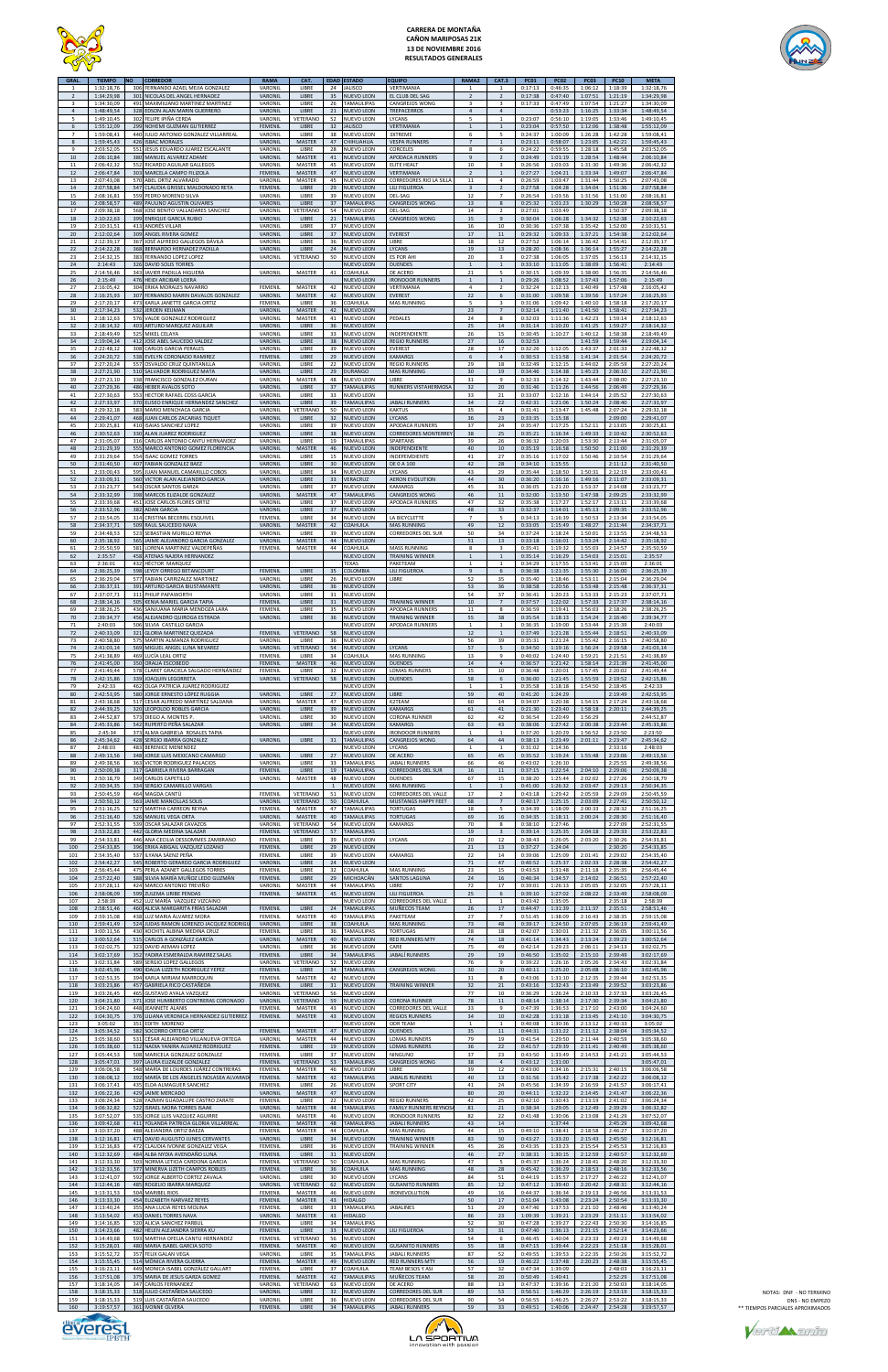

# **CARRERA DE MONTAÑA CAÑON MARIPOSAS 21K 13 DE NOVIEMBRE 2016 RESULTADOS GENERALES**



| <b>GRAL</b><br>1<br>$\overline{2}$ | <b>TIEMPO</b><br>1:32:18,76<br>1:34:29,98            | ΝO<br>301         | <b>CORREDOR</b><br>306 FERNANDO AZAEL MEJIA GONZALEZ<br>NICOLAS DEL ANGEL HERNADEZ                                                            | <b>RAMA</b><br>VARONIL<br>VARONIL                      | CAT.<br>LIBRE<br>LIBRE                      | <b>EDAD</b><br>24<br>35        | <b>ESTADO</b><br><b>JALISCO</b><br>NUEVO LEON                          | <b>EQUIPO</b><br>VERTIMANIA<br>EL CLUB DEL SAG                                                  | RAMA2<br>$\mathbf{1}$<br>$\mathbf 2$     | CAT.3<br>$\overline{1}$<br>$\overline{2}$                                 | <b>PC01</b><br>0:17:13<br>0:17:38        | PC <sub>02</sub><br>0:46:35<br>0:47:40   | <b>PC03</b><br>1:06:12<br>1:07:51        | <b>PC10</b><br>1:18:39<br>1:21:19        | <b>META</b><br>1:32:18,76<br>1:34:29,98              |
|------------------------------------|------------------------------------------------------|-------------------|-----------------------------------------------------------------------------------------------------------------------------------------------|--------------------------------------------------------|---------------------------------------------|--------------------------------|------------------------------------------------------------------------|-------------------------------------------------------------------------------------------------|------------------------------------------|---------------------------------------------------------------------------|------------------------------------------|------------------------------------------|------------------------------------------|------------------------------------------|------------------------------------------------------|
| 3<br>$\overline{4}$<br>5<br>6      | 1:34:30,09<br>1:48:49.54<br>1:49:10,45<br>1:55:12,09 |                   | 491 MAXIMILIANO MARTINEZ MARTINEZ<br>328 EDSON ALAN MARIN GUERRERO<br>302 FELIPE IPIÑA CERDA<br>299 NOHEMI GUZMAN GUTIERREZ                   | VARONIL<br>VARONIL<br>VARONIL<br>FEMENIL               | LIBRE<br>LIBRE<br>VETERANO<br>LIBRE         | 26<br>21<br>52<br>32           | <b>TAMAULIPAS</b><br><b>NUEVO LEON</b><br>NUEVO LEON<br><b>JALISCO</b> | CANGREJOS WONG<br><b>TREPACERROS</b><br>LYCANS<br>VERTIMANIA                                    | $\overline{3}$<br>4<br>5<br>$\mathbf{1}$ | $\overline{\mathbf{3}}$<br>$\overline{4}$<br>$\mathbf{1}$<br>$\mathbf{1}$ | 0:17:33<br>0:23:07<br>0:23:04            | 0:47:49<br>0:53:23<br>0:56:10<br>0:57:50 | 1:07:54<br>1:16:25<br>1:19:05<br>1:12:06 | 1:21:27<br>1:33:34<br>1:33:46<br>1:38:48 | 1:34:30,09<br>1:48:49,54<br>1:49:10,45<br>1:55:12,09 |
| $\overline{7}$<br>8<br>9           | 1:59:08,41<br>1:59:45,43<br>2:03:52,05               |                   | 440 JULIO ANTONIO GONZALEZ VILLARREAL<br>426 ISBAC MORALES<br>551 JESUS EDUARDO JUAREZ ESCALANTE                                              | VARONIL<br>VARONIL<br>VARONIL                          | LIBRE<br><b>MASTER</b><br>LIBRE             | 38<br>47<br>28                 | NUEVO LEON<br>CHIHUAHUA<br>NUEVO LEON                                  | <b>3XTREME</b><br><b>VESPA RUNNERS</b><br>CORCELES                                              | 6<br>$\overline{7}$<br>8                 | 5<br>$1\,$<br>6                                                           | 0:24:37<br>0:23:11<br>0:24:22            | 1:00:09<br>0:58:07<br>0:59:55            | 1:26:28<br>1:23:05<br>1:28:18            | 1:42:28<br>1:42:21<br>1:45:58            | 1:59:08,41<br>1:59:45,43<br>2:03:52,05               |
| 10<br>$11\,$<br>12<br>13           | 2:06:10,84<br>2:06:42,32<br>2:06:47,84<br>2:07:43,08 |                   | 380 MANUEL ALVAREZ ADAME<br>552 RICARDO AGUILAR GALLEGOS<br>303 MARCELA CAMPO FILIZOLA<br>570 ABEL ORTIZ ALVARADO                             | VARONIL<br>VARONIL<br>FEMENIL<br>VARONIL               | MASTER<br>MASTER<br>MASTER<br>MASTER        | 41<br>45<br>47<br>45           | NUEVO LEON<br>NUEVO LEON<br>NUEVO LEON<br>NUEVO LEON                   | APODACA RUNNERS<br>ELITE HEALT<br>VERTIMANIA<br>CORREDORES RIO LA SILLA                         | 9<br>$10\,$<br>$\overline{2}$<br>$11\,$  | $\overline{2}$<br>3<br>$\overline{1}$<br>4                                | 0:24:49<br>0:26:56<br>0:27:27<br>0:26:59 | 1:01:19<br>1:03:03<br>1:04:21<br>1:03:47 | 1:28:54<br>1:31:30<br>1:33:34<br>1:31:44 | 1:48:44<br>1:49:36<br>1:49:07<br>1:50:25 | 2:06:10,84<br>2:06:42,32<br>2:06:47,84<br>2:07:43,08 |
| 14<br>15<br>16                     | 2:07:58,84<br>2:08:16,81<br>2:08:58,57               | 489               | 547 CLAUDIA GRISSEL MALDONADO RETA<br>559 PEDRO MORENO SILVA<br>PAULINO AGUSTIN OLIVARES                                                      | FEMENIL<br>VARONIL<br>VARONIL                          | LIBRE<br>LIBRE<br>LIBRE                     | 29<br>39<br>37                 | NUEVO LEON<br>NUEVO LEON<br>TAMAULIPAS                                 | LILI FIGUEROA<br>DEL-SAG<br>CANGREJOS WONG                                                      | 3<br>12<br>13                            | $\overline{2}$<br>7<br>8                                                  | 0:27:58<br>0:26:54<br>0:25:32            | 1:04:28<br>1:03:56<br>1:01:23            | 1:34:04<br>1:31:56<br>1:30:29            | 1:51:36<br>1:51:00<br>1:50:28            | 2:07:58,84<br>2:08:16,81<br>2:08:58,57               |
| 17<br>18<br>19<br>20               | 2:09:38,18<br>2:10:22,63<br>2:10:31,51<br>2:12:02,64 |                   | 568 JOSE BENITO VALLADARES SANCHEZ<br>399 ENRIQUE GARCIA RUBIO<br>413 ANDRÉS VILLAR<br>309 ANGEL RIVERA GOMEZ                                 | VARONIL<br>VARONIL<br>VARONIL<br>VARONIL               | VETERANO<br>LIBRE<br>LIBRE<br>LIBRE         | 54<br>21<br>37<br>37           | NUEVO LEON<br>TAMAULIPAS<br>NUEVO LEON<br>NUEVO LEON                   | DEL-SAG<br>CANGREJOS WONG<br><b>EVEREST</b>                                                     | 14<br>15<br>16<br>17                     | $\overline{2}$<br>$\overline{9}$<br>10<br>11                              | 0:27:01<br>0:30:04<br>0:30:36<br>0:29:32 | 1:03:49<br>1:06:28<br>1:07:38<br>1:09:33 | 1:34:32<br>1:35:42<br>1:37:21            | 1:50:37<br>1:52:38<br>1:52:00<br>1:54:38 | 2:09:38,18<br>2:10:22,63<br>2:10:31.51<br>2:12:02,64 |
| 21<br>22<br>23<br>24               | 2:12:39,17<br>2:14:22,28<br>2:14:32,15<br>2:14:43    | 326               | 367 JOSÉ ALFREDO GALLEGOS DÁVILA<br>368 BERNARDO HERNADEZ PADILLA<br>383 FERNANDO LOPEZ LOPEZ<br><b>DAVID SOLIS TORRES</b>                    | VARONIL<br>VARONIL<br>VARONIL                          | LIBRE<br>LIBRE<br>VETERANO                  | 36<br>24<br>50                 | NUEVO LEON<br>NUEVO LEON<br>NUEVO LEON<br>NUEVO LEON                   | LIBRE<br>LYCANS<br>ES POR AHI<br><b>DUENDES</b>                                                 | 18<br>19<br>20<br>$\mathbf{1}$           | 12<br>13<br>$\overline{\mathbf{3}}$                                       | 0:27:52<br>0:28:20<br>0:27:38<br>0:33:10 | 1:06:14<br>1:08:36<br>1:06:05<br>1:11:05 | 1:36:42<br>1:36:14<br>1:37:05<br>1:38:09 | 1:54:41<br>1:55:27<br>1:56:13<br>1:56:41 | 2:12:39,17<br>2:14:22,28<br>2:14:32,15<br>2:14:43    |
| 25<br>26<br>27                     | 2:14:56,46<br>2:15:49<br>2:16:05,42                  |                   | 343 JAVIER PADILLA HIGUERA<br>476 HEIDI ARCIBAR LOERA<br>304 ERIKA MORALES NAVARRO                                                            | VARONIL<br>FEMENIL                                     | MASTER<br>MASTER                            | 41<br>42                       | COAHUILA<br>NUEVO LEON<br>NUEVO LEON                                   | DE ACERO<br><b>IRONDOOR RUNNERS</b><br>VERTIMANIA                                               | 21<br>$\mathbf{1}$<br>4                  | 5<br>$\mathbf{1}$<br>$\overline{2}$                                       | 0:30:15<br>0:29:26<br>0:32:24            | 1:09:39<br>1:08:52<br>1:12:13            | 1:38:00<br>1:37:43<br>1:40:49            | 1:56:35<br>1:57:06<br>1:57:48            | 2:14:56,46<br>2:15:49<br>2:16:05,42                  |
| 28<br>29<br>30<br>31               | 2:16:25,93<br>2:17:20,17<br>2:17:34,23<br>2:18:12,63 |                   | 307 FERNANDO MARIN DAVALOS GONZALEZ<br>473 KARLA JANETTE GARCIA ORTIZ<br>532 JEROEN KEIJMAN<br>576 VALDE GONZALEZ RODRIGUEZ                   | VARONIL<br>FEMENIL<br>VARONIL<br>VARONIL               | MASTER<br>LIBRE<br>MASTER<br>MASTER         | 42<br>36<br>42<br>41           | NUEVO LEON<br>COAHUILA<br>NUEVO LEON<br>NUEVO LEON                     | <b>EVEREST</b><br><b>MAS RUNNING</b><br>PEDALES                                                 | 22<br>5<br>23<br>24                      | 6<br>3<br>$\overline{7}$<br>8                                             | 0:31:00<br>0:31:06<br>0:32:14<br>0:32:03 | 1:09:58<br>1:09:42<br>1:11:40<br>1:11:36 | 1:39:56<br>1:40:10<br>1:41:50<br>1:42:23 | 1:57:24<br>1:58:18<br>1:58:41<br>1:59:14 | 2:16:25,93<br>2:17:20,17<br>2:17:34,23<br>2:18:12,63 |
| 32<br>33<br>34                     | 2:18:14,32<br>2:18:49,49<br>2:19:04,14               |                   | 403 ARTURO MARQUEZ AGUILAR<br>525 MIKEL CELAYA<br>412 JOSE ABEL SAUCEDO VALDEZ                                                                | VARONIL<br>VARONIL<br>VARONIL                          | LIBRE<br>LIBRE<br>LIBRE                     | 36<br>33<br>38                 | <b>NUEVO LEON</b><br>NUEVO LEON<br>NUEVO LEON                          | INDEPENDIENTE<br><b>REGIO RUNNERS</b>                                                           | 25<br>26<br>27                           | 14<br>15<br>16                                                            | 0:31:14<br>0:30:45<br>0:32:53            | 1:10:20<br>1:10:27                       | 1:41:25<br>1:40:12<br>1:41:59            | 1:59:27<br>1:58:38<br>1:59:44            | 2:18:14,32<br>2:18:49.49<br>2:19:04,14               |
| 35<br>36<br>37<br>38               | 2:22:48,12<br>2:24:20,72<br>2:27:20,24<br>2:27:21,90 | 510               | 308 CARLOS GARCIA PERALES<br>538 EVELYN CORONADO RAMIREZ<br>557 OSVALDO CRUZ QUINTANILLA<br>SALVADOR RODRIGUEZ MATA                           | VARONIL<br>FEMENIL<br>VARONIL<br>VARONIL               | LIBRE<br>LIBRE<br>LIBRE<br>LIBRE            | 39<br>29<br>22<br>29           | NUEVO LEON<br>NUEVO LEON<br>NUEVO LEON<br><b>DURANGO</b>               | <b>EVEREST</b><br><b>KAMARGS</b><br><b>REGIO RUNNERS</b><br><b>MAS RUNNING</b>                  | 28<br>6<br>29<br>30                      | 17<br>$\sqrt{4}$<br>18<br>19                                              | 0:32:26<br>0:30:53<br>0:32:49<br>0:34:46 | 1:12:05<br>1:11:58<br>1:12:15<br>1:14:38 | 1:43:37<br>1:41:34<br>1:44:02<br>1:45:23 | 2:01:33<br>2:01:54<br>2:05:59<br>2:06:10 | 2:22:48.12<br>2:24:20,72<br>2:27:20,24<br>2:27:21.90 |
| 39<br>40<br>41                     | 2:27:23,10<br>2:27:29,36<br>2:27:30,63               |                   | 338 FRANCISCO GONZALEZ DURAN<br>486 HEBER AVALOS SOTO<br>553 HECTOR RAFAEL COSS GARCIA                                                        | VARONIL<br>VARONIL<br>VARONIL                          | MASTER<br>LIBRE<br>LIBRE                    | 48<br>37<br>33                 | NUEVO LEON<br><b>TAMAULIPAS</b><br>NUEVO LEON                          | LIBRE<br>RUNNERS VISTAHERMOSA                                                                   | 31<br>32<br>33                           | 9<br>20<br>21                                                             | 0:32:33<br>0:31:46<br>0:33:07            | 1:14:32<br>1:11:26<br>1:12:16            | 1:43:44<br>1:44:56<br>1:44:14            | 2:08:00<br>2:06:49<br>2:05:52            | 2:27:23,10<br>2:27:29,36<br>2:27:30,63               |
| 42<br>43<br>44<br>45               | 2:27:33,97<br>2:29:32,18<br>2:29:41,07<br>2:30:25,81 |                   | 370 ELISEO ENRIQUE HERNANDEZ SANCHEZ<br>583 MARIO MENCHACA GARCIA<br>468 JUAN CARLOS ZACARIAS TIQUET<br>410 ISAIAS SANCHEZ LOPEZ              | VARONIL<br>VARONIL<br>VARONIL<br>VARONIL               | LIBRE<br>VETERANO<br>LIBRE<br>LIBRE         | 39<br>50<br>32<br>39           | <b>TAMAULIPAS</b><br>NUEVO LEON<br>NUEVO LEON<br>NUEVO LEON            | <b>JABALI RUNNERS</b><br><b>KAKTUS</b><br>LYCANS<br>APODACA RUNNERS                             | 34<br>35<br>36<br>37                     | 22<br>4<br>23<br>24                                                       | 0:42:31<br>0:31:41<br>0:33:35<br>0:35:47 | 1:21:06<br>1:13:47<br>1:15:38<br>1:17:25 | 1:50:24<br>1:45:48<br>1:52:11            | 2:08:40<br>2:07:24<br>2:09:00<br>2:13:05 | 2:27:33,97<br>2:29:32,18<br>2:29:41,07<br>2:30:25,81 |
| 46<br>47<br>48<br>49               | 2:30:52,63<br>2:31:05,07<br>2:31:29,39<br>2:31:29,64 | 316               | 330 ALAN JUAREZ RODRIGUEZ<br>CARLOS ANTONIO CANTU HERNANDEZ<br>555 MARCO ANTONIO GOMEZ FLORENCIA<br>554 ISAAC GOMEZ TORRES                    | VARONIL<br>VARONIL<br>VARONIL<br>VARONIL               | LIBRE<br>LIBRE<br>MASTER<br>LIBRE           | 38<br>19<br>46<br>15           | NUEVO LEON<br>TAMAULIPAS<br>NUEVO LEON<br>NUEVO LEON                   | <b>CORREDORES MONTERREY</b><br>SPARTANS<br>INDEPENDIENTE<br>INDEPEMDIENTE                       | 38<br>39<br>40<br>41                     | 25<br>26<br>$10\,$<br>27                                                  | 0:35:21<br>0:36:32<br>0:35:19<br>0:35:16 | 1:16:34<br>1:20:03<br>1:16:58<br>1:17:02 | 1:49:33<br>1:53:30<br>1:50:50<br>1:50:46 | 2:10:42<br>2:13:44<br>2:11:00<br>2:10:54 | 2:30:52,63<br>2:31:05,07<br>2:31:29,39<br>2:31:29,64 |
| 50<br>51<br>52                     | 2:31:40,50<br>2:33:00,43<br>2:33:09,31               |                   | 407 FABIAN GONZALEZ BAEZ<br>595 JUAN MANUEL CAMARILLO COBOS<br>560 VICTOR ALAN ALEJANDRO GARCIA                                               | VARONIL<br>VARONIL<br>VARONIL                          | LIBRE<br>LIBRE<br>LIBRE                     | 30<br>34<br>33                 | NUEVO LEON<br>NUEVO LEON<br>VERACRUZ                                   | DE 0 A 100<br>LYCANS<br><b>AERON EVOLUTION</b>                                                  | 42<br>43<br>44                           | 28<br>29<br>30                                                            | 0:34:10<br>0:35:44<br>0:36:20            | 1:15:55<br>1:18:50<br>1:16:16            | 1:50:31<br>1:49:16                       | 2:11:12<br>2:12:19<br>2:11:07            | 2:31:40,50<br>2:33:00,43<br>2:33:09,31               |
| 53<br>54<br>55<br>56               | 2:33:23,77<br>2:33:32,99<br>2:33:39,68<br>2:33:52,96 |                   | 543 OSCAR SANTOS GARZA<br>398 MARCOS ELIZALDE GONZALEZ<br>451 JOSE CARLOS FLORES ORTIZ<br>382 ADAN GARCIA                                     | VARONIL<br>VARONIL<br>VARONIL<br>VARONIL               | LIBRE<br>MASTER<br>LIBRE<br>LIBRE           | 37<br>47<br>37<br>37           | NUEVO LEON<br><b>TAMAULIPAS</b><br>NUEVO LEON<br>NUEVO LEON            | KAMARGS<br>CANGREJOS WONG<br>APODACA RUNNERS                                                    | 45<br>46<br>47<br>48                     | 31<br>11<br>32<br>33                                                      | 0:36:05<br>0:32:00<br>0:35:38<br>0:32:37 | 1:21:20<br>1:13:50<br>1:17:27<br>1:14:01 | 1:53:37<br>1:47:38<br>1:52:17<br>1:45:13 | 2:14:08<br>2:09:25<br>2:13:11<br>2:09:35 | 2:33:23,77<br>2:33:32,99<br>2:33:39,68<br>2:33:52,96 |
| 57<br>58<br>59<br>60               | 2:33:54,05<br>2:34:37,71<br>2:34:48,53<br>2:35:18,92 |                   | 314 CRISTINA BECERRIL ESQUIVEL<br>509 RAUL SAUCEDO NAVA<br>523 SEBASTIAN MURILLO REYNA<br>565 JAIME ALEJANDRO GARCIA GONZALEZ                 | FEMENIL<br>VARONIL<br>VARONIL<br>VARONIL               | LIBRE<br><b>MASTER</b><br>LIBRE<br>MASTER   | 34<br>42<br>39<br>44           | NUEVO LEON<br>COAHUILA<br>NUEVO LEON<br>NUEVO LEON                     | LA BICYCLETTE<br><b>MAS RUNNING</b><br>CORREDORES DEL SUR                                       | $\overline{7}$<br>49<br>50<br>51         | 5<br>12<br>34<br>13                                                       | 0:34:13<br>0:33:05<br>0:37:24<br>0:33:18 | 1:16:39<br>1:15:49<br>1:18:24<br>1:16:01 | 1:50:53<br>1:48:27<br>1:50:01<br>1:53:24 | 2:13:34<br>2:11:44<br>2:13:55<br>2:14:42 | 2:33:54,05<br>2:34:37,71<br>2:34:48,53<br>2:35:18,92 |
| 61<br>62<br>63                     | 2:35:50,59<br>2:35:57<br>2:36:01                     |                   | 581 LORENA MARTINEZ VALDEPEÑAS<br>458 ATENAS NAJERA HERNANDEZ<br>432 HÉCTOR MARQUEZ                                                           | FEMENIL                                                | MASTER                                      | 44                             | COAHUILA<br>NUEVO LEON<br>TEXAS                                        | MASS RUNNING<br><b>TRAINING WINNER</b><br>PAKETEAM                                              | 8<br>$1\,$<br>$\mathbf{1}$               | $\overline{\mathbf{3}}$<br>$\mathbf{1}$<br>$\mathbf{1}$                   | 0:35:41<br>0:35:14<br>0:34:29            | 1:19:32<br>1:16:29<br>1:17:55            | 1:55:03<br>1:54:03<br>1:53:41            | 2:14:57<br>2:15:01<br>2:15:09            | 2:35:50,59<br>2:35:57<br>2:36:01                     |
| 64<br>65<br>66<br>67               | 2:36:25,39<br>2:36:29,04<br>2:36:37,31<br>2:37:07,71 | 391               | 598 LEYDY ORREGO BETANCOURT<br>577 FABIAN CARRIZALEZ MARTINEZ<br>ARTURO GARCIA BIUSTAMANTE<br>311 PHILIP PAPAWORTH                            | FEMENIL<br>VARONIL<br>VARONIL<br>VARONIL               | LIBRE<br>LIBRE<br>LIBRE<br>LIBRE            | 35<br>26<br>36<br>31           | COLOMBIA<br>NUEVO LEON<br>NUEVO LEON<br>NUEVO LEON                     | <b>LILI FIGUEROA</b><br>LIBRE                                                                   | 9<br>52<br>53<br>54                      | 6<br>35<br>36<br>37                                                       | 0:36:38<br>0:35:40<br>0:38:58<br>0:36:41 | 1:21:35<br>1:18:46<br>1:20:56<br>1:20:23 | 1:55:30<br>1:53:11<br>1:53:48<br>1:53:33 | 2:16:00<br>2:15:04<br>2:15:48<br>2:15:23 | 2:36:25,39<br>2:36:29,04<br>2:36:37,31<br>2:37:07,71 |
| 68<br>69<br>70                     | 2:38:14,16<br>2:38:26,25<br>2:39:34,77               |                   | 505 KENIA MARIEL GARCIA TAPIA<br>436 SANJUANA MARIA MENDOZA LARA<br>456 ALEJANDRO QUIROGA ESTRADA                                             | FEMENIL<br>FEMENIL<br>VARONIL                          | LIBRE<br>LIBRE<br>LIBRE                     | 31<br>35<br>36                 | <b>NUEVO LEON</b><br>NUEVO LEON<br>NUEVO LEON                          | <b>TRAINING WINNER</b><br>APODACA RUNNERS<br>TRAINING WINNER                                    | $10\,$<br>$11\,$<br>55                   | $\overline{7}$<br>8<br>38                                                 | 0:37:57<br>0:36:59<br>0:35:54            | 1:22:02<br>1:19:41<br>1:18:13            | 1:57:33<br>1:56:03<br>1:54:24            | 2:17:37<br>2:18:26<br>2:16:40            | 2:38:14,16<br>2:38:26,25<br>2:39:34,77               |
| 71<br>72<br>73<br>74               | 2:40:03<br>2:40:33,09<br>2:40:58,80<br>2:41:03,14    | 569               | 506 SILVIA CASTILLO GARCIA<br>321 GLORIA MARTINEZ QUEZADA<br>575 MARTIN ALMANZA RODRIGUEZ<br>MIGUEL ANGEL LUNA NEVAREZ                        | <b>FEMENIL</b><br>VARONIL<br>VARONIL                   | VETERANO<br>LIBRE<br>VETERANO               | 58<br>36<br>54                 | NUEVO LEON<br>NUEVO LEON<br>NUEVO LEON<br><b>NUEVO LEON</b>            | APODACA RUNNERS<br><b>LYCANS</b>                                                                | $\mathbf{1}$<br>12<br>56<br>57           | 1<br>$1\,$<br>39<br>5                                                     | 0:36:35<br>0:37:49<br>0:35:31<br>0:34:50 | 1:19:00<br>1:21:28<br>1:21:24<br>1:19:16 | 1:53:44<br>1:55:44<br>1:55:42<br>1:56:24 | 2:15:39<br>2:18:51<br>2:16:15<br>2:19:58 | 2:40:03<br>2:40:33,09<br>2:40:58,80<br>2:41:03.14    |
| 75<br>76<br>77<br>78               | 2:41:38,89<br>2:41:45,00<br>2:41:49,44<br>2:42:15,86 | 339               | 469 LUCÍA LEAL ORTIZ<br>350 ORALIA ESCOBEDO<br>578 CLARET GRACIELA SALGADO HERNÁNDEZ<br><b>JOAQUIN LEGORRETA</b>                              | FEMENIL<br>FEMENIL<br>FEMENIL<br>VARONIL               | LIBRE<br><b>MASTER</b><br>LIBRE<br>VETERANO | 34<br>46<br>32<br>58           | COAHUILA<br><b>NUEVO LEON</b><br>NUEVO LEON<br>NUEVO LEON              | <b>MAS RUNNING</b><br><b>DUENDES</b><br><b>LOMAS RUNNERS</b><br><b>DUENDES</b>                  | 13<br>14<br>15<br>58                     | 9<br>$\sqrt{4}$<br>$10\,$<br>6                                            | 0:40:02<br>0:36:57<br>0:36:48<br>0:36:00 | 1:24:40<br>1:21:42<br>1:20:01<br>1:21:45 | 1:59:21<br>1:58:14<br>1:57:45<br>1:55:59 | 2:21:51<br>2:21:39<br>2:20:02<br>2:19:52 | 2:41:38,89<br>2:41:45,00<br>2:41:49,44<br>2:42:15,86 |
| 79<br>80<br>81                     | 2:42:33<br>2:42:53,95<br>2:43:18,68                  | 517               | 462 OLGA PATRICIA JUAREZ RODRIGUEZ<br>580 JORGE ERNESTO LÓPEZ RUGGIA<br>CESAR ALFREDO MARTÍNEZ SALDANA                                        | VARONIL<br>VARONIL                                     | LIBRE<br>MASTER                             | 27<br>47                       | NUEVO LEON<br>NUEVO LEON<br>NUEVO LEON                                 | LIBRE<br>K2TEAM                                                                                 | $\mathbf{1}$<br>59<br>60                 | 1<br>40<br>14                                                             | 0:35:58<br>0:41:20<br>0:34:07            | 1:18:18<br>1:24:29<br>1:20:38            | 1:54:50<br>1:54:15                       | 2:18:45<br>2:19:49<br>2:17:24            | 2:42:33<br>2:42:53,95<br>2:43:18,68                  |
| 82<br>83<br>84<br>85               | 2:44:39,25<br>2:44:52,87<br>2:45:33,86<br>2:45:34    |                   | 320 LEOPOLDO ROBLES GARCIA<br>573 DIEGO A. MONTES P.<br>542 RUPERTO PEÑA SALAZAR<br>373 ALMA GABRIELA ROSALES TAPIA                           | VARONIL<br>VARONIL<br>VARONIL                          | LIBRE<br>LIBRE<br>LIBRE                     | 39<br>30<br>34                 | NUEVO LEON<br>NUEVO LEON<br><b>NUEVO LEON</b><br>NUEVO LEON            | <b>KAMARGS</b><br>CORONA RUNNER<br><b>KAMARGS</b><br><b>IRONDOOR RUNNERS</b>                    | 61<br>62<br>63<br>$\mathbf{1}$           | 41<br>42<br>43<br>$\mathbf{1}$                                            | 0:21:30<br>0:36:54<br>0:38:06<br>0:37:20 | 1:23:40<br>1:20:49<br>1:27:42<br>1:20:29 | 1:58:18<br>1:56:29<br>2:00:38<br>1:56:52 | 2:20:11<br>2:23:44<br>2:23:50            | 2:44:39,25<br>2:44:52,87<br>2:45:33,86<br>2:23:50    |
| 86<br>87<br>88                     | 2:45:34,62<br>2:48:03<br>2:49:13,56                  | 348               | 428 SERGIO IBARRA GONZALEZ<br>483 BERENICE MENENDEZ<br>JORGE LUIS MEXICANO CAMARGO                                                            | VARONIL<br>VARONIL                                     | LIBRE<br>LIBRE                              | 31<br>27                       | <b>TAMAULIPAS</b><br>NUEVO LEON<br>NUEVO LEON                          | CANGREJOS WONG<br>LYCANS<br>DE ACERO                                                            | 64<br>$\mathbf{1}$<br>65                 | 44<br>$\overline{1}$<br>45                                                | 0:38:13<br>0:31:02<br>0:35:52            | 1:23:49<br>1:14:36<br>1:19:24            | 2:01:11<br>1:55:48                       | 2:23:47<br>2:33:16<br>2:23:06            | 2:45:34,62<br>2:48:03<br>2:49:13,56                  |
| 89<br>90<br>91<br>92               | 2:49:38,56<br>2:50:09,38<br>2:50:18,79<br>2:50:34,35 | 334               | 363 VICTOR RODRIGUEZ PALACIOS<br>317 GABRIELA RIVERA BARRAGAN<br>349 CARLOS CAPETILLO<br>SERGIO CAMARILLO VARGAS                              | VARONIL<br>FEMENIL<br>VARONIL                          | LIBRE<br>LIBRE<br>MASTER                    | 33<br>19<br>48<br>$\mathbf{1}$ | TAMAULIPAS<br><b>TAMAULIPAS</b><br>NUEVO LEON<br>NUEVO LEON            | <b>JABALI RUNNERS</b><br>CORREDORES DEL SUR<br><b>DUENDES</b><br><b>MAS RUNNING</b>             | 66<br>16<br>67<br>$\mathbf{1}$           | 46<br>11<br>15<br>$\mathbf{1}$                                            | 0:43:02<br>0:37:15<br>0:38:20<br>0:41:00 | 1:26:10<br>1:22:54<br>1:25:44<br>1:26:32 | 2:04:10<br>2:02:02<br>2:03:47            | 2:25:55<br>2:29:06<br>2:27:26<br>2:29:13 | 2:49:38,56<br>2:50:09,38<br>2:50:18,79<br>2:50:34,35 |
| 93<br>94<br>95<br>96               | 2:50:45,59<br>2:50:50,12<br>2:51:16,25<br>2:51:16,40 | 563<br>527<br>526 | 464 MAGDA CANTÚ<br>JAIME MANCILLAS SOLIS<br>MARTHA CARREON REYNA<br>MANUEL VEGA ORTA                                                          | FEMENIL<br>VARONIL<br>FEMENIL<br>VARONIL               | VETERANO<br>VETERANO<br>MASTER<br>MASTER    | 51<br>50<br>47<br>40           | NUEVO LEON<br>COAHUILA<br>TAMAULIPAS<br>TAMAULIPAS                     | CORREDORES DEL VALLE<br>MUSTANGS HAPPY FEET<br><b>TORTUGAS</b><br><b>TORTUGAS</b>               | 17<br>68<br>18<br>69                     | $\overline{2}$<br>$\overline{7}$<br>5<br>16                               | 0:43:18<br>0:40:17<br>0:34:39<br>0:34:35 | 1:29:42<br>1:25:15<br>1:18:09<br>1:18:11 | 2:05:59<br>2:03:09<br>2:00:33<br>2:00:24 | 2:29:09<br>2:27:41<br>2:28:32<br>2:28:30 | 2:50:45,59<br>2:50:50,12<br>2:51:16,25<br>2:51:16,40 |
| 97<br>98<br>99                     | 2:52:31,55<br>2:53:22,83<br>2:54:33,81               |                   | 539 OSCAR SALAZAR CAVAZOS<br>442 GLORIA MEDINA SALAZAR<br>446 ANA CECILIA DESSOMMES ZAMBRANO                                                  | VARONIL<br>FEMENII<br>FEMENIL                          | VETERANO<br>VETERANO<br>LIBRE               | 54<br>57<br>39                 | NUEVO LEON<br>TAMAULIPAS<br>NUEVO LEON                                 | KAMARGS<br>LYCANS                                                                               | 70<br>19<br>20                           | 8<br>$\overline{3}$<br>12                                                 | 0:38:10<br>0:39:14<br>0:38:43            | 1:27:46<br>1:25:35<br>1:26:05            | 2:04:18<br>2:03:20                       | 2:27:09<br>2:29:33<br>2:30:26            | 2:52:31,55<br>2:53:22,83<br>2:54:33,81               |
| 100<br>101<br>102<br>103           | 2:54:33,85<br>2:54:35,40<br>2:54:42,27<br>2:56:45,44 |                   | 396 ERIKA ABIGAIL VAZQUEZ LOZANO<br>537 ILYANA SÁENZ PEÑA<br>545 ROBERTO GERARDO GARCIA RODRIGUEZ<br>475 PERLA AZANET GALLEGOS TORRES         | FEMENIL<br>FEMENIL<br>VARONIL<br>FEMENIL               | LIBRE<br>LIBRE<br>LIBRE<br>LIBRE            | 29<br>39<br>24<br>32           | NUEVO LEON<br>NUEVO LEON<br>NUEVO LEON<br>COAHUILA                     | <b>KAMARGS</b><br><b>MAS RUNNING</b>                                                            | 21<br>22<br>$71\,$<br>23                 | 13<br>14<br>47<br>15                                                      | 0:37:27<br>0:39:06<br>0:40:52<br>0:43:53 | 1:24:04<br>1:25:09<br>1:25:37<br>1:31:48 | 2:01:41<br>2:02:33<br>2:11:18            | 2:30:20<br>2:29:02<br>2:28:38<br>2:35:35 | 2:54:33,85<br>2:54:35,40<br>2:54:42,27<br>2:56:45,44 |
| 104<br>105<br>106                  | 2:57:22,40<br>2:57:28,11<br>2:58:08,09               | 599               | 588 SILVIA MARÍA MUÑOZ LEDO GUZMÁN<br>424 MARCO ANTONIO TREVIÑO<br>ZULEMA URIBE PENDAS                                                        | FEMENIL<br>VARONIL<br>FEMENIL                          | LIBRE<br>MASTER<br>MASTER                   | 29<br>44<br>45                 | MICHOACÁN<br>TAMAULIPAS<br>NUEVO LEON                                  | SANTOS LAGUNA<br>LIBRE<br>LILI FIGUEROA                                                         | 24<br>72<br>25<br>1                      | 16<br>17<br>6                                                             | 0:46:34<br>0:39:01<br>0:39:10            | 1:34:57<br>1:26:13<br>1:27:02            | 2:14:02<br>2:05:05<br>2:08:22            | 2:36:51<br>2:32:05<br>2:33:49<br>2:35:18 | 2:57:22,40<br>2:57:28,11<br>2:58:08,09               |
| 107<br>108<br>109<br>110           | 2:58:39<br>2:58:51,46<br>2:59:15,08<br>2:59:41,49    |                   | 452 LUZ MARÍA VAZQUEZ VIZCAINO<br>460 ALICIA MARGARITA FRÍAS SALAZAR<br>438 LUZ MARIA ÁLVAREZ MORA<br>524 JUDAS RAMON LORENZO JACQUEZ RODRIGI | FEMENIL<br>FEMENIL<br>VARONIL                          | LIBRE<br>MASTER<br>LIBRE                    | 24<br>40<br>38                 | NUEVO LEON<br><b>TAMAULIPAS</b><br>TAMAULIPAS<br>COAHUILA              | CORREDORES DEL VALLE<br>MUÑECOS TEAM<br>PAKETEAM<br><b>MAS RUNNING</b>                          | 26<br>27<br>73                           | $\mathbf{1}$<br>17<br>48                                                  | 0:43:42<br>0:44:47<br>0:51:45<br>0:39:17 | 1:35:05<br>1:31:39<br>1:38:09<br>1:24:50 | 2:11:37<br>2:16:43<br>2:07:05            | 2:35:51<br>2:38:35<br>2:36:19            | 2:58:39<br>2:58:51,46<br>2:59:15,08<br>2:59:41,49    |
| 111<br>112<br>113<br>114           | 3:00:11,56<br>3:00:52,64<br>3:02:02,75<br>3:02:17,69 | 323               | 430 XOCHITL ALBINA MEDINA CRUZ<br>515 CARLOS A GONZÁLEZ GARCÍA<br>DAVID AEMAN LOPEZ<br>352 YADIRA ESMERALDA RAMIREZ SALAS                     | FEMENIL<br>VARONIL<br>VARONIL<br>FEMENIL               | LIBRE<br>MASTER<br>LIBRE<br>LIBRE           | 36<br>40<br>36<br>34           | TAMAULIPAS<br>NUEVO LEON<br>NUEVO LEON<br>TAMAULIPAS                   | <b>TORTUGAS</b><br>RED RUNNERS MTY<br>CARE<br>JABALÍ RUNNERS                                    | 28<br>74<br>75<br>29                     | 18<br>18<br>49<br>19                                                      | 0:42:07<br>0:41:14<br>0:42:14<br>0:46:50 | 1:30:01<br>1:34:43<br>1:29:23<br>1:35:02 | 2:11:32<br>2:13:24<br>2:06:11<br>2:15:10 | 2:36:05<br>2:39:23<br>2:34:13<br>2:39:49 | 3:00:11,56<br>3:00:52,64<br>3:02:02,75<br>3:02:17,69 |
| 115<br>116<br>117<br>118           | 3:02:31,84<br>3:02:45,96<br>3:02:53,35<br>3:03:23,86 | 589<br>490<br>394 | SERGIO LOPEZ GALLEGOS<br><b>IDALIA LIZZETH RODRIGUEZ YEPEZ</b><br>KARLA MIRIAM MARROQUIN<br>457 GABRIELA RICO CASTAÑEDA                       | VARONIL<br>FEMENIL<br>FEMENIL<br>FEMENIL               | VETERANO<br>LIBRE<br>MASTER<br>LIBRE        | 52<br>34<br>42<br>31           | NUEVO LEON<br>TAMAULIPAS<br>NUEVO LEON<br><b>NUEVO LEON</b>            | CANGREJOS WONG<br><b>TRAINING WINNER</b>                                                        | 76<br>30<br>31<br>32                     | 9<br>20<br>8<br>21                                                        | 0:39:22<br>0:40:11<br>0:43:06<br>0:43:16 | 1:26:16<br>1:25:20<br>1:31:10<br>1:32:43 | 2:05:26<br>2:05:08<br>2:12:35<br>2:13:49 | 2:34:43<br>2:36:10<br>2:39:44<br>2:39:52 | 3:02:31,84<br>3:02:45,96<br>3:02:53.35<br>3:03:23,86 |
| 119<br>120<br>121                  | 3:03:26,45<br>3:04:21,80<br>3:04:24,60               | 465<br>571        | <b>GUSTAVO AYALA VAZQUEZ</b><br>JOSE HUMBERTO CONTRERAS CORONADO<br>448 JEANNETE ALANIS                                                       | VARONIL<br>VARONIL<br>FEMENIL                          | VETERANO<br>VETERANO<br>MASTER              | 56<br>59<br>43                 | NUEVO LEON<br>NUEVO LEON<br>NUEVO LEON                                 | <b>CORONA RUNNER</b><br>CORREDORES DEL VALLE                                                    | 77<br>78<br>33                           | $10\,$<br>$11\,$<br>9                                                     | 0:36:29<br>0:48:14<br>0:47:39            | 1:26:24<br>1:38:14<br>1:36:53            | 2:10:33<br>2:17:30<br>2:17:10            | 2:37:33<br>2:39:34<br>2:43:00            | 3:03:26.45<br>3:04:21,80<br>3:04:24,60               |
| 122<br>123<br>124<br>125           | 3:04:30,75<br>3:05:02<br>3:05:34,52<br>3:05:38,60    | 582               | 376 LILIANA VERONICA HERNANDEZ GUTIERREZ<br>351 EDITH MORENO<br>SOCORRO ORTEGA ORTIZ<br>531 CÉSAR ALEJANDRO VILLANUEVA ORTEGA                 | FEMENIL<br>FEMENIL<br>VARONIL                          | MASTER<br><b>MASTER</b><br>MASTER           | 43<br>47<br>44                 | NUEVO LEON<br>NUEVO LEON<br>NUEVO LEON<br>NUEVO LEON                   | <b>REGIOS RUNNERS</b><br>ODR TEAM<br><b>DUENDES</b><br>LOMAS RUNNERS                            | 34<br>$\mathbf{1}$<br>35<br>79           | 10<br>11<br>19                                                            | 0:42:28<br>0:40:08<br>0:44:31<br>0:41:54 | 1:31:18<br>1:30:36<br>1:31:22<br>1:29:50 | 2:13:45<br>2:13:12<br>2:11:12<br>2:11:44 | 2:41:10<br>2:40:33<br>2:38:04<br>2:40:59 | 3:04:30,75<br>3:05:02<br>3:05:34,52<br>3:05:38,60    |
| 126<br>127<br>128                  | 3:05:38,60<br>3:05:44,53<br>3:05:47,01               |                   | 512 NADIA YANIRA ALVAREZ RODRIGUEZ<br>508 MARICELA GONZALEZ GONZALEZ<br>397 LAURA ELIZALDE GONZALEZ                                           | FEMENIL<br>FEMENIL<br>FEMENIL                          | LIBRE<br>LIBRE<br>VETERANO                  | 19<br>37<br>53                 | NUEVO LEON<br>NUEVO LEON<br>TAMAULIPAS                                 | <b>LOMAS RUNNERS</b><br>NINGUNO<br>CANGREJOS WONG                                               | 36<br>37<br>38                           | 22<br>23<br>$\sqrt{4}$                                                    | 0:41:57<br>0:43:50<br>0:43:12            | 1:29:39<br>1:33:49<br>1:31:00            | 2:11:41<br>2:14:53                       | 2:40:49<br>2:41:21                       | 3:05:38,60<br>3:05:44,53<br>3:05:47,01               |
| 129<br>130<br>131<br>132           | 3:06:06,58<br>3.06.0812<br>3:06:17.41<br>3:06:22,36  | 435               | 548 MARÍA DE LOURDES JUÁREZ CONTRERAS<br>392 MARÍA DE LOS ÁNGELES NOLASEA ALVARADO<br>ELDA ALMAGUER SANCHEZ<br>429 JAIME MERCADO              | FEMENIL<br><b>FEMENII</b><br>FEMENIL<br>VARONIL        | MASTER<br><b>MASTER</b><br>LIBRE<br>MASTER  | 46<br>$\Delta$<br>26<br>47     | NUEVO LEON<br>ΤΔΜΔΙ ΙΙ ΙΡΔΚ<br>NUEVO LEON<br>NUEVO LEON                | LIBRE<br><b>JARALIS RUNNERS</b><br><b>SPORT CITY</b>                                            | 39<br>40<br>41<br>80                     | 12<br>13<br>24<br>20                                                      | 0:43:00<br>0.31.56<br>0:45:56<br>0:44:11 | 1:34:16<br>1.35.42<br>1:34:39<br>1:32:22 | 2:15:31<br>2.17.38<br>2:16:59<br>2:14:45 | 2:40:15<br>7.47.77<br>2:41:57<br>2:41:47 | 3:06:06,58<br>3.06.0812<br>3:06:17.41<br>3:06:22,36  |
| 133<br>134<br>135                  | 3:06:24.34<br>3:06:32,82<br>3:07:52,07               |                   | 528 YAZMIN GUADALUPE CASTRO ZARATE<br>522 ISRAEL MORA TORRES ISAAK<br>535 JORGE LUIS VAZQUEZ AGUIRRE                                          | FEMENIL<br>VARONIL<br>VARONIL<br><b>FEMENIL</b>        | LIBRE<br>MASTER<br>MASTER                   | 22<br>44<br>46<br>48           | NUEVO LEON<br>TAMAULIPAS<br>NUEVO LEON                                 | <b>REGIO RUNNERS</b><br><b>FAMILY RUNNERS REYNOS</b><br><b>IRONDOOR RUNNERS</b>                 | 42<br>81<br>82                           | 25<br>21<br>22                                                            | 0:42:10<br>0:38:34<br>0:41:48            | 1:30:43<br>1:29:05<br>1:30:06            | 2:13:19<br>2:12:49<br>2:13:08            | 2:41:02<br>2:39:29<br>2:41:29            | 3:06:24,34<br>3:06:32,82<br>3:07:52,07<br>3:09:42,68 |
| 136<br>137<br>138<br>139           | 3:09:42,68<br>3:10:37,20<br>3:12:16,81<br>3:12:16,83 | 471<br>472        | 411 YOLANDA PATRICIA GLORIA VILLARREAL<br>488 ALEJANDRA ORTIZ BAEZA<br>DAVID AUGUSTO JUNES CERVANTES<br>CLAUDIA IVONNE GONZALEZ VEGA          | FEMENIL<br>VARONIL<br>FEMENIL                          | MASTER<br>MASTER<br>LIBRE<br>LIBRE          | 44<br>34<br>36                 | TAMAULIPAS<br>COAHUILA<br>NUEVO LEON<br>NUEVO LEON                     | <b>JABALI RUNNERS</b><br><b>MAS RUNNING</b><br><b>TRAINING WINNER</b><br><b>TRAINING WINNER</b> | 43<br>44<br>83<br>45                     | $14\,$<br>15<br>50<br>26                                                  | 0:49:10<br>0:43:27<br>0:43:35            | 1:37:44<br>1:38:41<br>1:33:20<br>1:33:23 | 2:18:58<br>2:15:43<br>2:15:54            | 2:45:29<br>2:46:27<br>2:45:50<br>2:45:53 | 3:10:37,20<br>3:12:16,81<br>3:12:16,83               |
| 140<br>141<br>142<br>143           | 3:12:32.69<br>3:12:33,30<br>3:12:33,56<br>3:12:41,07 | 503               | 484 ALBA NYDIA AVENDAÑO LUNA<br>NORMA LETICIA CARDONA GARCIA<br>377 MINERVA LIZETH CAMPOS ROBLES<br>592 JORGE ALBERTO CORTEZ ZAVALA           | FEMENIL<br>FEMENIL<br><b>FEMENIL</b><br>VARONIL        | LIBRE<br>VETERANO<br>LIBRE<br>LIBRE         | 31<br>50<br>36<br>30           | NUEVO LEON<br>COAHUILA<br>COAHUILA<br>NUEVO LEON                       | <b>MAS RUNNING</b><br><b>MAS RUNNING</b><br>LYCANS                                              | 46<br>47<br>48<br>84                     | 27<br>5<br>28<br>51                                                       | 0:38:31<br>0:45:37<br>0:45:42<br>0:44:19 | 1:30:15<br>1:36:24<br>1:36:29<br>1:35:57 | 2:12:59<br>2:18:41<br>2:18:53<br>2:17:27 | 2:40:57<br>2:48:20<br>2:48:16<br>2:46:22 | 3:12:32.69<br>3:12:33,30<br>3:12:33,56<br>3:12:41,07 |
| 144<br>145<br>146                  | 3:12:44,16<br>3:13:31,53<br>3:13:33,30               | 504<br>454        | <b>485 ROGELIO IBARRA MARQUEZ</b><br><b>MARIBEL RIOS</b><br>ELIZABETH NARVAEZ REYES                                                           | VARONIL<br>FEMENIL<br>FEMENIL                          | VETERANO<br>MASTER<br>MASTER                | 62<br>46<br>43                 | NUEVO LEON<br>NUEVO LEON<br><b>HIDALGO</b>                             | <b>GUSANITO RUNNERS</b><br><b>IRONEVOLUTION</b>                                                 | 85<br>49<br>50                           | 12<br>16<br>17                                                            | 0:47:12<br>0:44:37<br>0:51:04            | 1:39:40<br>1:36:34<br>1:43:08            | 2:20:42<br>2:19:13<br>2:23:24            | 2:48:31<br>2:46:56<br>2:50:54            | 3:12:44,16<br>3:13:31,53<br>3:13:33,30               |
| 147<br>148<br>149<br>150           | 3:13:40,24<br>3:13:54,02<br>3:14:16,85<br>3:14:23,66 | 355               | ANA LUCIA REYES MOLINA<br>453 DANIEL TORRES NAVA<br>520 ALICIA SANCHEZ PARBUL<br>482 HELEN ALEJANDRA SIERRA KU                                | FEMENIL<br>VARONIL<br>FEMENIL<br>FEMENIL               | LIBRE<br>MASTER<br>LIBRE<br>LIBRE           | 33<br>43<br>34<br>33           | <b>TAMAULIPAS</b><br><b>HIDALGO</b><br><b>TAMAULIPAS</b><br>NUEVO LEON | <b>JABALINES</b><br><b>LILI FIGUEROA</b>                                                        | 51<br>86<br>52<br>53                     | 29<br>23<br>30<br>31                                                      | 0:47:46<br>1:09:39<br>0:47:28<br>0:47:40 | 1:37:53<br>1:39:21<br>1:39:27<br>1:36:13 | 2:21:10<br>2:23:29<br>2:22:43<br>2:21:15 | 2:48:46<br>2:51:11<br>2:50:30<br>2:52:14 | 3:13:40,24<br>3:13:54,02<br>3:14:16,85<br>3:14:23,66 |
| 151<br>152<br>153                  | 3:14:49,68<br>3:15:28,01<br>3:15:52,72               | 480               | 593 MARTHA OFELIA CANTU HERNANDEZ<br>MARIA ISABEL GARCIA SOTO<br>357 FELIX GALAN VEGA                                                         | FEMENIL<br>FEMENIL<br>VARONIL                          | VETERANO<br>MASTER<br>LIBRE                 | 56<br>40<br>35                 | NUEVO LEON<br>NUEVO LEON<br><b>TAMAULIPAS</b>                          | <b>GUSANITO RUNNERS</b><br><b>JABALI RUNNERS</b>                                                | 54<br>55<br>87                           | 6<br>18<br>52                                                             | 0:46:45<br>0:47:15<br>0:49:55            | 1:40:04<br>1:39:44<br>1:39:53            | 2:23:33<br>2:22:23<br>2:22:35            | 2:49:23<br>2:51:18<br>2:50:26            | 3:14:49,68<br>3:15:28,01<br>3:15:52,72               |
| 154<br>155<br>156<br>157           | 3:15:55,45<br>3:16:23,11<br>3:17:51,08<br>3:18:14,05 | 449<br>375        | 514 MÓNICA RIVERA GUERRA<br>MONICA ISABEL GONZÁLEZ GALLART<br>MARIA DE JESUS GARZA GOMEZ<br>347 CARLOS FERNANDEZ                              | <b>FEMENIL</b><br>FEMENIL<br><b>FEMENIL</b><br>VARONIL | MASTER<br>LIBRE<br>MASTER<br>VETERANO       | 49<br>37<br>42<br>63           | NUEVO LEON<br>COAHUILA<br>TAMAULIPAS<br>NUEVO LEON                     | RED RUNNERS MTY<br>TEAM BESOS Y ASI<br>MUÑECOS TEAM<br>DE ACERO                                 | 56<br>57<br>58<br>88                     | 19<br>32<br>20<br>13                                                      | 0:46:22<br>0:47:34<br>0:50:49<br>0:47:37 | 1:37:48<br>1:39:09<br>1:40:41<br>1:39:36 | 2:20:23<br>2:21:20                       | 2:48:38<br>2:48:03<br>2:52:29<br>2:50:03 | 3:15:55,45<br>3:16:23,11<br>3:17:51,08<br>3:18:14,05 |
| 158<br>159<br>160                  | 3:18:15.33<br>3:18:15,33<br>3:19:57,57               |                   | 518 JULIO CASTAÑEDA SAUCEDO<br>519 LUIS CASTAÑEDA SAUCEDO<br>361 IVONNE OLVERA                                                                | VARONIL<br>VARONIL<br><b>FEMENIL</b>                   | LIBRE<br>LIBRE<br>LIBRE                     | 32<br>36                       | NUEVO LEON<br>NUEVO LEON<br>34 TAMAULIPAS                              | <b>CORREDORES DEL SUR</b><br>CORREDORES DEL SUR<br><b>JABALI RUNNERS</b>                        | 89<br>90<br>59                           | 53<br>54<br>33                                                            | 0:56:51<br>0:56:55<br>0:49:51            | 1:46:29<br>1:46:25<br>1:40:06            | 2:26:19<br>2:26:27<br>2:24:47            | 2:53:19<br>2:53:22<br>2:54:28            | 3:18:15,33<br>3:18:15,33<br>3:19:57,57               |





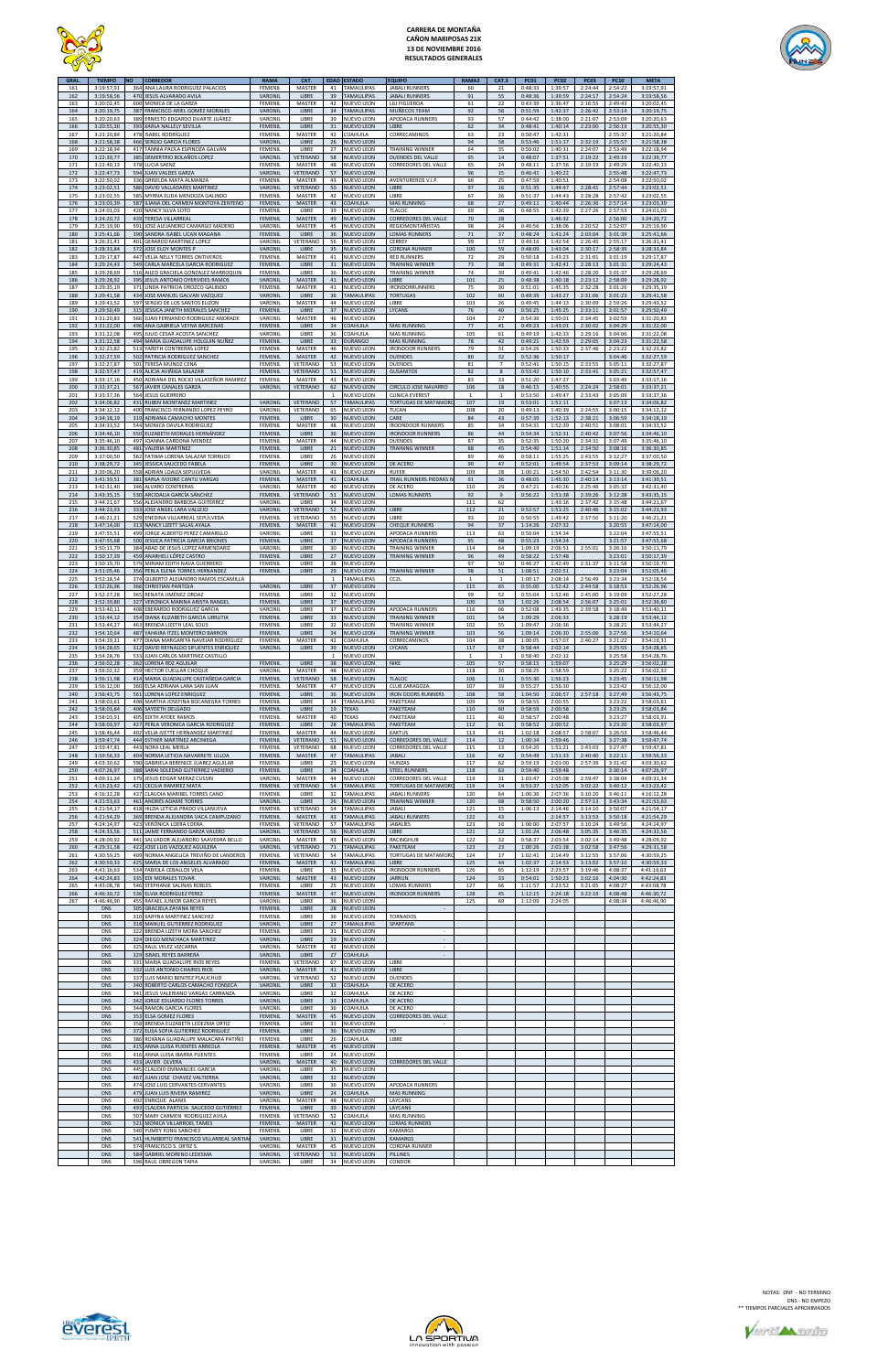

## **CARRERA DE MONTAÑA CAÑON MARIPOSAS 21K 13 DE NOVIEMBRE 2016 RESULTADOS GENERALES**



| <b>GRAL</b> | <b>TIEMPO</b>            | <b>NO</b>  | <b>CORREDOR</b>                                                              | <b>RAMA</b>               | CAT.                    | <b>EDAD</b>        | <b>ESTADO</b>                          | <b>EQUIPO</b>                                       | <b>RAMA2</b>        | CAT.3                | <b>PC01</b>        | <b>PC02</b>        | <b>PC03</b>        | <b>PC10</b>        | <b>META</b>              |
|-------------|--------------------------|------------|------------------------------------------------------------------------------|---------------------------|-------------------------|--------------------|----------------------------------------|-----------------------------------------------------|---------------------|----------------------|--------------------|--------------------|--------------------|--------------------|--------------------------|
| 161<br>162  | 3:19:57,91<br>3:19:58,56 |            | 364 ANA LAURA RODRIGUEZ PALACIOS<br>470 JESUS ALVARADO AVILA                 | FEMENIL<br>VARONIL        | MASTER<br>LIBRE         | 41<br>39           | TAMAULIPAS<br>TAMAULIPAS               | <b>JABALI RUNNERS</b><br><b>JABALI RUNNERS</b>      | 60<br>91            | 21<br>55             | 0:48:33<br>0:48:36 | 1:39:57<br>1:39:59 | 2:24:44<br>2:24:17 | 2:54:22<br>2:54:24 | 3:19:57,91<br>3:19:58,56 |
| 163         | 3:20:02.45               |            | 600 MONICA DE LA GARZA                                                       | FEMENIL                   | MASTER                  | 42                 | <b>NUEVO LEON</b>                      | LILI FIGUEROA                                       | 61                  | 22                   | 0:43:39            | 1:36:47            | 2:16:55            | 2:49:43            | 3:20:02,45               |
| 164<br>165  | 3:20:19,75<br>3:20:20,63 |            | 387 FRANCISCO ARIEL GOMEZ MORALES<br>389 ERNESTO EDGARDO DUARTE JUÁREZ       | VARONIL<br>VARONIL        | LIBRE<br>LIBRE          | 34<br>39           | TAMAULIPAS<br>NUEVO LEON               | MUÑECOS TEAM<br>APODACA RUNNERS                     | 92<br>93            | 56<br>57             | 0:51:59<br>0:44:42 | 1:42:37<br>1:38:00 | 2:26:42<br>2:21:07 | 2:53:14<br>2:53:09 | 3:20:19,75<br>3:20:20,63 |
| 166<br>167  | 3:20:55,30<br>3:21:20,84 |            | 393 KARLA NALLELY SEVILLA<br>478 ISABEL RODRÍGUEZ                            | <b>FEMENIL</b><br>FEMENIL | LIBRE<br>MASTER         | 31<br>42           | NUEVO LEON<br>COAHUILA                 | LIBRE<br>CORRECAMINOS                               | 62<br>63            | 34<br>23             | 0:48:41<br>0:50:47 | 1:40:14<br>1:42:31 | 2:23:00            | 2:56:19<br>2:55:37 | 3:20:55,30<br>3:21:20,84 |
| 168         | 3:21:58.38               |            | 466 SERGIO GARCIA FLORES                                                     | VARONIL                   | LIBRE                   | 26                 | <b>NUEVO LEON</b>                      |                                                     | 94                  | 58                   | 0:53:46            | 1:51:17            | 2:32:19            | 2:55:57            | 3:21:58,38               |
| 169<br>170  | 3:22:18,94<br>3:22:39,77 | 385        | 417 TANNIA PAOLA ESPINOZA GALVÁN<br>DEMERTRIO BOLAÑOS LOPEZ                  | FEMENIL<br>VARONIL        | LIBRE<br>VETERANC       | 27<br>58           | NUEVO LEON<br><b>NUEVO LEON</b>        | <b>TRAINING WINNER</b><br><b>DUENDES DEL VALLE</b>  | 64<br>95            | 35<br>14             | 0:50:02<br>0:48:07 | 1:40:31<br>1:37:51 | 2:24:07<br>2:19:22 | 2:53:49<br>2:49:19 | 3:22:18,94<br>3:22:39,77 |
| 171<br>172  | 3:22:40,13<br>3:22:47,73 |            | 378 LUCIA SAENZ<br>594 JUAN VALDES GARZA                                     | FEMENIL<br>VARONIL        | MASTER<br>VETERANO      | 48<br>57           | <b>NUEVO LEON</b><br><b>NUEVO LEON</b> | CORREDORES DEL VALLE                                | 65<br>96            | 24<br>15             | 0:48:11<br>0:46:41 | 1:37:56<br>1:40:22 | 2:19:19            | 2:49:29<br>2:55:48 | 3:22:40,13<br>3:22:47,73 |
| 173         | 3:22:50,02               |            | 336 GRISELDA MATA ALMANZA                                                    | FEMENIL                   | MASTER                  | 43                 | NUEVO LEON                             | AVENTUREROS V.I.P.                                  | 66                  | 25                   | 0:47:59            | 1:40:51            |                    | 2:54:08            | 3:22:50,02               |
| 174<br>175  | 3:23:02,51<br>3:23:02,55 |            | 586 DAVID VALLADARES MARTINEZ<br>585 MYRNA ELIDA MENDOZA GALINDO             | VARONIL<br>FEMENIL        | VETERANO<br>MASTER      | 50<br>42           | NUEVO LEON<br>NUEVO LEON               | LIBRE<br>LIBRE                                      | 97<br>67            | 16<br>26             | 0:51:35<br>0:51:37 | 1:44:47<br>1:44:43 | 2:28:41<br>2:28:28 | 2:57:44<br>2:57:42 | 3:23:02,51<br>3:23:02,55 |
| 176         | 3:23:03,39               |            | 587 ILIANA DEL CARMEN MONTOYA ZENTENO                                        | <b>FEMENIL</b>            | MASTER                  | 43                 | COAHUILA                               | MAS RUNNING                                         | 68                  | 27                   | 0:49:11            | 1:40:44            | 2:26:36            | 2:57:14            | 3:23:03,39               |
| 177<br>178  | 3:24:01,03<br>3:24:20,72 | 439        | 420 NANCY SILVA SOTO<br><b>TERESA VILLARREAL</b>                             | FEMENIL<br>FEMENIL        | LIBRE<br><b>MASTER</b>  | 39<br>49           | <b>NUEVO LEON</b><br><b>NUEVO LEON</b> | TLALOC<br>CORREDORES DEL VALLE                      | 69<br>70            | 36<br>28             | 0:48:55            | 1:42:39<br>1:46:32 | 2:27:26            | 2:57:53<br>2:56:00 | 3:24:01,03<br>3:24:20,72 |
| 179<br>180  | 3:25:19,90<br>3:25:41,66 | 591        | JOSE ALEJANDRO CAMARGO MADERO<br>390 SANDRA ISABEL UCAN MAGANA               | VARONIL<br>FEMENIL        | MASTER<br>LIBRE         | 45<br>36           | NUEVO LEON<br>NUEVO LEON               | REGIOMONTAÑISTAS<br><b>LOMAS RUNNERS</b>            | 98<br>71            | 24<br>37             | 0:46:56<br>0:48:24 | 1:38:06<br>1:41:24 | 2:20:52<br>2:03:04 | 2:52:07<br>3:01:39 | 3:25:19,90<br>3:25:41,66 |
| 181         | 3:26:31,41               | 401        | <b>GERARDO MARTINEZ LOPEZ</b>                                                | VARONIL                   | VETERANC                | 56                 | <b>NUEVO LEON</b>                      | CERREY                                              | 99                  | 17                   | 0:49:16            | 1:42:54            | 2:26:45            | 2:55:17            | 3:26:31,41               |
| 182<br>183  | 3:28:33,84<br>3:29:17,87 |            | 572 JOSE ELOY MONTES P<br>447 VELIA NELLY TORRES ONTIVEROS                   | VARONIL<br>FEMENIL        | LIBRE<br>MASTER         | 35<br>41           | NUEVO LEON<br>NUEVO LEON               | <b>CORONA RUNNER</b><br><b>RED RUNNERS</b>          | 100<br>72           | 59<br>29             | 0:48:09<br>0:50:18 | 1:43:04<br>1:43:23 | 2:30:17<br>2:31:01 | 2:58:39<br>3:01:19 | 3:28:33,84<br>3:29:17,87 |
| 184<br>185  | 3:29:24,43<br>3:29:28,69 |            | 549 CARLA MARCELA GARCIA RODRIGUEZ<br>516 AILED GRACIELA GONZALEZ MARROQUIN  | FEMENIL<br>FEMENIL        | LIBRE<br>LIBRE          | 31<br>36           | <b>NUEVO LEON</b><br>NUEVO LEON        | <b>TRAINING WINNER</b><br><b>TRAINING WINNER</b>    | 73<br>74            | 38<br>39             | 0:49:31<br>0:49:41 | 1:42:41<br>1:42:46 | 2:28:13<br>2:28:20 | 3:01:31<br>3:01:37 | 3:29:24,43<br>3:29:28,69 |
| 186         | 3:29:28,92               |            | 395 JESUS ANTONIO OYERVIDES RAMOS                                            | VARONIL                   | <b>MASTER</b>           | 41                 | NUEVO LEON                             | LIBRE                                               | 101                 | 25                   | 0:48:38            | 1:40:18            | 2:23:12            | 2:58:09            | 3:29:28,92               |
| 187<br>188  | 3:29:35,19<br>3:29:41.58 |            | 371 LINDA PATRICIA OROZCO GALINDO<br>434 JOSE MANUEL GALVAN VAZQUEZ          | FEMENIL<br>VARONIL        | MASTER<br>LIBRE         | 41<br>36           | NUEVO LEON<br><b>TAMAULIPAS</b>        | <b>IRONDORRUNNERS</b><br><b>TORTUGAS</b>            | 75<br>102           | 30<br>60             | 0:51:01<br>0:49:39 | 1:45:35<br>1:43:27 | 2:32:28<br>2:31:06 | 3:01:26<br>3:01:23 | 3:29:35,19<br>3:29:41.58 |
| 189         | 3:29:43,52               |            | 597 SERGIO DE LOS SANTOS ELIZON                                              | VARONIL                   | MASTER                  | 44                 | NUEVO LEON                             | LIBRE                                               | 103                 | 26                   | 0:49:45            | 1:44:13            | 2:30:09            | 2:59:26            | 3:29:43,52               |
| 190<br>191  | 3:29:50,49<br>3:31:20,83 |            | 315 JESSICA JANETH MORALES SANCHEZ<br>566 JUAN FERNANDO RODRIGUEZ ANDRADE    | FEMENIL<br>VARONIL        | LIBRE<br>MASTER         | 37<br>46           | <b>NUEVO LEON</b><br>NUEVO LEON        | LYCANS                                              | 76<br>104           | 40<br>27             | 0:50:25<br>0:54:36 | 1:45:25<br>1:50:01 | 2:33:11<br>2:34:45 | 3:01:57<br>3:02:59 | 3:29:50,49<br>3:31:20,83 |
| 192<br>193  | 3:31:22.00<br>3:31:22,08 | 495        | 496 ANA GABRIELA VEYNA BARCENAS<br>IULIO CESAR ACOSTA SANCHEZ                | FEMENII<br>VARONIL        | LIBRE<br>LIBRE          | 34<br>36           | COAHUILA<br>COAHUILA                   | <b>MAS RUNNING</b><br><b>MAS RUNNING</b>            | 77<br>105           | 41<br>61             | 0:49:23<br>0:49:19 | 1:43:01<br>1:42:33 | 2:30:02<br>2:29:16 | 3:04:29<br>3:04:06 | 3:31:22,00<br>3:31:22,08 |
| 194         | 3:31:22,58               |            | 494 MARIA GUADALUPE HOLGUIN NUÑEZ                                            | <b>FEMENIL</b>            | LIBRE                   | 33                 | <b>DURANGO</b>                         | <b>MAS RUNNING</b>                                  | 78                  | 42                   | 0:49:21            | 1:42:59            | 2:29:05            | 3:04:23            | 3:31:22,58               |
| 195<br>196  | 3:32:23,82<br>3:32:27.59 |            | 513 YARETH CONTRERAS LOPEZ<br>502 PATRICIA RODRIGUEZ SANCHEZ                 | FEMENIL<br>FEMENIL        | MASTER<br><b>MASTER</b> | 46<br>42           | NUEVO LEON<br><b>NUEVO LEON</b>        | <b>IRONDOOR RUNNERS</b><br><b>DUENDES</b>           | 79<br>80            | 31<br>32             | 0:54:26<br>0:52:36 | 1:50:33<br>1:50:17 | 2:37:46            | 2:23:22<br>3:04:46 | 3:32:23,82<br>3:32:27,59 |
| 197<br>198  | 3:32:27.87<br>3:32:57,47 |            | 501 TERESA MUNOZ CENA<br>419 ALICIA AVIÑIGA SALAZAR                          | FEMENIL<br><b>FEMENIL</b> | VETERANO<br>VETERANO    | 53<br>51           | NUEVO LEON<br>NUEVO LEON               | <b>DUENDES</b><br><b>GUSANITOS</b>                  | 81<br>82            | $\overline{7}$<br>8  | 0:52:41<br>0:53:42 | 1:50:15<br>1:50:10 | 2:33:55<br>2:33:41 | 3:05:11<br>3:05:21 | 3:32:27,87<br>3:32:57,47 |
| 199         | 3:33:17,16               |            | 450 ADRIANA DEL ROCIO VILLASEÑOR RAMIREZ                                     | FEMENIL                   | MASTER                  | 43                 | NUEVO LEON                             |                                                     | 83                  | 33                   | 0:51:20            | 1:47:27            |                    | 3:03:49            | 3:33:17.16               |
| 200<br>201  | 3:33:37,21<br>3:33:37,36 |            | 567 JAVIER CANALES GARZA<br>564 JESUS GUERRERO                               | VARONIL                   | VETERANO                | 62<br>$\mathbf{1}$ | NUEVO LEON<br>NUEVO LEON               | CIRCULO JOSE NAVARRO<br><b>CLINICA EVEREST</b>      | 106<br>$\mathbf{1}$ | 18<br>$\mathbf{1}$   | 0:46:15<br>0:53:50 | 1:40:55<br>1:49:47 | 2:24:24<br>2:33:43 | 2:58:01<br>3:05:09 | 3:33:37,21<br>3:33:37,36 |
| 202         | 3:34:06,82               |            | 431 RUBEN MONTANEZ MARTINEZ                                                  | VARONIL                   | VETERANO                | 57                 | TAMAULIPAS                             | <b>TORTUGAS DE MATAMOR</b><br>TUCAN                 | 107<br>108          | 19<br>20             | 0:53:01            | 1:51:11            |                    | 3:07:13            | 3:34:06,82               |
| 203<br>204  | 3:34:12,12<br>3:34:18,19 | 319        | 400 FRANCISCO FERNANDO LOPEZ PEYRO<br>ADRIANA CAMACHO MONTES                 | VARONIL<br>FEMENIL        | VETERANO<br>LIBRE       | 65<br>30           | NUEVO LEON<br><b>NUEVO LEON</b>        | CARE                                                | 84                  | 43                   | 0:49:13<br>0:57:39 | 1:40:39<br>1:52:13 | 2:24:55<br>2:38:21 | 3:00:15<br>3:06:59 | 3:34:12,12<br>3:34:18,19 |
| 205<br>206  | 3:34:33,52<br>3:34:46,10 |            | 544 MONICA DAVILA RODRIGUEZ<br>550 ELIZABETH MORALES HERNÁNDEZ               | FEMENIL<br>FEMENIL        | MASTER<br>LIBRE         | 48<br>36           | <b>NUEVO LEON</b><br><b>NUEVO LEON</b> | <b>IROONDOOR RUNNERS</b><br><b>IRONDOOR RUNNERS</b> | 85<br>86            | 34<br>44             | 0:54:31<br>0:54:34 | 1:52:39<br>1:52:31 | 2:40:51<br>2:40:42 | 3:08:01<br>3:07:56 | 3:34:33,52<br>3:34:46,10 |
| 207         | 3:35:46,10               | 497        | JOANNA CARDONA MENDEZ                                                        | FEMENIL                   | MASTER                  | 44                 | NUEVO LEON                             | <b>DUENDES</b>                                      | 87                  | 35                   | 0:52:35            | 1:50:20            | 2:34:31            | 3:07:49            | 3:35:46,10               |
| 208<br>209  | 3:36:30,85<br>3:37:00,50 | 562        | 481 VALERIA MARTÍNEZ<br>FATIMA LORENA SALAZAR TORRIJOS                       | <b>FEMENIL</b><br>FEMENIL | LIBRE<br>LIBRE          | 21<br>26           | NUEVO LEON<br><b>NUEVO LEON</b>        | <b>TRAINING WINNER</b>                              | 88<br>89            | 45<br>46             | 0:54:40<br>0:58:11 | 1:51:14<br>1:55:25 | 2:34:50<br>2:43:55 | 3:08:16<br>3:12:27 | 3:36:30,85<br>3:37:00,50 |
| 210<br>211  | 3:38:29,72<br>3:39:06,20 |            | 345 JESSICA SAUCEDO FABELA<br>558 ADRIAN LOAIZA SEPULVEDA                    | FEMENII<br>VARONIL        | LIBRE<br>MASTER         | 30<br>43           | <b>NUEVO LEON</b><br>NUEVO LEON        | DE ACERO<br><b>RUFER</b>                            | 90<br>109           | 47<br>28             | 0:52:01<br>1:00:21 | 1:49:54<br>1:54:50 | 2:37:53<br>2:42:54 | 3:09:14<br>3:11:30 | 3:38:29,72<br>3:39:06,20 |
| 212         | 3:41:39,51               |            | 381 KARLA IVOONE CANTU VARGAS                                                | FEMENIL                   | MASTER                  | 41                 | COAHUILA                               | TRAIL RUNNERS PIEDRAS I                             | 91                  | 36                   | 0:48:05            | 1:45:30            | 2:40:14            | 3:13:14            | 3:41:39,51               |
| 213<br>214  | 3:42:31,40<br>3:43:35,15 |            | 346 ALVARO CONTRERAS<br>530 ARCIDALIA GARCÍA SÁNCHEZ                         | VARONIL<br>FEMENIL        | MASTER<br>VETERANO      | 40<br>51           | <b>NUEVO LEON</b><br>NUEVO LEON        | DE ACERO<br><b>LOMAS RUNNERS</b>                    | 110<br>92           | 29<br>$\overline{9}$ | 0:47:21<br>0:56:22 | 1:40:26<br>1:51:38 | 2:25:46<br>2:39:26 | 3:05:32<br>3:12:38 | 3:42:31,40<br>3:43:35,15 |
| 215         | 3:44:21,67               |            | 556 ALEJANDRO BARBOSA GUITERREZ                                              | VARONIL                   | LIBRE                   | 34                 | NUEVO LEON                             |                                                     | 111                 | 62                   |                    | 1:43:16            | 2:37:42            | 3:15:48            | 3:44:21,67               |
| 216<br>217  | 3:44:23,93<br>3:46:21,21 |            | 333 JOSE ANGEL LARA VALLEJO<br>529 ENEDINA VILLARREAL SEPÚLVEDA              | VARONIL<br><b>FEMENIL</b> | VETERANO<br>VETERANO    | 52<br>55           | NUEVO LEON<br><b>NUEVO LEON</b>        | LIBRE<br>LIBRE                                      | 112<br>93           | $21\,$<br>10         | 0:52:57<br>0:50:55 | 1:51:25<br>1:49:42 | 2:40:46<br>2:37:50 | 3:15:02<br>3:11:20 | 3:44:23,93<br>3:46:21.21 |
| 218<br>219  | 3:47:14,00<br>3:47:55,51 |            | 313 NANCY LIZETT SALAS AYALA<br>499 JORGE ALBERTO PEREZ CAMARILLO            | <b>FEMENIL</b><br>VARONIL | MASTER<br>LIBRE         | 41<br>33           | <b>NUEVO LEON</b><br>NUEVO LEON        | <b>CHEQUE RUNNERS</b><br>APODACA RUNNERS            | 94<br>113           | 37<br>63             | 1:14:26<br>0:50:04 | 2:07:32<br>1:54:34 |                    | 3:20:55<br>3:22:04 | 3:47:14,00<br>3:47:55,51 |
| 220         | 3:47:55,68               | 500        | JESSICA PATRICIA GARCIA BRIONES                                              | FEMENIL                   | LIBRE                   | 37                 | <b>NUEVO LEON</b>                      | APODACA RUNNERS                                     | 95                  | 48                   | 0:55:23            | 1:54:24            |                    | 3:21:57            | 3:47:55,68               |
| 221<br>222  | 3:50:11.79<br>3:50:17,39 | 384<br>459 | ABAD DE JESUS LOPEZ ARMENDARIZ<br>ANARHELI LÓPEZ CASTRO                      | VARONII<br><b>FEMENIL</b> | LIBRE<br>LIBRE          | 30<br>27           | <b>NUEVO LEON</b><br><b>IUEVO LEON</b> | <b>TRAINING WINNER</b><br><b>TRAINING WINNER</b>    | 114<br>96           | 64<br>49             | 1:09:19<br>0:58:22 | 2:06:51<br>1:57:48 | 2:55:01            | 3:26:16<br>3:23:01 | 3:50:11,79<br>3:50:17,39 |
| 223<br>224  | 3:50:19.70<br>3:51:05.46 |            | 579 MIRIAM EDITH NAVA GUERRERO<br>356 PERLA ELENA TORRES HERNANDEZ           | FEMENIL<br><b>FEMENIL</b> | <b>LIBRE</b><br>LIBRE   | 38<br>29           | NUEVO LEON<br><b>NUEVO LEON</b>        | <b>TRAINING WINNER</b>                              | 97<br>98            | 50<br>51             | 0:46:27<br>1:08:51 | 1:42:49<br>2:02:51 | 2:31:37            | 3:11:58<br>3:23:04 | 3:50:19,70<br>3:51:05.46 |
| 225         | 3:52:18,54               |            | 374 GILBERTO ALEJANDRO RAMOS ESCAMILLA                                       |                           |                         |                    | <b>TAMAULIPAS</b>                      | CC <sub>2</sub> L                                   |                     |                      | 1:00:17            | 2:08:14            | 2:56:49            | 3:23:34            | 3:52:18,54               |
| 226<br>227  | 3:52:26,96<br>3:52:27,28 |            | 366 CHRISTIAN PANTOJA<br>365 RENATA JIMÉNEZ ORDAZ                            | VARONIL<br>FEMENIL        | LIBRE<br>LIBRE          | 37<br>32           | <b>NUEVO LEON</b><br>NUEVO LEON        |                                                     | 115<br>99           | 65<br>52             | 0:55:00<br>0:55:04 | 1:52:42<br>1:52:46 | 2:44:58<br>2:45:00 | 3:18:53<br>3:19:09 | 3:52:26,96<br>3:52:27,28 |
| 228         | 3:52:39,80               |            | 327 VERONICA MARINA ARISTA RANGEL                                            | FEMENIL                   | LIBRE                   | 37                 | <b>NUEVO LEON</b><br>NUEVO LEON        |                                                     | 100                 | 53                   | 1:02:26            | 2:08:54            | 2:56:07            | 3:25:01            | 3:52:39,80<br>3:53:40,11 |
| 229<br>230  | 3:53:40,11<br>3:53:44,12 |            | 408 EBERARDO RODRIGUEZ GARCIA<br>354 DIANA ELIZABETH GARCIA URRUTIA          | VARONIL<br>FEMENIL        | LIBRE<br>LIBRE          | 37<br>33           | <b>NUEVO LEON</b>                      | APODACA RUNNERS<br><b>TRAINING WINNER</b>           | 116<br>101          | 66<br>54             | 0:52:08<br>1:09:29 | 1:49:35<br>2:06:33 | 2:39:58            | 3:18:49<br>3:28:19 | 3:53:44,12               |
| 231<br>232  | 3:53:44.27<br>3:54:10,64 |            | 463 BRENDA LIZETH LEAL SOLIS<br>487 YAHAIRA ITZEL MONTERO BARRON             | FEMENIL<br>FEMENIL        | LIBRE<br>LIBRE          | 32<br>34           | NUEVO LEON<br><b>NUEVO LEON</b>        | <b>TRAINING WINNER</b><br><b>TRAINING WINNER</b>    | 102<br>103          | 55<br>56             | 1:09:47<br>1:09:14 | 2:06:36<br>2:06:30 | 2:55:06            | 3:28:21<br>3:27:56 | 3:53:44,27<br>3:54:10,64 |
| 233         | 3:54:19,31               |            | 477 DIANA MARGARITA NAVEJAR RODRÍGUEZ                                        | <b>FEMENIL</b>            | MASTER                  | 42                 | COAHUILA                               | CORRECAMINOS                                        | 104                 | 38                   | 1:00:05            | 1:57:07            | 2:46:27            | 3:21:22            | 3:54:19,31               |
| 234<br>235  | 3:54:28,65<br>3:54:28,76 |            | 312 DAVID REYNALDO SIFUENTES ENRIQUEZ<br>533 JUAN CARLOS MARTINEZ CASTILLO   | VARONIL                   | LIBRE                   | 39<br>$\mathbf{1}$ | NUEVO LEON<br>NUEVO LEON               | LYCANS                                              | 117<br>$\mathbf{1}$ | 67<br>$\overline{1}$ | 0:58:44<br>0:58:40 | 2:02:14<br>2:02:12 |                    | 3:25:55<br>3:25:58 | 3:54:28,65<br>3:54:28,76 |
| 236<br>237  | 3:56:02,28<br>3:56:02,32 |            | 362 LORENA RDZ AGUILAR<br>359 HECTOR CUELLAR CHOQUE                          | FEMENIL<br>VARONIL        | LIBRE<br>MASTER         | 38<br>48           | NUEVO LEON<br>NUEVO LEON               | <b>NIKE</b>                                         | 105<br>118          | 57<br>30             | 0:58:15<br>0:58:25 | 1:59:07<br>1:58:59 |                    | 3:25:29<br>3:25:22 | 3:56:02,28<br>3:56:02,32 |
| 238         | 3:56:11,98               |            | 414 MARIA GUADALUPE CASTAÑEDA GARCIA                                         | <b>FEMENIL</b>            | VETERANO                | 58                 | <b>NUEVO LEON</b>                      | <b>TLALOC</b>                                       | 106                 | 11                   | 0:55:30            | 1:56:23            |                    | 3:23:45            | 3:56:11,98               |
| 239<br>240  | 3:56:12,00<br>3:56:43,75 |            | 360 ELSA ADRIANA LARA SAN JUAN<br>561 LORENA LOPEZ ENRIQUEZ                  | FEMENIL<br><b>FEMENIL</b> | MASTER<br>LIBRE         | 47<br>36           | NUEVO LEON<br>NUEVO LEON               | CLUB ZARAGOZA<br><b>IRON DOORS RUNNERS</b>          | 107<br>108          | 39<br>58             | 0:55:27<br>1:04:50 | 1:56:30<br>2:06:57 | 2:57:18            | 3:23:42<br>3:27:49 | 3:56:12,00<br>3:56:43,75 |
| 241<br>242  | 3:58:03,61<br>3:58:03,84 |            | 498 MARTHA JOSEFINA BOCANEGRA TORRES<br>406 SAYDETH DELGADO                  | FEMENIL<br>FEMENIL        | LIBRE<br>LIBRE          | 34<br>19           | TAMAULIPAS<br><b>TEXAS</b>             | PAKETEAM<br>PAKETEAM                                | 109<br>110          | 59<br>60             | 0:58:55<br>0:58:59 | 2:00:55<br>2:00:58 |                    | 3:23:22<br>3:23:25 | 3:58:03,61<br>3:58:03,84 |
| 243         | 3:58:03,91               |            | 405 EDITH AYDEE RAMOS                                                        | FEMENIL                   | MASTER                  | 40                 | TEXAS                                  | PAKETEAM                                            | 111                 | 40                   | 0:58:57            | 2:00:48            |                    | 3:23:27            | 3:58:03,91               |
| 244<br>245  | 3:58:03,97<br>3:58:46,44 |            | 427 PERLA VERONICA GARCIA RODRIGUEZ<br>402 VELIA IVETTE HERNANDEZ MARTINEZ   | <b>FEMENIL</b><br>FEMENIL | LIBRE<br>MASTER         | 28<br>44           | <b>TAMAULIPAS</b><br>NUEVO LEON        | PAKETEAM<br><b>KAKTUS</b>                           | 112<br>113          | 61<br>41             | 0:58:52<br>1:02:18 | 2:00:52<br>2:08:57 | 2:58:07            | 3:23:20<br>3:26:53 | 3:58:03,97<br>3:58:46,44 |
| 246<br>247  | 3:59:47,74<br>3:59:47,81 |            | 444 ESTHER MARTÍNEZ ARCINIEGA                                                | FEMENIL<br><b>FEMENIL</b> | VETERANO                | 51                 | NUEVO LEON                             | <b>CORREDORES DEL VALLE</b>                         | 114                 | 12                   | 1:00:34            | 1:59:46<br>1:51:21 |                    | 3:27:38<br>3:27:47 | 3:59:47,74               |
| 248         | 3:59:56,33               |            | 443 NORA LEAL MERLA<br>404 NORMA LETICIA NAVARRETE ULLOA                     | <b>FEMENIL</b>            | VETERANO<br>MASTER      | 68<br>47           | NUEVO LEON<br><b>TAMAULIPAS</b>        | CORREDORES DEL VALLE<br><b>JABALI</b>               | 115<br>116          | 13<br>42             | 0:54:20<br>0:54:49 | 1:51:33            | 2:43:03<br>2:40:40 | 3:22:11            | 3:59:47,81<br>3:59:56,33 |
| 249<br>250  | 4:03:30,62<br>4:07:26,97 |            | 590 GABRIELA BERENICE JUAREZ AGUILAR<br>388 SARAI SOLEDAD GUTIERREZ VADIERIO | FEMENIL<br>FEMENIL        | LIBRE<br>LIBRE          | 23<br>34           | NUEVO LEON<br>COAHUILA                 | HUNZAS<br><b>STEEL RUNNERS</b>                      | 117<br>118          | 62<br>63             | 0:59:19<br>0:59:40 | 2:01:00<br>1:59:48 | 2:57:39            | 3:31:42<br>3:30:14 | 4:03:30,62<br>4:07:26,97 |
| 251         | 4:09:31,34               |            | 379 JESUS EDGAR MERAZ CUSSIN                                                 | VARONIL                   | MASTER                  | 44                 | NUEVO LEON                             | CORREDORES DEL VALLE                                | 119                 | 31                   | 1:03:47            | 2:05:08            | 2:59:47            | 3:38:04            | 4:09:31,34               |
| 252<br>253  | 4:13:23,42<br>4:16:12,28 |            | 421 CECILIA RAMIREZ MATA<br>437 CLAUDIA MARIBEL TORRES CANO                  | FEMENIL<br>FEMENIL        | VETERANO<br>LIBRE       | 54<br>32           | <b>TAMAULIPAS</b><br>TAMAULIPAS        | <b>TORTUGAS DE MATAMOR</b><br><b>JABALI RUNNERS</b> | 119<br>120          | 14<br>64             | 0:53:37<br>1:00:36 | 1:52:05<br>2:07:36 | 3:02:22<br>3:10:20 | 3:40:12<br>3:46:11 | 4:13:23,42<br>4:16:12,28 |
| 254<br>255  | 4:21:53,63<br>4:21:54,17 |            | 461 ANDRÉS ADAME TORRES<br>418 HILDA LETICIA PRADO VILLANUEVA                | VARONIL<br>FEMENIL        | LIBRE<br>VETERANO       | 26<br>54           | NUEVO LEON<br>TAMAULIPAS               | <b>TRAINING WINNER</b><br>JABALI                    | 120<br>121          | 68<br>15             | 0:58:50<br>1:06:13 | 2:00:20<br>2:14:46 | 2:57:13<br>3:14:10 | 3:43:34<br>3:50:07 | 4:21:53,63<br>4:21:54,17 |
| 256         | 4:21:54,29               |            | 369 BRENDA ALEJANDRA VACA CAMPUZANO                                          | FEMENIL                   | MASTER                  | 43                 | <b>TAMAULIPAS</b>                      | <b>JABALI RUNNERS</b>                               | 122                 | 43                   |                    | 2:14:57            | 3:13:53            | 3:50:18            | 4:21:54,29               |
| 257<br>258  | 4:24:14,97<br>4:24:33,56 |            | 423 VERÓNICA LOERA LOERA<br>511 JAIME FERNANDO GARZA VALERO                  | FEMENIL<br>VARONIL        | VETERANO<br>VETERANO    | 57<br>56           | TAMAULIPAS<br><b>NUEVO LEON</b>        | JABALÍES<br>LIBRE                                   | 123<br>121          | 16<br>22             | 1:00:00<br>1:01:24 | 2:07:57<br>2:06:48 | 3:10:24<br>3:05:35 | 3:49:56<br>3:46:35 | 4:24:14,97<br>4:24:33,56 |
| 259<br>260  | 4:28:09,92<br>4:29:31,58 |            | 441 SALVADOR ALEJANDRO SAAVEDRA BELLO<br>422 JOSE LUIS VAZQUEZ AGUILERA      | VARONIL<br>VARONIL        | MASTER<br>VETERANO      | 43<br>$71\,$       | NUEVO LEON<br>TAMAULIPAS               | RACINGHUB<br>PAKETEAM                               | 122<br>123          | 32<br>23             | 0:58:37<br>1:00:26 | 2:03:54<br>2:01:38 | 3:02:14<br>3:02:58 | 3:49:48<br>3:47:56 | 4:28:09,92<br>4:29:31,58 |
| 261         | 4:30:59,25               |            | 409 NORMA ANGELICA TREVIÑO DE LANDEROS                                       | FEMENIL                   | VETERANO                | 54                 | TAMAULIPAS                             | <b>TORTUGAS DE MATAMOR</b>                          | 124                 | 17                   | 1:02:41            | 2:14:49            | 3:12:55            | 3:57:06            | 4:30:59,25               |
| 262<br>263  | 4:30:59,33<br>4:41:16,63 |            | 425 MARIA DE LOS ANGELES ALVARADO<br>534 FABIOLA CEBALLOS VELA               | <b>FEMENIL</b><br>FEMENIL | MASTER<br>LIBRE         | 41<br>35           | <b>TAMAULIPAS</b><br>NUEVO LEON        | LIBRE<br><b>IRONDOOR RUNNERS</b>                    | 125<br>126          | 44<br>65             | 1:02:37<br>1:12:19 | 2:14:53<br>2:23:57 | 3:13:02<br>3:19:46 | 3:57:10<br>4:08:37 | 4:30:59,33<br>4:41:16,63 |
| 264         | 4:42:24,83               |            | 335 EDI MORALES TOVAR                                                        | VARONIL                   | MASTER                  | 43                 | <b>NUEVO LEON</b>                      | <b>JARRUN</b>                                       | 124                 | 33                   | 0:54:01            | 1:50:23            | 3:02:16            | 4:04:30            | 4:42:24,83               |
| 265<br>266  | 4:43:08,78<br>4:46:30,72 |            | 546 STEPHANIE SALINAS ROBLES<br>536 ELVIA RODRIGUEZ PEREZ                    | FEMENIL<br><b>FEMENIL</b> | LIBRE<br>MASTER         | 25<br>47           | <b>NUEVO LEON</b><br><b>NUEVO LEON</b> | <b>LOMAS RUNNERS</b><br><b>IRONDOOR RUNNERS</b>     | 127<br>128          | 66<br>45             | 1:11:57<br>1:12:15 | 2:23:52<br>2:24:18 | 3:21:05<br>3:22:19 | 4:08:27<br>4:08:48 | 4:43:08,78<br>4:46:30,72 |
| 267         | 4:46:46,90<br><b>DNS</b> |            | 455 RAFAEL JUNIOR GARCIA REYES<br>305 GRACIELA ZAYANA REYES                  | VARONIL<br>FEMENIL        | LIBRE<br>LIBRE          | 36<br>28           | NUEVO LEON<br>NUEVO LEON               |                                                     | 125                 | 69                   | 1:12:09            | 2:24:05            |                    | 4:08:34            | 4:46:46,90               |
|             | DNS                      |            | 310 KARYNA MARTINEZ SANCHEZ                                                  | FEMENIL                   | LIBRE                   | 36                 | NUEVO LEON                             | <b>TORNADOS</b>                                     |                     |                      |                    |                    |                    |                    |                          |
|             | <b>DNS</b><br>DNS        |            | 318 MANUEL GUTIERREZ RODRIGUEZ<br>322 BRENDA LIZETH MORA SANCHEZ             | VARONIL<br>FEMENIL        | LIBRE<br>LIBRE          | 27<br>31           | <b>TAMAULIPAS</b><br>NUEVO LEON        | SPARTANS                                            |                     |                      |                    |                    |                    |                    |                          |
|             | <b>DNS</b><br>DNS        |            | 324 DIEGO MENCHACA MARTINEZ<br>325 RAUL VELEZ VIZCARRA                       | VARONIL<br>VARONIL        | LIBRE<br>MASTER         | 19<br>42           | NUEVO LEON<br>NUEVO LEON               | $\sim$                                              |                     |                      |                    |                    |                    |                    |                          |
|             | <b>DNS</b>               |            | 329 ISRAEL REYES BARRERA                                                     | VARONIL                   | LIBRE                   | 27                 | COAHUILA                               | $\mathcal{L}$                                       |                     |                      |                    |                    |                    |                    |                          |
|             | <b>DNS</b><br><b>DNS</b> |            | 331 MARIA GUADALUPE RIOS REYES<br>332 LUIS ANTONIO CHAIRES RIOS              | FEMENIL<br>VARONIL        | VETERANO<br>MASTER      | 67<br>41           | NUEVO LEON<br>NUEVO LEON               | LIBRE<br>LIBRE                                      |                     |                      |                    |                    |                    |                    |                          |
|             | <b>DNS</b><br><b>DNS</b> |            | 337 LUIS MARIO BENITEZ PLAUCHUD<br>340 ROBERTO CARLOS CAMACHO FONSECA        | VARONIL<br>VARONIL        | VETERANO<br>LIBRE       | 52<br>33           | NUEVO LEON<br>COAHUILA                 | <b>DUENDES</b><br>DE ACERO                          |                     |                      |                    |                    |                    |                    |                          |
|             | <b>DNS</b>               |            | 341 JESUS VALERIANO VARGAS CARRANZA                                          | VARONIL                   | LIBRE                   | 32                 | COAHUILA                               | DE ACERO                                            |                     |                      |                    |                    |                    |                    |                          |
|             | <b>DNS</b><br><b>DNS</b> |            | 342 JORGE EDUARDO FLORES TORRES<br><b>244 RAMON GARCIA ELORES</b>            | VARONIL<br><b>VARONIL</b> | LIBRE<br><b>LIBRE</b>   | 33                 | COAHUILA<br>36 COAHILLA                | DE ACERO<br>DE ACERO                                |                     |                      |                    |                    |                    |                    |                          |

| <b>DNS</b> | 342 JURGE EDUARDO FLURES TURRES           | <b><i>VARUNIL</i></b> | LIBRE         |    | 33 <b>ILUAHUILA</b> | <b>UE ALERU</b>             |  |  |  |  |
|------------|-------------------------------------------|-----------------------|---------------|----|---------------------|-----------------------------|--|--|--|--|
| <b>DNS</b> | 344 RAMON GARCIA FLORES                   | VARONIL               | LIBRE         | 36 | COAHUILA            | DE ACERO                    |  |  |  |  |
| <b>DNS</b> | 353 ELSA GOMEZ FLORES                     | <b>FEMENIL</b>        | <b>MASTER</b> | 45 | NUEVO LEON          | <b>CORREDORES DEL VALLE</b> |  |  |  |  |
| <b>DNS</b> | 358 BRENDA ELIZABETH LEDEZMA ORTIZ        | <b>FEMENIL</b>        | LIBRE         | 33 | NUEVO LEON          |                             |  |  |  |  |
| <b>DNS</b> | 372 ELISA SOFIA GUTIERREZ RODRIGUEZ       | <b>FEMENIL</b>        | LIBRE         | 36 | NUEVO LEON          | YO                          |  |  |  |  |
| <b>DNS</b> | 386 ROXANA GUADALUPE MALACARA PATIÑO      | FEMENIL               | LIBRE         | 26 | COAHUILA            | LIBRE                       |  |  |  |  |
| <b>DNS</b> | 415 ANNA LUISA PUENTES ARREOLA            | <b>FEMENIL</b>        | <b>MASTER</b> | 45 | NUEVO LEON          |                             |  |  |  |  |
| <b>DNS</b> | 416 ANNA LUISA IBARRA PUENTES             | <b>FEMENIL</b>        | LIBRE         | 24 | <b>NUEVO LEON</b>   |                             |  |  |  |  |
| <b>DNS</b> | 433 JAVIER OLVERA                         | VARONIL               | <b>MASTER</b> | 40 | NUEVO LEON          | <b>CORREDORES DEL VALLE</b> |  |  |  |  |
| <b>DNS</b> | 445 CLAUDIO EMMANUEL GARCIA               | VARONIL               | LIBRE         | 35 | <b>NUEVO LEON</b>   |                             |  |  |  |  |
| <b>DNS</b> | 467 JUAN JOSE CHAVEZ VALTIERRA            | VARONIL               | LIBRE         | 32 | NUEVO LEON          |                             |  |  |  |  |
| <b>DNS</b> | 474 JOSE LUIS CERVANTES CERVANTES         | VARONIL               | LIBRE         | 36 | <b>NUEVO LEON</b>   | <b>APODACA RUNNERS</b>      |  |  |  |  |
| <b>DNS</b> | 479 JUAN LUIS RIVERA RAMIREZ              | <b>VARONIL</b>        | LIBRE         | 24 | COAHUILA            | <b>MAS RUNNING</b>          |  |  |  |  |
| <b>DNS</b> | 492 ENRIQUE ALANIS                        | VARONIL               | <b>MASTER</b> | 48 | <b>NUEVO LEON</b>   | LAYCANS                     |  |  |  |  |
| <b>DNS</b> | 493 CLAUDIA PARTICIA SAUCEDO GUTIÉRREZ    | <b>FEMENIL</b>        | LIBRE         | 39 | <b>NUEVO LEON</b>   | LAYCANS                     |  |  |  |  |
| <b>DNS</b> | 507 MARY CARMEN RODRIGUEZ AVILA           | <b>FEMENIL</b>        | VETERANO      | 52 | COAHUILA            | <b>MAS RUNNING</b>          |  |  |  |  |
| <b>DNS</b> | 521 MONICA VILLARROEL TAMES               | <b>FEMENIL</b>        | <b>MASTER</b> | 42 | NUEVO LEON          | <b>LOMAS RUNNERS</b>        |  |  |  |  |
| <b>DNS</b> | 540 YUMEY FONG SANCHEZ                    | <b>FEMENIL</b>        | LIBRE         | 32 | <b>NUEVO LEON</b>   | KAMARGS                     |  |  |  |  |
| <b>DNS</b> | 541 HUMBERTO FRANCISCO VILLARREAL SANTIAC | VARONIL               | LIBRE         | 31 | <b>NUEVO LEON</b>   | KAMARGS                     |  |  |  |  |
| <b>DNS</b> | 574 FRANCISCO S. ORTIZ S.                 | VARONIL               | MASTER        | 45 | <b>NUEVO LEON</b>   | <b>CORONA RUNNER</b>        |  |  |  |  |
| <b>DNS</b> | 584 GABRIEL MORENO LEDESMA                | VARONIL               | VETERANO      | 53 | <b>NUEVO LEON</b>   | PILLINES                    |  |  |  |  |
| <b>DNS</b> | 596 RAUL OBREGON TAPIA                    | VARONIL               | LIBRE         | 34 | <b>NUEVO LEON</b>   | CONDOR                      |  |  |  |  |





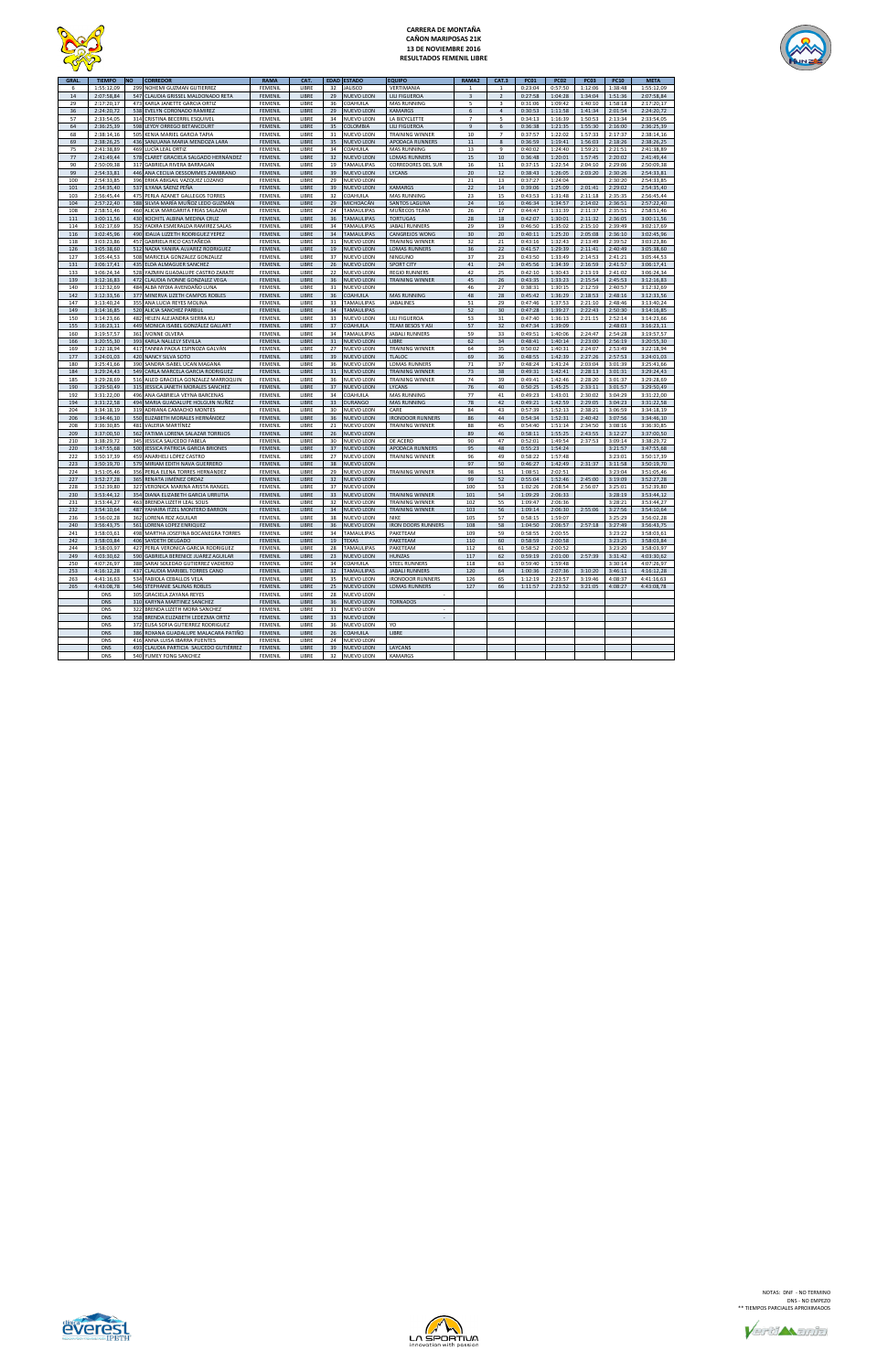

# **CARRERA DE MONTAÑA CAÑON MARIPOSAS 21K 13 DE NOVIEMBRE 2016 RESULTADOS FEMENIL LIBRE**



| <b>GRAL</b> | <b>TIEMPO</b> | <b>NO</b> | <b>CORREDOR</b>                        | <b>RAMA</b>    | CAT.         | <b>EDAD</b> | <b>ESTADO</b>     | EQUIPO                    | <b>RAMA2</b>            | CAT.3                   | <b>PC01</b> | <b>PC02</b> | <b>PC03</b> | <b>PC10</b> | <b>META</b> |
|-------------|---------------|-----------|----------------------------------------|----------------|--------------|-------------|-------------------|---------------------------|-------------------------|-------------------------|-------------|-------------|-------------|-------------|-------------|
|             | 1:55:12.09    | 299       | NOHEMI GUZMAN GUTIERREZ                | FEMENIL        | <b>IIBRF</b> | 32          | <b>JALISCO</b>    | <b>VERTIMANIA</b>         |                         |                         | 0:23:04     | 0:57:50     | 1:12:06     | 1:38:48     | 1:55:12.09  |
| 14          | 2:07:58,84    | 547       | CLAUDIA GRISSEL MALDONADO RETA         | FEMENIL        | LIBRE        | 29          | NUEVO LEON        | <b>LILI FIGUEROA</b>      | $\overline{\mathbf{3}}$ | $\mathfrak{p}$          | 0:27:58     | 1:04:28     | 1:34:04     | 1:51:36     | 2:07:58,84  |
| 29          | 2:17:20,17    | 473       | KARLA JANETTE GARCIA ORTIZ             | FEMENIL        | <b>IIBRF</b> | 36          | COAHUILA          | <b>MAS RUNNING</b>        | 5                       | $\overline{\mathbf{z}}$ | 0:31:06     | 1:09:42     | 1:40:10     | 1:58:18     | 2:17:20.17  |
| 36          | 2:24:20,72    |           | 538 EVELYN CORONADO RAMIREZ            | FEMENIL        | LIBRE        | 29          | NUEVO LEON        | <b>KAMARGS</b>            | 6                       | $\Delta$                | 0:30:53     | 1:11:58     | 1:41:34     | 2:01:54     | 2:24:20,72  |
|             |               |           |                                        |                |              |             |                   |                           |                         |                         |             |             |             |             |             |
| 57          | 2:33:54,05    |           | 314 CRISTINA BECERRIL ESQUIVEL         | FEMENIL        | LIBRE        | 34          | NUEVO LEON        | LA BICYCLETTE             | $\overline{7}$          | 5                       | 0:34:13     | 1:16:39     | 1:50:53     | 2:13:34     | 2:33:54,05  |
| 64          | 2:36:25,39    |           | 598 LEYDY ORREGO BETANCOURT            | FEMENIL        | LIBRE        | 35          | COLOMBIA          | <b>LILI FIGUEROA</b>      | $\overline{9}$          | 6                       | 0:36:38     | 1:21:35     | 1:55:30     | 2:16:00     | 2:36:25,39  |
| 68          | 2:38:14,16    | 505       | KENIA MARIEL GARCIA TAPIA              | <b>FEMENIL</b> | LIBRE        | 31          | NUEVO LEON        | <b>TRAINING WINNER</b>    | 10                      | $\overline{7}$          | 0:37:57     | 1:22:02     | 1:57:33     | 2:17:37     | 2:38:14,16  |
| 69          | 2:38:26,25    |           | 436 SANJUANA MARIA MENDOZA LARA        | FEMENIL        | LIBRE        | 35          | NUEVO LEON        | <b>APODACA RUNNERS</b>    | 11                      | 8                       | 0:36:59     | 1:19:41     | 1:56:03     | 2:18:26     | 2:38:26,25  |
| 75          | 2:41:38,89    |           | 469 LUCÍA LEAL ORTIZ                   | <b>FEMENIL</b> | LIBRE        | 34          | COAHUILA          | <b>MAS RUNNING</b>        | 13                      | 9                       | 0:40:02     | 1:24:40     | 1:59:21     | 2:21:51     | 2:41:38,89  |
| 77          | 2:41:49,44    |           | 578 CLARET GRACIELA SALGADO HERNÁNDEZ  | <b>FEMENIL</b> | LIBRE        | 32          | <b>NUEVO LEON</b> | <b>LOMAS RUNNERS</b>      | 15                      | 10                      | 0:36:48     | 1:20:01     | 1:57:45     | 2:20:02     | 2:41:49,44  |
| 90          | 2:50:09,38    |           | 317 GABRIELA RIVERA BARRAGAN           | FEMENIL        | LIBRE        | 19          | TAMAULIPAS        | <b>CORREDORES DEL SUR</b> | 16                      | $11\,$                  | 0:37:15     | 1:22:54     | 2:04:10     | 2:29:06     | 2:50:09,38  |
|             |               |           |                                        |                |              |             |                   |                           |                         |                         |             |             |             |             |             |
| 99          | 2:54:33,81    |           | 446 ANA CECILIA DESSOMMES ZAMBRANO     | <b>FEMENIL</b> | LIBRE        | 39          | <b>NUEVO LEON</b> | LYCANS                    | $20\,$                  | 12                      | 0:38:43     | 1:26:05     | 2:03:20     | 2:30:26     | 2:54:33,81  |
| 100         | 2:54:33,85    |           | 396 ERIKA ABIGAIL VAZQUEZ LOZANO       | FEMENIL        | LIBRE        | 29          | NUEVO LEON        |                           | 21                      | 13                      | 0:37:27     | 1:24:04     |             | 2:30:20     | 2:54:33,85  |
| 101         | 2:54:35,40    |           | 537 ILYANA SÁENZ PEÑA                  | FEMENIL        | LIBRE        | 39          | <b>NUEVO LEON</b> | <b>KAMARGS</b>            | 22                      | 14                      | 0:39:06     | 1:25:09     | 2:01:41     | 2:29:02     | 2:54:35,40  |
| 103         | 2:56:45,44    |           | 475 PERLA AZANET GALLEGOS TORRES       | FEMENIL        | LIBRE        | 32          | COAHUILA          | <b>MAS RUNNING</b>        | 23                      | 15                      | 0:43:53     | 1:31:48     | 2:11:18     | 2:35:35     | 2:56:45,44  |
| 104         | 2:57:22,40    |           | 588 SILVIA MARÍA MUÑOZ LEDO GUZMÁN     | FEMENIL        | LIBRE        | 29          | MICHOACÁN         | <b>SANTOS LAGUNA</b>      | $24\,$                  | 16                      | 0:46:34     | 1:34:57     | 2:14:02     | 2:36:51     | 2:57:22,40  |
| 108         | 2:58:51,46    |           | 460 ALICIA MARGARITA FRÍAS SALAZAR     | FEMENIL        | LIBRE        | 24          | TAMAULIPAS        | MUÑECOS TEAM              | 26                      | 17                      | 0:44:47     | 1:31:39     | 2:11:37     | 2:35:51     | 2:58:51,46  |
| 111         | 3:00:11,56    |           | 430 XOCHITL ALBINA MEDINA CRUZ         | <b>FEMENIL</b> | LIBRE        | 36          | <b>TAMAULIPAS</b> | TORTUGAS                  | ${\bf 28}$              | 18                      | 0:42:07     | 1:30:01     | 2:11:32     | 2:36:05     | 3:00:11,56  |
| 114         | 3:02:17,69    |           | 352 YADIRA ESMERALDA RAMIREZ SALAS     | FEMENIL        | LIBRE        | 34          | TAMAULIPAS        | JABALÍ RUNNERS            | 29                      | 19                      | 0:46:50     | 1:35:02     | 2:15:10     | 2:39:49     | 3:02:17,69  |
|             |               |           |                                        |                |              |             |                   |                           |                         |                         |             |             |             |             |             |
| 116         | 3:02:45,96    |           | 490 IDALIA LIZZETH RODRIGUEZ YEPEZ     | FEMENIL        | LIBRE        | 34          | <b>TAMAULIPAS</b> | CANGREJOS WONG            | 30                      | $20\,$                  | 0:40:11     | 1:25:20     | 2:05:08     | 2:36:10     | 3:02:45,96  |
| 118         | 3:03:23,86    | 457       | GABRIELA RICO CASTAÑEDA                | FEMENIL        | <b>IIBRF</b> | 31          | NUEVO LEON        | <b>TRAINING WINNER</b>    | 32                      | 21                      | 0:43:16     | 1:32:43     | 2:13:49     | 2:39:52     | 3:03:23,86  |
| 126         | 3:05:38,60    |           | 512 NADIA YANIRA ALVAREZ RODRIGUEZ     | FEMENIL        | LIBRE        | 19          | <b>NUEVO LEON</b> | <b>LOMAS RUNNERS</b>      | 36                      | 22                      | 0:41:57     | 1:29:39     | 2:11:41     | 2:40:49     | 3:05:38,60  |
| 127         | 3:05:44,53    |           | 508 MARICELA GONZALEZ GONZALEZ         | FEMENIL        | LIBRE        | 37          | <b>NUEVO LEON</b> | NINGUNO                   | 37                      | 23                      | 0:43:50     | 1:33:49     | 2:14:53     | 2:41:21     | 3:05:44,53  |
| 131         | 3:06:17,41    |           | 435 ELDA ALMAGUER SANCHEZ              | FEMENIL        | LIBRE        | 26          | <b>NUEVO LEON</b> | <b>SPORT CITY</b>         | 41                      | 24                      | 0:45:56     | 1:34:39     | 2:16:59     | 2:41:57     | 3:06:17,41  |
| 133         | 3:06:24,34    |           | 528 YAZMIN GUADALUPE CASTRO ZARATE     | <b>FFMFNII</b> | <b>IIBRF</b> | 22          | NUEVO LEON        | <b>REGIO RUNNERS</b>      | 42                      | 25                      | 0:42:10     | 1:30:43     | 2:13:19     | 2:41:02     | 3:06:24,34  |
| 139         | 3:12:16,83    | 472       | CLAUDIA IVONNE GONZALEZ VEGA           | FEMENIL        | LIBRE        | 36          | <b>NUEVO LEON</b> | <b>TRAINING WINNER</b>    | 45                      | 26                      | 0:43:35     | 1:33:23     | 2:15:54     | 2:45:53     | 3:12:16,83  |
| 140         | 3:12:32,69    | 484       | ALBA NYDIA AVENDAÑO LUNA               | FEMENIL        | LIBRE        | 31          | NUEVO LEON        |                           | 46                      | 27                      | 0:38:31     | 1:30:15     | 2:12:59     | 2:40:57     | 3:12:32,69  |
| 142         | 3:12:33,56    | 377       | MINERVA LIZETH CAMPOS ROBLES           | <b>FEMENIL</b> | <b>IIBRF</b> | 36          | COAHUILA          | <b>MAS RUNNING</b>        | 48                      | 28                      | 0:45:42     | 1:36:29     | 2:18:53     | 2:48:16     | 3:12:33,56  |
| 147         | 3:13:40,24    | 355       | ANA LUCIA REYES MOLINA                 | FEMENIL        | LIBRE        | 33          | TAMAULIPAS        | <b>JABALINES</b>          | 51                      | 29                      | 0:47:46     | 1:37:53     | 2:21:10     | 2:48:46     | 3:13:40,24  |
|             |               |           |                                        |                |              |             |                   |                           |                         |                         |             |             |             |             |             |
| 149         | 3:14:16,85    | 520       | ALICIA SANCHEZ PARBUL                  | <b>FEMENIL</b> | LIBRE        | 34          | <b>TAMAULIPAS</b> |                           | 52                      | 30                      | 0:47:28     | 1:39:27     | 2:22:43     | 2:50:30     | 3:14:16,85  |
| 150         | 3:14:23,66    | 482       | HELEN ALEJANDRA SIERRA KU              | FEMENIL        | LIBRE        | 33          | NUEVO LEON        | LILI FIGUEROA             | 53                      | 31                      | 0:47:40     | 1:36:13     | 2:21:15     | 2:52:14     | 3:14:23,66  |
| 155         | 3:16:23,11    | 449       | MONICA ISABEL GONZÁLEZ GALLART         | FEMENIL        | LIBRE        | 37          | COAHUILA          | <b>TEAM BESOS Y ASI</b>   | 57                      | 32                      | 0:47:34     | 1:39:09     |             | 2:48:03     | 3:16:23,11  |
| 160         | 3:19:57,57    | 361       | <b>IVONNE OI VERA</b>                  | FEMENIL        | LIBRE        | 34          | TAMAULIPAS        | <b>JABALL RUNNERS</b>     | 59                      | 33                      | 0:49:51     | 1:40:06     | 2:24:47     | 2:54:28     | 3:19:57,57  |
| 166         | 3:20:55,30    | 393       | KARLA NALLELY SEVILLA                  | <b>FEMENIL</b> | LIBRE        | 31          | NUEVO LEON        | LIBRE                     | 62                      | 34                      | 0:48:41     | 1:40:14     | 2:23:00     | 2:56:19     | 3:20:55,30  |
| 169         | 3:22:18,94    |           | 417 TANNIA PAOLA ESPINOZA GALVÁN       | FEMENIL        | LIBRE        | 27          | NUEVO LEON        | <b>TRAINING WINNER</b>    | 64                      | 35                      | 0:50:02     | 1:40:31     | 2:24:07     | 2:53:49     | 3:22:18,94  |
| 177         | 3:24:01,03    |           | 420 NANCY SILVA SOTO                   | <b>FEMENIL</b> | LIBRE        | 39          | <b>NUEVO LEON</b> | <b>TLALOC</b>             | 69                      | 36                      | 0:48:55     | 1:42:39     | 2:27:26     | 2:57:53     | 3:24:01,03  |
|             |               |           |                                        |                |              |             |                   |                           |                         |                         |             |             |             |             |             |
| 180         | 3:25:41,66    | 390       | SANDRA ISABEL UCAN MAGANA              | FEMENIL        | LIBRE        | 36          | NUEVO LEON        | LOMAS RUNNERS             | 71                      | 37                      | 0:48:24     | 1:41:24     | 2:03:04     | 3:01:39     | 3:25:41,66  |
| 184         | 3:29:24,43    | 549       | CARLA MARCELA GARCIA RODRIGUEZ         | <b>FEMENIL</b> | LIBRE        | 31          | NUEVO LEON        | <b>TRAINING WINNER</b>    | 73                      | 38                      | 0:49:31     | 1:42:41     | 2:28:13     | 3:01:31     | 3:29:24,43  |
| 185         | 3:29:28,69    |           | 516 AILED GRACIELA GONZALEZ MARROQUIN  | FEMENIL        | LIBRE        | 36          | NUEVO LEON        | <b>TRAINING WINNER</b>    | 74                      | 39                      | 0:49:41     | 1:42:46     | 2:28:20     | 3:01:37     | 3:29:28,69  |
| 190         | 3:29:50,49    | 315       | JESSICA JANETH MORALES SANCHEZ         | FEMENIL        | LIBRE        | 37          | NUEVO LEON        | <b>LYCANS</b>             | 76                      | 40                      | 0:50:25     | 1:45:25     | 2:33:11     | 3:01:57     | 3:29:50,49  |
| 192         | 3:31:22,00    | 496       | ANA GABRIELA VEYNA BARCENAS            | FEMENIL        | LIBRE        | 34          | COAHUILA          | <b>MAS RUNNING</b>        | 77                      | 41                      | 0:49:23     | 1:43:01     | 2:30:02     | 3:04:29     | 3:31:22,00  |
| 194         | 3:31:22,58    | 494       | MARIA GUADALUPE HOLGUIN NUÑEZ          | FEMENIL        | LIBRE        | 33          | <b>DURANGO</b>    | <b>MAS RUNNING</b>        | 78                      | 42                      | 0:49:21     | 1:42:59     | 2:29:05     | 3:04:23     | 3:31:22,58  |
| 204         | 3:34:18,19    | 319       | ADRIANA CAMACHO MONTES                 | FEMENIL        | LIBRE        | 30          | NUEVO LEON        | CARE                      | 84                      | 43                      | 0:57:39     | 1:52:13     | 2:38:21     | 3:06:59     | 3:34:18,19  |
| 206         | 3:34:46,10    | 550       | ELIZABETH MORALES HERNÁNDEZ            | FEMENIL        | LIBRE        | 36          | NUEVO LEON        | <b>IRONDOOR RUNNERS</b>   | 86                      | 44                      | 0:54:34     | 1:52:31     | 2:40:42     | 3:07:56     | 3:34:46,10  |
| 208         | 3:36:30,85    | 481       | VALERIA MARTÍNEZ                       | FEMENIL        | LIBRE        | 21          | NUEVO LEON        | <b>TRAINING WINNER</b>    | 88                      | 45                      | 0:54:40     | 1:51:14     | 2:34:50     | 3:08:16     | 3:36:30,85  |
|             |               |           |                                        |                |              |             |                   |                           |                         |                         |             |             |             |             |             |
| 209         | 3:37:00,50    | 562       | FATIMA LORENA SALAZAR TORRIJOS         | FEMENIL        | LIBRE        | 26          | NUEVO LEON        |                           | 89                      | 46                      | 0:58:11     | 1:55:25     | 2:43:55     | 3:12:27     | 3:37:00,50  |
| 210         | 3:38:29,72    | 345       | JESSICA SAUCEDO FABELA                 | FEMENIL        | LIBRE        | 30          | NUEVO LEON        | DE ACERO                  | 90                      | 47                      | 0:52:01     | 1:49:54     | 2:37:53     | 3:09:14     | 3:38:29,72  |
| 220         | 3:47:55,68    | 500       | JESSICA PATRICIA GARCIA BRIONES        | <b>FEMENIL</b> | LIBRE        | 37          | <b>NUEVO LEON</b> | <b>APODACA RUNNERS</b>    | 95                      | 48                      | 0:55:23     | 1:54:24     |             | 3:21:57     | 3:47:55,68  |
| 222         | 3:50:17,39    | 459       | ANARHELI LÓPEZ CASTRO                  | FEMENIL        | LIBRE        | 27          | NUEVO LEON        | <b>TRAINING WINNER</b>    | 96                      | 49                      | 0:58:22     | 1:57:48     |             | 3:23:01     | 3:50:17,39  |
| 223         | 3:50:19,70    | 579       | MIRIAM EDITH NAVA GUERRERO             | <b>FEMENIL</b> | LIBRE        | 38          | NUEVO LEON        |                           | 97                      | 50                      | 0:46:27     | 1:42:49     | 2:31:37     | 3:11:58     | 3:50:19,70  |
| 224         | 3:51:05,46    | 356       | PERLA ELENA TORRES HERNANDEZ           | FEMENIL        | LIBRE        | 29          | NUEVO LEON        | <b>TRAINING WINNER</b>    | 98                      | 51                      | 1:08:51     | 2:02:51     |             | 3:23:04     | 3:51:05,46  |
| 227         | 3:52:27,28    | 365       | RENATA JIMÉNEZ ORDAZ                   | FEMENIL        | LIBRE        | 32          | NUEVO LEON        |                           | 99                      | 52                      | 0:55:04     | 1:52:46     | 2:45:00     | 3:19:09     | 3:52:27,28  |
| 228         | 3:52:39.80    | 327       | VERONICA MARINA ARISTA RANGEL          | <b>FFMFNII</b> | <b>IIBRF</b> | 37          | NUEVO LEON        |                           | 100                     | 53                      | 1:02:26     | 2:08:54     | 2:56:07     | 3:25:01     | 3:52:39.80  |
| 230         | 3:53:44,12    |           | 354 DIANA ELIZABETH GARCIA URRUTIA     | FEMENIL        | LIBRE        | 33          | NUEVO LEON        | <b>TRAINING WINNER</b>    | 101                     | 54                      | 1:09:29     | 2:06:33     |             | 3:28:19     | 3:53:44,12  |
| 231         | 3:53:44,27    | 463       | BRENDA LIZETH LEAL SOLIS               | FEMENIL        | LIBRE        | 32          | NUEVO LEON        | <b>TRAINING WINNER</b>    | 102                     | 55                      | 1:09:47     | 2:06:36     |             | 3:28:21     | 3:53:44,27  |
|             |               |           |                                        |                |              |             |                   |                           |                         |                         |             |             |             |             |             |
| 232         | 3:54:10,64    |           | 487 YAHAIRA ITZEL MONTERO BARRON       | <b>FFMFNII</b> | LIBRE        | 34          | <b>NUEVO LEON</b> | <b>TRAINING WINNER</b>    | 103                     | 56                      | 1:09:14     | 2:06:30     | 2:55:06     | 3:27:56     | 3:54:10,64  |
| 236         | 3:56:02,28    | 362       | <b>LORENA RDZ AGUILAR</b>              | FEMENIL        | LIBRE        | 38          | NUEVO LEON        | NIKE                      | 105                     | 57                      | 0:58:15     | 1:59:07     |             | 3:25:29     | 3:56:02,28  |
| 240         | 3:56:43,75    |           | 561 LORENA LOPEZ ENRIQUEZ              | <b>FFMFNII</b> | LIBRE        | 36          | <b>NUEVO LEON</b> | <b>IRON DOORS RUNNERS</b> | 108                     | 58                      | 1:04:50     | 2:06:57     | 2:57:18     | 3:27:49     | 3:56:43,75  |
| 241         | 3:58:03.61    |           | 498 MARTHA JOSEFINA BOCANEGRA TORRES   | <b>FEMENIL</b> | LIBRE        | 34          | TAMAULIPAS        | PAKETEAM                  | 109                     | 59                      | 0:58:55     | 2:00:55     |             | 3:23:22     | 3:58:03.61  |
| 242         | 3:58:03,84    |           | 406 SAYDETH DELGADO                    | FEMENIL        | LIBRE        | 19          | <b>TEXAS</b>      | PAKETEAM                  | 110                     | 60                      | 0:58:59     | 2:00:58     |             | 3:23:25     | 3:58:03,84  |
| 244         | 3:58:03,97    |           | 427 PERLA VERONICA GARCIA RODRIGUEZ    | <b>FEMENIL</b> | LIBRE        | 28          | TAMAULIPAS        | PAKETEAM                  | 112                     | 61                      | 0:58:52     | 2:00:52     |             | 3:23:20     | 3:58:03,97  |
| 249         | 4:03:30,62    |           | 590 GABRIELA BERENICE JUAREZ AGUILAR   | FEMENIL        | LIBRE        | 23          | <b>NUEVO LEON</b> | <b>HUNZAS</b>             | 117                     | 62                      | 0:59:19     | 2:01:00     | 2:57:39     | 3:31:42     | 4:03:30,62  |
| 250         | 4:07:26,97    |           | 388 SARAI SOLEDAD GUTIERREZ VADIERIO   | FEMENIL        | LIBRE        | 34          | COAHUILA          | <b>STEEL RUNNERS</b>      | 118                     | 63                      | 0:59:40     | 1:59:48     |             | 3:30:14     | 4:07:26,97  |
|             |               |           |                                        |                |              |             |                   |                           |                         |                         |             |             |             |             |             |
| 253         | 4:16:12,28    |           | 437 CLAUDIA MARIBEL TORRES CANO        | FEMENIL        | LIBRE        | 32          | <b>TAMAULIPAS</b> | <b>JABALI RUNNERS</b>     | 120                     | 64                      | 1:00:36     | 2:07:36     | 3:10:20     | 3:46:11     | 4:16:12,28  |
| 263         | 4:41:16,63    |           | 534 FABIOLA CEBALLOS VELA              | FEMENIL        | LIBRE        | 35          | NUEVO LEON        | <b>IRONDOOR RUNNERS</b>   | 126                     | 65                      | 1:12:19     | 2:23:57     | 3:19:46     | 4:08:37     | 4:41:16,63  |
| 265         | 4:43:08,78    |           | 546 STEPHANIE SALINAS ROBLES           | FEMENIL        | LIBRE        | 25          | <b>NUEVO LEON</b> | <b>LOMAS RUNNERS</b>      | 127                     | 66                      | 1:11:57     | 2:23:52     | 3:21:05     | 4:08:27     | 4:43:08,78  |
|             | DNS           |           | 305 GRACIELA ZAYANA REYES              | FEMENIL        | LIBRE        | 28          | NUEVO LEON        |                           |                         |                         |             |             |             |             |             |
|             | <b>DNS</b>    |           | 310 KARYNA MARTINEZ SANCHEZ            | FEMENIL        | LIBRE        | 36          | <b>NUEVO LEON</b> | <b>TORNADOS</b>           |                         |                         |             |             |             |             |             |
|             | <b>DNS</b>    |           | 322 BRENDA LIZETH MORA SANCHEZ         | FEMENIL        | LIBRE        | 31          | NUEVO LEON        | $\overline{\phantom{a}}$  |                         |                         |             |             |             |             |             |
|             | <b>DNS</b>    |           | 358 BRENDA ELIZABETH LEDEZMA ORTIZ     | <b>FEMENIL</b> | LIBRE        | 33          | NUEVO LEON        |                           |                         |                         |             |             |             |             |             |
|             | <b>DNS</b>    | 372       | ELISA SOFIA GUTIERREZ RODRIGUEZ        | FEMENIL        | <b>IIBRF</b> | 36          | NUEVO LEON        | YO                        |                         |                         |             |             |             |             |             |
|             | <b>DNS</b>    |           |                                        | FEMENIL        | <b>IIBRF</b> | 26          | COAHUILA          | <b>LIBRE</b>              |                         |                         |             |             |             |             |             |
|             |               |           | 386 ROXANA GUADALUPE MALACARA PATIÑO   |                |              |             |                   |                           |                         |                         |             |             |             |             |             |
|             | <b>DNS</b>    |           | 416 ANNA LUISA IBARRA PUENTES          | FEMENIL        | LIBRE        | 24          | NUEVO LEON        |                           |                         |                         |             |             |             |             |             |
|             | <b>DNS</b>    |           | 493 CLAUDIA PARTICIA SAUCEDO GUTIÉRREZ | FEMENIL        | LIBRE        | 39          | <b>NUEVO LEON</b> | LAYCANS                   |                         |                         |             |             |             |             |             |
|             | <b>DNS</b>    |           | 540 YUMEY FONG SANCHEZ                 | <b>FEMENIL</b> | <b>IIBRF</b> | 32          | NUEVO LEON        | <b>KAMARGS</b>            |                         |                         |             |             |             |             |             |





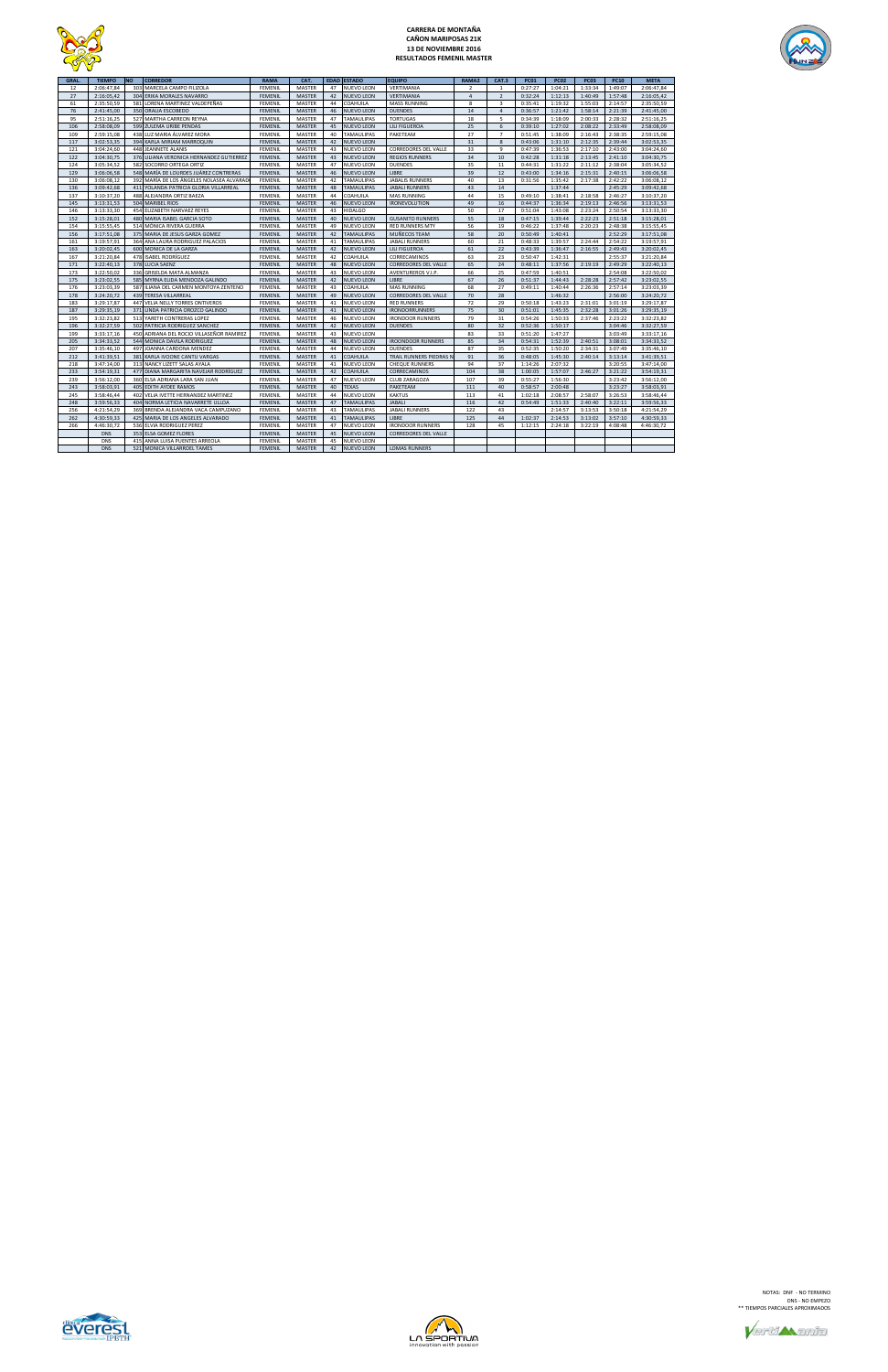

# **CARRERA DE MONTAÑA CAÑON MARIPOSAS 21K 13 DE NOVIEMBRE 2016 RESULTADOS FEMENIL MASTER**



| GRAL. | <b>TIEMPO</b> | <b>NO</b> | <b>CORREDOR</b>                          | <b>RAMA</b>    | CAT.          |    | <b>EDAD ESTADO</b> | <b>EQUIPO</b>               | RAMA2          | CAT.3          | <b>PC01</b> | <b>PC02</b> | <b>PC03</b> | <b>PC10</b> | <b>META</b> |
|-------|---------------|-----------|------------------------------------------|----------------|---------------|----|--------------------|-----------------------------|----------------|----------------|-------------|-------------|-------------|-------------|-------------|
| 12    | 2:06:47,84    |           | 303 MARCELA CAMPO FILIZOLA               | FEMENIL        | MASTER        | 47 | <b>NUEVO LEON</b>  | VERTIMANIA                  | $\overline{2}$ | <sup>1</sup>   | 0:27:27     | 1:04:21     | 1:33:34     | 1:49:07     | 2:06:47,84  |
| 27    | 2:16:05,42    | 304       | ERIKA MORALES NAVARRO                    | <b>FEMENIL</b> | <b>MASTER</b> | 42 | <b>NUEVO LEON</b>  | VERTIMANIA                  | $\overline{4}$ | $\overline{2}$ | 0:32:24     | 1:12:13     | 1:40:49     | 1:57:48     | 2:16:05,42  |
| 61    | 2:35:50.59    | 581       | LORENA MARTINEZ VALDEPEÑAS               | <b>FEMENIL</b> | MASTER        | 44 | COAHUILA           | <b>MASS RUNNING</b>         | 8              | $\overline{3}$ | 0:35:41     | 1:19:32     | 1:55:03     | 2:14:57     | 2:35:50.59  |
| 76    | 2:41:45,00    | 350       | ORALIA ESCOBEDO                          | <b>FEMENIL</b> | <b>MASTER</b> | 46 | <b>NUEVO LEON</b>  | <b>DUENDES</b>              | 14             | $\overline{4}$ | 0:36:57     | 1:21:42     | 1:58:14     | 2:21:39     | 2:41:45,00  |
| 95    | 2:51:16,25    |           | 527 MARTHA CARREON REYNA                 | FEMENIL        | MASTER        | 47 | <b>TAMAULIPAS</b>  | <b>TORTUGAS</b>             | 18             | 5              | 0:34:39     | 1:18:09     | 2:00:33     | 2:28:32     | 2:51:16,25  |
| 106   | 2:58:08,09    | 599       | ZULEMA URIBE PENDAS                      | <b>FEMENIL</b> | MASTER        | 45 | NUEVO LEON         | LILI FIGUEROA               | 25             | 6              | 0:39:10     | 1:27:02     | 2:08:22     | 2:33:49     | 2:58:08,09  |
| 109   | 2:59:15,08    | 438       | LUZ MARIA ÁLVAREZ MORA                   | FEMENIL        | MASTER        | 40 | <b>TAMAULIPAS</b>  | PAKETEAM                    | 27             | $\overline{7}$ | 0:51:45     | 1:38:09     | 2:16:43     | 2:38:35     | 2:59:15,08  |
| 117   | 3:02:53,35    | 394       | KARLA MIRIAM MARROQUIN                   | <b>FEMENIL</b> | <b>MASTER</b> | 42 | <b>NUEVO LEON</b>  |                             | 31             | 8              | 0:43:06     | 1:31:10     | 2:12:35     | 2:39:44     | 3:02:53,35  |
| 121   | 3:04:24,60    | 448       | <b>JEANNETE ALANIS</b>                   | FEMENIL        | MASTER        | 43 | NUEVO LEON         | CORREDORES DEL VALLE        | 33             | 9              | 0:47:39     | 1:36:53     | 2:17:10     | 2:43:00     | 3:04:24,60  |
| 122   | 3:04:30.75    | 376       | LILIANA VERONICA HERNANDEZ GUTIERREZ     | <b>FEMENIL</b> | <b>MASTER</b> | 43 | <b>NUEVO LEON</b>  | <b>REGIOS RUNNERS</b>       | 34             | 10             | 0:42:28     | 1:31:18     | 2:13:45     | 2:41:10     | 3:04:30.75  |
| 124   | 3:05:34,52    | 582       | SOCORRO ORTEGA ORTIZ                     | FEMENIL        | MASTER        | 47 | NUEVO LEON         | <b>DUENDES</b>              | 35             | 11             | 0:44:31     | 1:31:22     | 2:11:12     | 2:38:04     | 3:05:34,52  |
| 129   | 3:06:06,58    | 548       | MARÍA DE LOURDES JUÁREZ CONTRERAS        | <b>FEMENIL</b> | <b>MASTER</b> | 46 | NUEVO LEON         | <b>LIBRE</b>                | 39             | 12             | 0:43:00     | 1:34:16     | 2:15:31     | 2:40:15     | 3:06:06,58  |
| 130   | 3:06:08,12    | 392       | MARÍA DE LOS ÁNGELES NOLASEA ALVARAD     | FEMENIL        | MASTER        | 42 | TAMAULIPAS         | <b>JABALIS RUNNERS</b>      | 40             | 13             | 0:31:56     | 1:35:42     | 2:17:38     | 2:42:22     | 3:06:08,12  |
| 136   | 3:09:42,68    | 411       | YOLANDA PATRICIA GLORIA VILLARREAL       | <b>FEMENIL</b> | <b>MASTER</b> | 48 | <b>TAMAULIPAS</b>  | <b>JABALI RUNNERS</b>       | 43             | 14             |             | 1:37:44     |             | 2:45:29     | 3:09:42,68  |
| 137   | 3:10:37,20    | 488       | ALEJANDRA ORTIZ BAEZA                    | FEMENIL        | MASTER        | 44 | COAHUILA           | <b>MAS RUNNING</b>          | 44             | 15             | 0:49:10     | 1:38:41     | 2:18:58     | 2:46:27     | 3:10:37,20  |
| 145   | 3:13:31,53    | 504       | <b>MARIBEL RIOS</b>                      | <b>FEMENIL</b> | <b>MASTER</b> | 46 | <b>NUEVO LEON</b>  | <b>IRONEVOLUTION</b>        | 49             | 16             | 0:44:37     | 1:36:34     | 2:19:13     | 2:46:56     | 3:13:31,53  |
| 146   | 3:13:33,30    | 454       | ELIZABETH NARVAEZ REYES                  | <b>FEMENIL</b> | <b>MASTER</b> | 43 | <b>HIDALGO</b>     |                             | 50             | 17             | 0:51:04     | 1:43:08     | 2:23:24     | 2:50:54     | 3:13:33,30  |
| 152   | 3:15:28,01    | 480       | MARIA ISABEL GARCIA SOTO                 | <b>FEMENIL</b> | <b>MASTER</b> | 40 | <b>NUEVO LEON</b>  | <b>GUSANITO RUNNERS</b>     | 55             | 18             | 0:47:15     | 1:39:44     | 2:22:23     | 2:51:18     | 3:15:28,01  |
| 154   | 3:15:55,45    | 514       | MÓNICA RIVERA GUERRA                     | FEMENIL        | MASTER        | 49 | <b>NUEVO LEON</b>  | RED RUNNERS MTY             | 56             | 19             | 0:46:22     | 1:37:48     | 2:20:23     | 2:48:38     | 3:15:55,45  |
| 156   | 3:17:51,08    | 375       | MARIA DE JESUS GARZA GOMEZ               | <b>FEMENIL</b> | <b>MASTER</b> | 42 | <b>TAMAULIPAS</b>  | MUÑECOS TEAM                | 58             | 20             | 0:50:49     | 1:40:41     |             | 2:52:29     | 3:17:51,08  |
| 161   | 3:19:57,91    | 364       | ANA LAURA RODRIGUEZ PALACIOS             | FEMENIL        | MASTER        | 41 | <b>TAMAULIPAS</b>  | <b>JABALI RUNNERS</b>       | 60             | 21             | 0:48:33     | 1:39:57     | 2:24:44     | 2:54:22     | 3:19:57,91  |
| 163   | 3:20:02,45    | 600       | MONICA DE LA GARZA                       | <b>FEMENIL</b> | <b>MASTER</b> | 42 | NUEVO LEON         | LILI FIGUEROA               | 61             | 22             | 0:43:39     | 1:36:47     | 2:16:55     | 2:49:43     | 3:20:02,45  |
| 167   | 3:21:20,84    | 478       | <b>ISABEL RODRÍGUEZ</b>                  | FEMENIL        | MASTER        | 42 | COAHUILA           | CORRECAMINOS                | 63             | 23             | 0:50:47     | 1:42:31     |             | 2:55:37     | 3:21:20,84  |
| 171   | 3:22:40.13    | 378       | <b>LUCIA SAENZ</b>                       | <b>FEMENIL</b> | <b>MASTER</b> | 48 | <b>NUEVO LEON</b>  | <b>CORREDORES DEL VALLE</b> | 65             | 24             | 0:48:11     | 1:37:56     | 2:19:19     | 2:49:29     | 3:22:40.13  |
| 173   | 3:22:50,02    | 336       | GRISELDA MATA ALMANZA                    | <b>FEMENIL</b> | MASTER        | 43 | <b>NUEVO LEON</b>  | <b>AVENTUREROS V.I.P.</b>   | 66             | 25             | 0:47:59     | 1:40:51     |             | 2:54:08     | 3:22:50,02  |
| 175   | 3:23:02,55    | 585       | MYRNA ELIDA MENDOZA GALINDO              | <b>FEMENIL</b> | <b>MASTER</b> | 42 | <b>NUEVO LEON</b>  | LIBRE                       | 67             | 26             | 0:51:37     | 1:44:43     | 2:28:28     | 2:57:42     | 3:23:02,55  |
| 176   | 3:23:03,39    | 587       | ILIANA DEL CARMEN MONTOYA ZENTENO        | FEMENIL        | MASTER        | 43 | COAHUILA           | <b>MAS RUNNING</b>          | 68             | 27             | 0:49:11     | 1:40:44     | 2:26:36     | 2:57:14     | 3:23:03,39  |
| 178   | 3:24:20.72    | 439       | <b>TERESA VILLARREAL</b>                 | <b>FEMENIL</b> | <b>MASTER</b> | 49 | NUEVO LEON         | <b>CORREDORES DEL VALLE</b> | 70             | 28             |             | 1:46:32     |             | 2:56:00     | 3:24:20,72  |
| 183   | 3:29:17.87    | 447       | VELIA NELLY TORRES ONTIVEROS             | FEMENIL        | MASTER        | 41 | NUEVO LEON         | <b>RED RUNNERS</b>          | 72             | 29             | 0:50:18     | 1:43:23     | 2:31:01     | 3:01:19     | 3:29:17,87  |
| 187   | 3:29:35,19    |           | 371 LINDA PATRICIA OROZCO GALINDO        | <b>FEMENIL</b> | <b>MASTER</b> | 41 | NUEVO LEON         | <b>IRONDORRUNNERS</b>       | 75             | 30             | 0:51:01     | 1:45:35     | 2:32:28     | 3:01:26     | 3:29:35,19  |
| 195   | 3:32:23,82    |           | 513 YARETH CONTRERAS LOPEZ               | FEMENIL        | MASTER        | 46 | <b>NUEVO LEON</b>  | <b>IRONDOOR RUNNERS</b>     | 79             | 31             | 0:54:26     | 1:50:33     | 2:37:46     | 2:23:22     | 3:32:23,82  |
| 196   | 3:32:27.59    |           | 502 PATRICIA RODRIGUEZ SANCHEZ           | <b>FEMENIL</b> | <b>MASTER</b> | 42 | <b>NUEVO LEON</b>  | <b>DUENDES</b>              | 80             | 32             | 0:52:36     | 1:50:17     |             | 3:04:46     | 3:32:27.59  |
| 199   | 3:33:17,16    |           | 450 ADRIANA DEL ROCIO VILLASEÑOR RAMIREZ | FEMENIL        | MASTER        | 43 | <b>NUEVO LEON</b>  |                             | 83             | 33             | 0:51:20     | 1:47:27     |             | 3:03:49     | 3:33:17,16  |
| 205   | 3:34:33,52    | 544       | MONICA DAVILA RODRIGUEZ                  | <b>FEMENIL</b> | <b>MASTER</b> | 48 | <b>NUEVO LEON</b>  | <b>IROONDOOR RUNNERS</b>    | 85             | 34             | 0:54:31     | 1:52:39     | 2:40:51     | 3:08:01     | 3:34:33,52  |
| 207   | 3:35:46,10    | 497       | JOANNA CARDONA MENDEZ                    | FEMENIL        | MASTER        | 44 | NUEVO LEON         | <b>DUENDES</b>              | 87             | 35             | 0:52:35     | 1:50:20     | 2:34:31     | 3:07:49     | 3:35:46,10  |
| 212   | 3:41:39,51    | 381       | KARLA IVOONE CANTU VARGAS                | <b>FEMENIL</b> | <b>MASTER</b> | 41 | COAHUILA           | TRAIL RUNNERS PIEDRAS N     | 91             | 36             | 0:48:05     | 1:45:30     | 2:40:14     | 3:13:14     | 3:41:39,51  |
| 218   | 3:47:14,00    |           | 313 NANCY LIZETT SALAS AYALA             | FEMENIL        | MASTER        | 41 | <b>NUEVO LEON</b>  | <b>CHEQUE RUNNERS</b>       | 94             | 37             | 1:14:26     | 2:07:32     |             | 3:20:55     | 3:47:14,00  |
| 233   | 3:54:19,31    | 477       | DIANA MARGARITA NAVEJAR RODRÍGUEZ        | FEMENIL        | <b>MASTER</b> | 42 | COAHUILA           | CORRECAMINOS                | 104            | 38             | 1:00:05     | 1:57:07     | 2:46:27     | 3:21:22     | 3:54:19,31  |
| 239   | 3:56:12,00    | 360       | ELSA ADRIANA LARA SAN JUAN               | FEMENIL        | MASTER        | 47 | NUEVO LEON         | <b>CLUB ZARAGOZA</b>        | 107            | 39             | 0:55:27     | 1:56:30     |             | 3:23:42     | 3:56:12,00  |
| 243   | 3:58:03.91    | 405       | <b>EDITH AYDEE RAMOS</b>                 | <b>FEMENIL</b> | <b>MASTER</b> | 40 | <b>TEXAS</b>       | PAKETEAM                    | 111            | 40             | 0:58:57     | 2:00:48     |             | 3:23:27     | 3:58:03,91  |
| 245   | 3:58:46,44    | 402       | VELIA IVETTE HERNANDEZ MARTINEZ          | <b>FEMENIL</b> | MASTER        | 44 | <b>NUEVO LEON</b>  | <b>KAKTUS</b>               | 113            | 41             | 1:02:18     | 2:08:57     | 2:58:07     | 3:26:53     | 3:58:46,44  |
| 248   | 3:59:56,33    | 404       | NORMA LETICIA NAVARRETE ULLOA            | <b>FEMENIL</b> | <b>MASTER</b> | 47 | <b>TAMAULIPAS</b>  | <b>JABALI</b>               | 116            | 42             | 0:54:49     | 1:51:33     | 2:40:40     | 3:22:11     | 3:59:56,33  |
| 256   | 4:21:54,29    | 369       | BRENDA ALEJANDRA VACA CAMPUZANO          | FEMENIL        | MASTER        | 43 | TAMAULIPAS         | <b>JABALI RUNNERS</b>       | 122            | 43             |             | 2:14:57     | 3:13:53     | 3:50:18     | 4:21:54,29  |
| 262   | 4:30:59,33    | 425       | MARIA DE LOS ANGELES ALVARADO            | <b>FEMENIL</b> | <b>MASTER</b> | 41 | <b>TAMAULIPAS</b>  | <b>LIBRE</b>                | 125            | 44             | 1:02:37     | 2:14:53     | 3:13:02     | 3:57:10     | 4:30:59,33  |
| 266   | 4:46:30,72    | 536       | ELVIA RODRIGUEZ PEREZ                    | FEMENIL        | MASTER        | 47 | NUEVO LEON         | <b>IRONDOOR RUNNERS</b>     | 128            | 45             | 1:12:15     | 2:24:18     | 3:22:19     | 4:08:48     | 4:46:30,72  |
|       | <b>DNS</b>    | 353       | <b>ELSA GOMEZ FLORES</b>                 | <b>FEMENIL</b> | <b>MASTER</b> | 45 | NUEVO LEON         | <b>CORREDORES DEL VALLE</b> |                |                |             |             |             |             |             |
|       | <b>DNS</b>    | 415       | ANNA LUISA PUENTES ARREOLA               | <b>FEMENIL</b> | <b>MASTER</b> | 45 | NUEVO LEON         |                             |                |                |             |             |             |             |             |
|       | <b>DNS</b>    |           | 521 MONICA VILLARROEL TAMES              | <b>FEMENIL</b> | <b>MASTER</b> | 42 | <b>NUEVO LEON</b>  | <b>LOMAS RUNNERS</b>        |                |                |             |             |             |             |             |
|       |               |           |                                          |                |               |    |                    |                             |                |                |             |             |             |             |             |





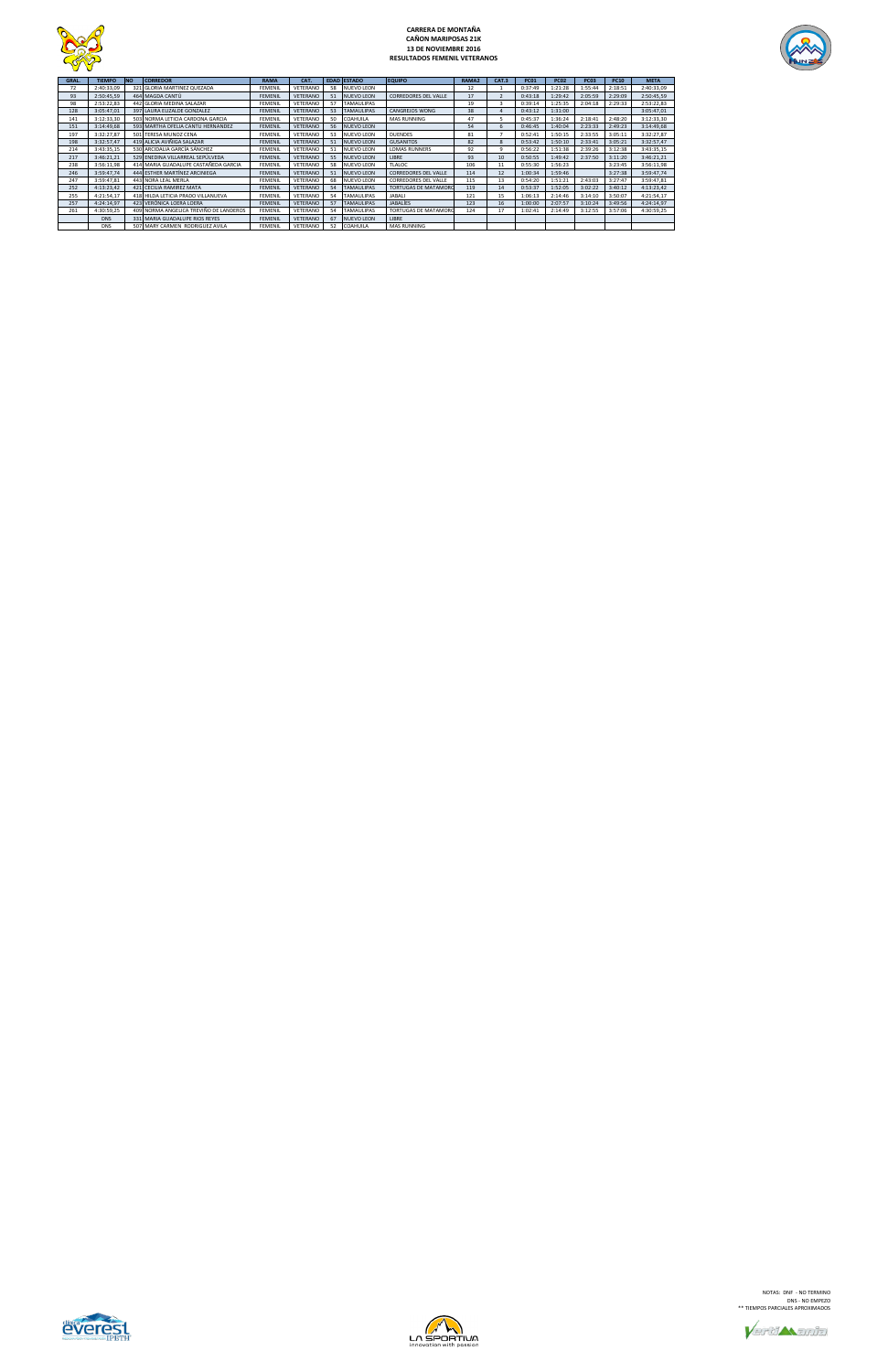

# **CARRERA DE MONTAÑA CAÑON MARIPOSAS 21K 13 DE NOVIEMBRE 2016 RESULTADOS FEMENIL VETERANOS**



| GRAL. | <b>TIEMPO</b> | <b>INO</b> | <b>CORREDOR</b>                        | <b>RAMA</b>    | CAT.            |    | <b>EDAD ESTADO</b> | <b>EQUIPO</b>               | RAMA2 | CAT.3 | <b>PC01</b> | <b>PC02</b> | <b>PC03</b> | <b>PC10</b> | <b>META</b> |
|-------|---------------|------------|----------------------------------------|----------------|-----------------|----|--------------------|-----------------------------|-------|-------|-------------|-------------|-------------|-------------|-------------|
| 72    | 2:40:33,09    |            | 321 GLORIA MARTINEZ QUEZADA            | <b>FEMENIL</b> | VETERANO        | 58 | <b>NUEVO LEON</b>  |                             | 12    |       | 0:37:49     | 1:21:28     | 1:55:44     | 2:18:51     | 2:40:33,09  |
| 93    | 2:50:45.59    |            | 464 MAGDA CANTÚ                        | <b>FEMENIL</b> | <b>VETERANO</b> | 51 | <b>NUEVO LEON</b>  | <b>CORREDORES DEL VALLE</b> | 17    |       | 0:43:18     | 1:29:42     | 2:05:59     | 2:29:09     | 2:50:45,59  |
| 98    | 2:53:22.83    |            | 442 GLORIA MEDINA SALAZAR              | <b>FEMENIL</b> | VETERANO        | 57 | <b>TAMAULIPAS</b>  |                             | 19    |       | 0:39:14     | 1:25:35     | 2:04:18     | 2:29:33     | 2:53:22,83  |
| 128   | 3:05:47,01    |            | 397 LAURA ELIZALDE GONZALEZ            | <b>FEMENIL</b> | VETERANO        | 53 | <b>TAMAULIPAS</b>  | <b>CANGREJOS WONG</b>       | 38    |       | 0:43:12     | 1:31:00     |             |             | 3:05:47,01  |
| 141   | 3:12:33,30    |            | 503 NORMA LETICIA CARDONA GARCIA       | <b>FEMENIL</b> | VETERANO        | 50 | COAHUILA           | MAS RUNNING                 | 47    |       | 0:45:37     | 1:36:24     | 2:18:41     | 2:48:20     | 3:12:33,30  |
| 151   | 3:14:49,68    |            | 593 MARTHA OFELIA CANTU HERNANDEZ      | FEMENIL        | VETERANO        | 56 | <b>NUEVO LEON</b>  |                             | 54    |       | 0:46:45     | 1:40:04     | 2:23:33     | 2:49:23     | 3:14:49,68  |
| 197   | 3:32:27,87    |            | 501 TERESA MUNOZ CENA                  | <b>FEMENIL</b> | VETERANO        | 53 | NUEVO LEON         | <b>DUENDES</b>              | 81    |       | 0:52:41     | 1:50:15     | 2:33:55     | 3:05:11     | 3:32:27,87  |
| 198   | 3:32:57,47    |            | 419 ALICIA AVIÑIGA SALAZAR             | <b>FEMENIL</b> | VETERANO        | 51 | <b>NUEVO LEON</b>  | <b>GUSANITOS</b>            | 82    |       | 0:53:42     | 1:50:10     | 2:33:41     | 3:05:21     | 3:32:57,47  |
| 214   | 3:43:35,15    |            | 530 ARCIDALIA GARCÍA SÁNCHEZ           | <b>FEMENIL</b> | VETERANO        | 51 | <b>NUEVO LEON</b>  | <b>LOMAS RUNNERS</b>        | 92    |       | 0:56:22     | 1:51:38     | 2:39:26     | 3:12:38     | 3:43:35,15  |
| 217   | 3:46:21.21    |            | 529 ENEDINA VILLARREAL SEPÚLVEDA       | <b>FEMENIL</b> | VETERANO        | 55 | <b>NUEVO LEON</b>  | LIBRE                       | 93    | 10    | 0:50:55     | 1:49:42     | 2:37:50     | 3:11:20     | 3:46:21,21  |
| 238   | 3:56:11,98    |            | 414 MARIA GUADALUPE CASTAÑEDA GARCIA   | <b>FEMENIL</b> | VETERANO        | 58 | NUEVO LEON         | <b>TLALOC</b>               | 106   | 11    | 0:55:30     | 1:56:23     |             | 3:23:45     | 3:56:11,98  |
| 246   | 3:59:47.74    |            | 444 ESTHER MARTÍNEZ ARCINIEGA          | <b>FEMENIL</b> | VETERANO        | 51 | <b>NUEVO LEON</b>  | <b>CORREDORES DEL VALLE</b> | 114   | 12    | 1:00:34     | 1:59:46     |             | 3:27:38     | 3:59:47,74  |
| 247   | 3:59:47,81    |            | 443 NORA LEAL MERLA                    | <b>FEMENIL</b> | VETERANO        | 68 | NUEVO LEON         | <b>CORREDORES DEL VALLE</b> | 115   | 13    | 0:54:20     | 1:51:21     | 2:43:03     | 3:27:47     | 3:59:47,81  |
| 252   | 4:13:23,42    |            | 421 CECILIA RAMIREZ MATA               | <b>FEMENIL</b> | <b>VETERANO</b> | 54 | <b>TAMAULIPAS</b>  | <b>TORTUGAS DE MATAMORC</b> | 119   | 14    | 0:53:37     | 1:52:05     | 3:02:22     | 3:40:12     | 4:13:23,42  |
| 255   | 4:21:54,17    |            | 418 HILDA LETICIA PRADO VILLANUEVA     | FEMENIL        | VETERANO        | 54 | <b>TAMAULIPAS</b>  | JABALI                      | 121   | 15    | 1:06:13     | 2:14:46     | 3:14:10     | 3:50:07     | 4:21:54,17  |
| 257   | 4:24:14,97    |            | 423 VERÓNICA LOERA LOERA               | <b>FEMENIL</b> | VETERANO        | 57 | <b>TAMAULIPAS</b>  | <b>JABALÍES</b>             | 123   | 16    | 1:00:00     | 2:07:57     | 3:10:24     | 3:49:56     | 4:24:14,97  |
| 261   | 4:30:59,25    |            | 409 NORMA ANGELICA TREVIÑO DE LANDEROS | <b>FEMENIL</b> | VETERANO        | 54 | TAMAULIPAS         | <b>TORTUGAS DE MATAMORO</b> | 124   | 17    | 1:02:41     | 2:14:49     | 3:12:55     | 3:57:06     | 4:30:59,25  |
|       | <b>DNS</b>    |            | 331 MARIA GUADALUPE RIOS REYES         | <b>FEMENIL</b> | VETERANO        | 67 | <b>NUEVO LEON</b>  | LIBRE                       |       |       |             |             |             |             |             |
|       | <b>DNS</b>    |            | 507 MARY CARMEN RODRIGUEZ AVILA        | <b>FEMENIL</b> | VETERANO        | 52 | COAHUILA           | MAS RUNNING                 |       |       |             |             |             |             |             |





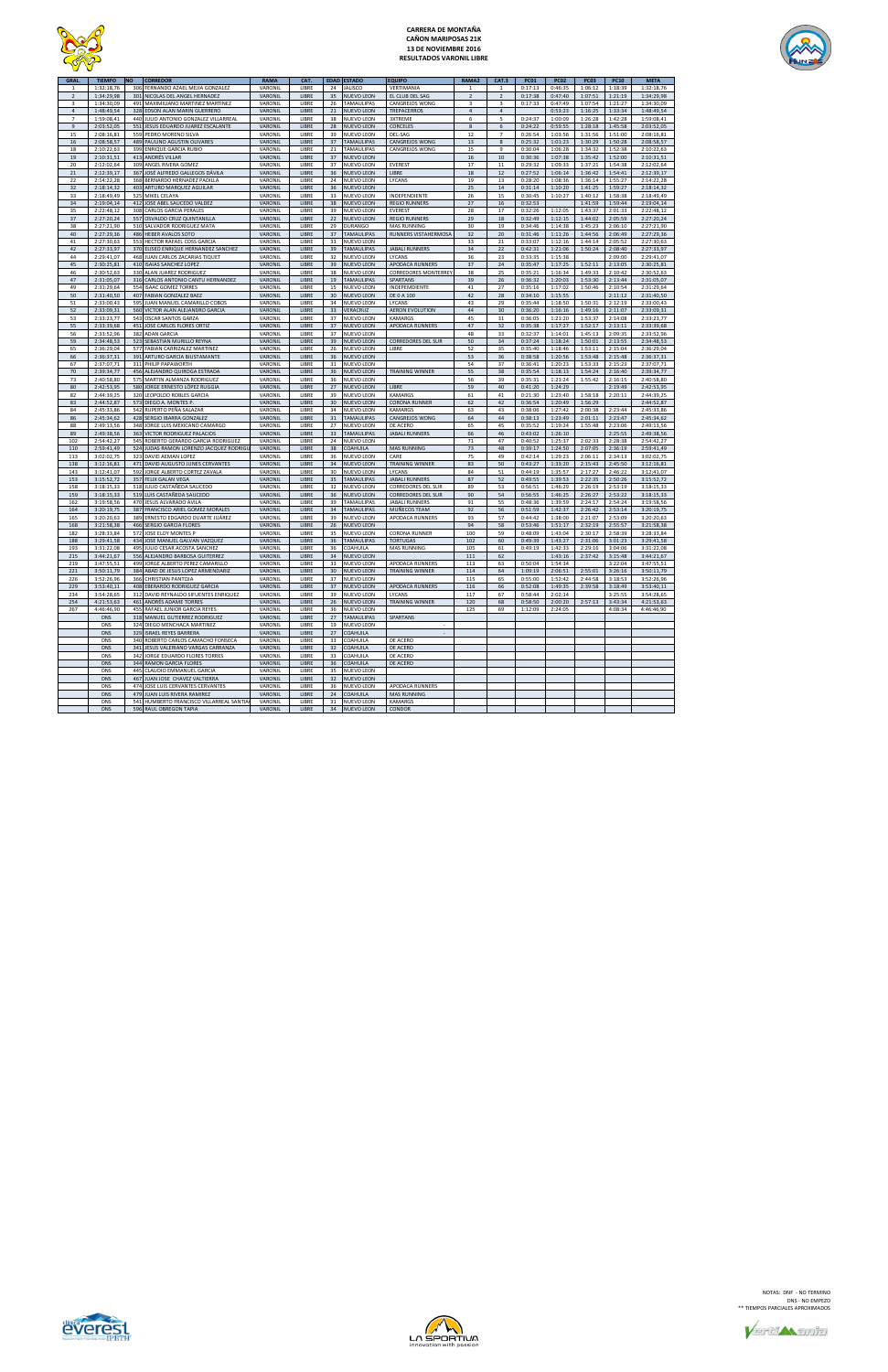

# **CARRERA DE MONTAÑA CAÑON MARIPOSAS 21K 13 DE NOVIEMBRE 2016 RESULTADOS VARONIL LIBRE**



| <b>GRAL</b>             | <b>TIEMPO</b> | NO  | <b>CORREDOR</b>                          | <b>RAMA</b> | CAT.  | <b>EDAD</b> | <b>ESTADO</b>     | EQUIPO                      | RAMA <sub>2</sub> | CAT.3          | <b>PC01</b> | <b>PC02</b> | PC03    | <b>PC10</b> | <b>META</b> |
|-------------------------|---------------|-----|------------------------------------------|-------------|-------|-------------|-------------------|-----------------------------|-------------------|----------------|-------------|-------------|---------|-------------|-------------|
| 1                       | 1:32:18,76    |     | 306 FERNANDO AZAEL MEJIA GONZALEZ        | VARONIL     | LIBRE | 24          | <b>JALISCO</b>    | VERTIMANIA                  | 1                 | $\mathbf{1}$   | 0:17:13     | 0:46:35     | 1:06:12 | 1:18:39     | 1:32:18,76  |
| $\overline{2}$          | 1:34:29,98    |     | 301 NICOLAS DEL ANGEL HERNADEZ           | VARONIL     | LIBRE | 35          | NUEVO LEON        | EL CLUB DEL SAG             | $\overline{2}$    | $\overline{2}$ | 0:17:38     | 0:47:40     | 1:07:51 | 1:21:19     | 1:34:29,98  |
|                         |               |     |                                          |             |       |             |                   |                             |                   |                |             |             |         |             |             |
| $\overline{\mathbf{3}}$ | 1:34:30,09    | 491 | MAXIMILIANO MARTINEZ MARTINEZ            | VARONIL     | LIBRE | 26          | TAMAULIPAS        | CANGREJOS WONG              | 3                 | 3              | 0:17:33     | 0:47:49     | 1:07:54 | 1:21:27     | 1:34:30,09  |
| $\overline{4}$          | 1:48:49,54    | 328 | EDSON ALAN MARIN GUERRERO                | VARONIL     | LIBRE | 21          | NUEVO LEON        | <b>TREPACERROS</b>          | $\sqrt{4}$        | $\overline{4}$ |             | 0:53:23     | 1:16:25 | 1:33:34     | 1:48:49,54  |
| $\overline{7}$          | 1:59:08,41    |     | 440 JULIO ANTONIO GONZALEZ VILLARREAL    | VARONIL     | LIBRE | 38          | NUEVO LEON        | <b>3XTREME</b>              | 6                 | 5              | 0:24:37     | 1:00:09     | 1:26:28 | 1:42:28     | 1:59:08,41  |
| $\overline{9}$          |               | 551 |                                          |             |       | 28          |                   |                             | $\bf 8$           |                |             |             |         |             |             |
|                         | 2:03:52,05    |     | JESUS EDUARDO JUAREZ ESCALANTE           | VARONIL     | LIBRE |             | NUEVO LEON        | CORCELES                    |                   | 6              | 0:24:22     | 0:59:55     | 1:28:18 | 1:45:58     | 2:03:52,05  |
| 15                      | 2:08:16,81    |     | 559 PEDRO MORENO SILVA                   | VARONIL     | LIBRE | 39          | NUEVO LEON        | DEL-SAG                     | $12\,$            | $\overline{7}$ | 0:26:54     | 1:03:56     | 1:31:56 | 1:51:00     | 2:08:16,81  |
| 16                      | 2:08:58,57    |     | 489 PAULINO AGUSTIN OLIVARES             | VARONIL     | LIBRE | 37          | <b>TAMAULIPAS</b> | <b>CANGREJOS WONG</b>       | 13                | 8              | 0:25:32     | 1:01:23     | 1:30:29 | 1:50:28     | 2:08:58,57  |
| 18                      | 2:10:22,63    |     | 399 ENRIQUE GARCIA RUBIO                 | VARONIL     | LIBRE | 21          | TAMAULIPAS        | CANGREJOS WONG              | 15                | 9              | 0:30:04     | 1:06:28     | 1:34:32 | 1:52:38     | 2:10:22,63  |
|                         |               |     |                                          |             |       |             |                   |                             |                   |                |             |             |         |             |             |
| 19                      | 2:10:31.51    |     | 413 ANDRÉS VILLAR                        | VARONIL     | LIBRE | 37          | NUEVO LEON        |                             | 16                | 10             | 0:30:36     | 1:07:38     | 1:35:42 | 1:52:00     | 2:10:31,51  |
| 20                      | 2:12:02,64    |     | 309 ANGEL RIVERA GOMEZ                   | VARONIL     | LIBRE | 37          | NUEVO LEON        | <b>EVEREST</b>              | 17                | 11             | 0:29:32     | 1:09:33     | 1:37:21 | 1:54:38     | 2:12:02,64  |
| $21\,$                  | 2:12:39,17    | 367 | JOSÉ ALFREDO GALLEGOS DÁVILA             | VARONIL     | LIBRE | 36          | <b>NUEVO LEON</b> | LIBRE                       | $18\,$            | 12             | 0:27:52     | 1:06:14     | 1:36:42 | 1:54:41     | 2:12:39,17  |
|                         |               |     |                                          |             |       |             |                   |                             |                   |                |             |             |         |             |             |
| 22                      | 2:14:22,28    |     | 368 BERNARDO HERNADEZ PADILLA            | VARONIL     | LIBRE | 24          | NUEVO LEON        | LYCANS                      | 19                | 13             | 0:28:20     | 1:08:36     | 1:36:14 | 1:55:27     | 2:14:22,28  |
| 32                      | 2:18:14,32    |     | 403 ARTURO MARQUEZ AGUILAR               | VARONIL     | LIBRE | 36          | NUEVO LEON        |                             | 25                | 14             | 0:31:14     | 1:10:20     | 1:41:25 | 1:59:27     | 2:18:14,32  |
| 33                      | 2:18:49,49    |     | 525 MIKEL CELAYA                         | VARONIL     | LIBRE | 33          | NUEVO LEON        | INDEPENDIENTE               | 26                | 15             | 0:30:45     | 1:10:27     | 1:40:12 | 1:58:38     | 2:18:49,49  |
|                         |               |     |                                          |             |       |             |                   |                             |                   |                |             |             |         |             |             |
| 34                      | 2:19:04,14    |     | 412 JOSE ABEL SAUCEDO VALDEZ             | VARONIL     | LIBRE | 38          | NUEVO LEON        | <b>REGIO RUNNERS</b>        | 27                | 16             | 0:32:53     |             | 1:41:59 | 1:59:44     | 2:19:04,14  |
| 35                      | 2:22:48,12    | 308 | <b>CARLOS GARCIA PERALES</b>             | VARONIL     | LIBRE | 39          | NUEVO LEON        | <b>EVEREST</b>              | 28                | 17             | 0:32:26     | 1:12:05     | 1:43:37 | 2:01:33     | 2:22:48,12  |
| 37                      | 2:27:20,24    | 557 | OSVALDO CRUZ QUINTANILLA                 | VARONIL     | LIBRE | 22          | NUEVO LEON        | <b>REGIO RUNNERS</b>        | 29                | 18             | 0:32:49     | 1:12:15     | 1:44:02 | 2:05:59     | 2:27:20,24  |
| 38                      | 2:27:21,90    |     | 510 SALVADOR RODRIGUEZ MATA              | VARONIL     | LIBRE | 29          | <b>DURANGO</b>    | <b>MAS RUNNING</b>          | 30                | 19             | 0:34:46     | 1:14:38     | 1:45:23 | 2:06:10     | 2:27:21,90  |
|                         |               |     |                                          |             |       |             |                   |                             |                   |                |             |             |         |             |             |
| 40                      | 2:27:29,36    |     | 486 HEBER AVALOS SOTO                    | VARONIL     | LIBRE | 37          | <b>TAMAULIPAS</b> | RUNNERS VISTAHERMOSA        | 32                | 20             | 0:31:46     | 1:11:26     | 1:44:56 | 2:06:49     | 2:27:29,36  |
| 41                      | 2:27:30,63    |     | 553 HECTOR RAFAEL COSS GARCIA            | VARONIL     | LIBRE | 33          | NUEVO LEON        |                             | 33                | 21             | 0:33:07     | 1:12:16     | 1:44:14 | 2:05:52     | 2:27:30,63  |
| 42                      | 2:27:33,97    |     | 370 ELISEO ENRIQUE HERNANDEZ SANCHEZ     | VARONIL     | LIBRE | 39          | TAMAULIPAS        | <b>JABALI RUNNERS</b>       | 34                | 22             | 0:42:31     | 1:21:06     | 1:50:24 | 2:08:40     | 2:27:33,97  |
|                         |               |     |                                          |             |       |             |                   |                             |                   |                |             |             |         |             |             |
| 44                      | 2:29:41,07    |     | 468 JUAN CARLOS ZACARIAS TIQUET          | VARONIL     | LIBRE | 32          | NUEVO LEON        | LYCANS                      | 36                | 23             | 0:33:35     | 1:15:38     |         | 2:09:00     | 2:29:41,07  |
| 45                      | 2:30:25,81    | 410 | <b>ISAIAS SANCHEZ LOPEZ</b>              | VARONIL     | LIBRE | 39          | NUEVO LEON        | APODACA RUNNERS             | 37                | 24             | 0:35:47     | 1:17:25     | 1:52:11 | 2:13:05     | 2:30:25,81  |
| 46                      | 2:30:52,63    | 330 | ALAN JUAREZ RODRIGUEZ                    | VARONIL     | LIBRE | 38          | NUEVO LEON        | <b>CORREDORES MONTERREY</b> | 38                | 25             | 0:35:21     | 1:16:34     | 1:49:33 | 2:10:42     | 2:30:52,63  |
|                         |               |     |                                          |             |       |             |                   |                             |                   |                |             |             |         |             |             |
| 47                      | 2:31:05,07    |     | 316 CARLOS ANTONIO CANTU HERNANDEZ       | VARONIL     | LIBRE | 19          | <b>TAMAULIPAS</b> | SPARTANS                    | 39                | 26             | 0:36:32     | 1:20:03     | 1:53:30 | 2:13:44     | 2:31:05,07  |
| 49                      | 2:31:29,64    |     | 554 ISAAC GOMEZ TORRES                   | VARONIL     | LIBRE | 15          | NUEVO LEON        | INDEPEMDIENTE               | 41                | 27             | 0:35:16     | 1:17:02     | 1:50:46 | 2:10:54     | 2:31:29,64  |
| 50                      | 2:31:40,50    |     | 407 FABIAN GONZALEZ BAEZ                 | VARONIL     | LIBRE | 30          | NUEVO LEON        | DE 0 A 100                  | 42                | 28             | 0:34:10     | 1:15:55     |         | 2:11:12     | 2:31:40,50  |
|                         |               |     |                                          |             |       |             |                   |                             |                   |                |             |             |         |             |             |
| 51                      | 2:33:00,43    | 595 | JUAN MANUEL CAMARILLO COBOS              | VARONIL     | LIBRE | 34          | NUEVO LEON        | LYCANS                      | 43                | 29             | 0:35:44     | 1:18:50     | 1:50:31 | 2:12:19     | 2:33:00,43  |
| 52                      | 2:33:09,31    |     | 560 VICTOR ALAN ALEJANDRO GARCIA         | VARONIL     | LIBRE | 33          | VERACRUZ          | <b>AERON EVOLUTION</b>      | 44                | 30             | 0:36:20     | 1:16:16     | 1:49:16 | 2:11:07     | 2:33:09,31  |
| 53                      | 2:33:23,77    | 543 | <b>OSCAR SANTOS GARZA</b>                | VARONIL     | LIBRE | 37          | NUEVO LEON        | KAMARGS                     | 45                | 31             | 0:36:05     | 1:21:20     | 1:53:37 | 2:14:08     | 2:33:23,77  |
| 55                      |               | 451 | <b>JOSE CARLOS FLORES ORTIZ</b>          |             | LIBRE | 37          |                   |                             | 47                |                | 0:35:38     |             | 1:52:17 |             |             |
|                         | 2:33:39,68    |     |                                          | VARONIL     |       |             | NUEVO LEON        | APODACA RUNNERS             |                   | 32             |             | 1:17:27     |         | 2:13:11     | 2:33:39,68  |
| 56                      | 2:33:52,96    | 382 | <b>ADAN GARCIA</b>                       | VARONIL     | LIBRE | 37          | NUEVO LEON        |                             | 48                | 33             | 0:32:37     | 1:14:01     | 1:45:13 | 2:09:35     | 2:33:52,96  |
| 59                      | 2:34:48,53    |     | 523 SEBASTIAN MURILLO REYNA              | VARONIL     | LIBRE | 39          | <b>NUEVO LEON</b> | <b>CORREDORES DEL SUR</b>   | 50                | 34             | 0:37:24     | 1:18:24     | 1:50:01 | 2:13:55     | 2:34:48,53  |
| 65                      | 2:36:29,04    |     | 577 FABIAN CARRIZALEZ MARTINEZ           | VARONIL     | LIBRE | 26          | NUEVO LEON        | LIBRE                       | 52                | 35             | 0:35:40     | 1:18:46     | 1:53:11 | 2:15:04     | 2:36:29,04  |
|                         |               |     |                                          |             |       |             |                   |                             |                   |                |             |             |         |             |             |
| 66                      | 2:36:37,31    |     | 391 ARTURO GARCIA BIUSTAMANTE            | VARONIL     | LIBRE | 36          | NUEVO LEON        |                             | 53                | 36             | 0:38:58     | 1:20:56     | 1:53:48 | 2:15:48     | 2:36:37,31  |
| 67                      | 2:37:07,71    |     | 311 PHILIP PAPAWORTH                     | VARONIL     | LIBRE | 31          | NUEVO LEON        |                             | 54                | 37             | 0:36:41     | 1:20:23     | 1:53:33 | 2:15:23     | 2:37:07,71  |
| 70                      | 2:39:34,77    | 456 | ALEJANDRO QUIROGA ESTRADA                | VARONIL     | LIBRE | 36          | <b>NUEVO LEON</b> | <b>TRAINING WINNER</b>      | 55                | 38             | 0:35:54     | 1:18:13     | 1:54:24 | 2:16:40     | 2:39:34,77  |
|                         |               |     |                                          |             |       |             |                   |                             |                   |                |             |             |         |             |             |
| 73                      | 2:40:58,80    | 575 | MARTIN ALMANZA RODRIGUEZ                 | VARONIL     | LIBRE | 36          | NUEVO LEON        |                             | 56                | 39             | 0:35:31     | 1:21:24     | 1:55:42 | 2:16:15     | 2:40:58,80  |
| 80                      | 2:42:53,95    | 580 | JORGE ERNESTO LÓPEZ RUGGIA               | VARONIL     | LIBRE | 27          | <b>NUEVO LEON</b> | LIBRE                       | 59                | 40             | 0:41:20     | 1:24:29     |         | 2:19:49     | 2:42:53,95  |
| 82                      | 2:44:39,25    |     | 320 LEOPOLDO ROBLES GARCIA               | VARONIL     | LIBRE | 39          | NUEVO LEON        | <b>KAMARGS</b>              | 61                | 41             | 0:21:30     | 1:23:40     | 1:58:18 | 2:20:11     | 2:44:39,25  |
|                         |               |     | 573 DIEGO A. MONTES P.                   |             |       |             |                   |                             |                   |                |             |             |         |             |             |
| 83                      | 2:44:52,87    |     |                                          | VARONIL     | LIBRE | 30          | <b>NUEVO LEON</b> | <b>CORONA RUNNER</b>        | 62                | 42             | 0:36:54     | 1:20:49     | 1:56:29 |             | 2:44:52,87  |
| 84                      | 2:45:33,86    |     | 542 RUPERTO PEÑA SALAZAR                 | VARONIL     | LIBRE | 34          | NUEVO LEON        | KAMARGS                     | 63                | 43             | 0:38:06     | 1:27:42     | 2:00:38 | 2:23:44     | 2:45:33,86  |
| 86                      | 2:45:34,62    |     | 428 SERGIO IBARRA GONZALEZ               | VARONIL     | LIBRE | 31          | <b>TAMAULIPAS</b> | CANGREJOS WONG              | 64                | 44             | 0:38:13     | 1:23:49     | 2:01:11 | 2:23:47     | 2:45:34,62  |
|                         |               |     |                                          |             |       |             |                   |                             |                   |                |             |             |         |             |             |
| 88                      | 2:49:13,56    |     | 348 JORGE LUIS MEXICANO CAMARGO          | VARONIL     | LIBRE | 27          | NUEVO LEON        | DE ACERO                    | 65                | 45             | 0:35:52     | 1:19:24     | 1:55:48 | 2:23:06     | 2:49:13,56  |
| 89                      | 2:49:38,56    |     | 363 VICTOR RODRIGUEZ PALACIOS            | VARONIL     | LIBRE | 33          | TAMAULIPAS        | <b>JABALI RUNNERS</b>       | 66                | 46             | 0:43:02     | 1:26:10     |         | 2:25:55     | 2:49:38,56  |
| 102                     | 2:54:42,27    | 545 | ROBERTO GERARDO GARCIA RODRIGUEZ         | VARONIL     | LIBRE | 24          | NUEVO LEON        |                             | 71                | 47             | 0:40:52     | 1:25:37     | 2:02:33 | 2:28:38     | 2:54:42,27  |
| 110                     | 2:59:41,49    |     | 524 JUDAS RAMON LORENZO JACQUEZ RODRIGU  | VARONIL     | LIBRE | 38          | COAHUILA          | <b>MAS RUNNING</b>          | 73                | 48             | 0:39:17     | 1:24:50     | 2:07:05 | 2:36:19     | 2:59:41,49  |
|                         |               |     |                                          |             |       |             |                   |                             |                   |                |             |             |         |             |             |
| 113                     | 3:02:02,75    | 323 | DAVID AEMAN LOPEZ                        | VARONIL     | LIBRE | 36          | NUEVO LEON        | CARE                        | 75                | 49             | 0:42:14     | 1:29:23     | 2:06:11 | 2:34:13     | 3:02:02,75  |
| 138                     | 3:12:16,81    |     | 471 DAVID AUGUSTO JUNES CERVANTES        | VARONIL     | LIBRE | 34          | NUEVO LEON        | <b>TRAINING WINNER</b>      | 83                | 50             | 0:43:27     | 1:33:20     | 2:15:43 | 2:45:50     | 3:12:16,81  |
| 143                     | 3:12:41,07    |     | 592 JORGE ALBERTO CORTEZ ZAVALA          | VARONIL     | LIBRE | 30          | NUEVO LEON        | LYCANS                      | 84                | 51             | 0:44:19     | 1:35:57     | 2:17:27 | 2:46:22     | 3:12:41,07  |
|                         |               |     |                                          |             |       |             |                   |                             |                   |                |             |             |         |             |             |
| 153                     | 3:15:52,72    |     | 357 FELIX GALAN VEGA                     | VARONIL     | LIBRE | 35          | TAMAULIPAS        | <b>JABALI RUNNERS</b>       | 87                | 52             | 0:49:55     | 1:39:53     | 2:22:35 | 2:50:26     | 3:15:52,72  |
| 158                     | 3:18:15,33    | 518 | JULIO CASTAÑEDA SAUCEDO                  | VARONIL     | LIBRE | 32          | NUEVO LEON        | <b>CORREDORES DEL SUR</b>   | 89                | 53             | 0:56:51     | 1:46:29     | 2:26:19 | 2:53:19     | 3:18:15,33  |
| 159                     | 3:18:15,33    | 519 | LUIS CASTAÑEDA SAUCEDO                   | VARONIL     | LIBRE | 36          | NUEVO LEON        | <b>CORREDORES DEL SUR</b>   | 90                | 54             | 0:56:55     | 1:46:25     | 2:26:27 | 2:53:22     | 3:18:15,33  |
|                         |               |     |                                          |             |       |             |                   |                             |                   |                |             |             |         |             |             |
| 162                     | 3:19:58,56    |     | 470 JESUS ALVARADO AVILA                 | VARONIL     | LIBRE | 39          | TAMAULIPAS        | <b>JABALI RUNNERS</b>       | 91                | 55             | 0:48:36     | 1:39:59     | 2:24:17 | 2:54:24     | 3:19:58,56  |
| 164                     | 3:20:19,75    |     | 387 FRANCISCO ARIEL GOMEZ MORALES        | VARONIL     | LIBRE | 34          | <b>TAMAULIPAS</b> | MUÑECOS TEAM                | 92                | 56             | 0:51:59     | 1:42:37     | 2:26:42 | 2:53:14     | 3:20:19,75  |
| 165                     | 3:20:20,63    |     | 389 ERNESTO EDGARDO DUARTE JUÁREZ        | VARONIL     | LIBRE | 39          | NUEVO LEON        | APODACA RUNNERS             | 93                | 57             | 0:44:42     | 1:38:00     | 2:21:07 | 2:53:09     | 3:20:20,63  |
| 168                     | 3:21:58,38    |     | 466 SERGIO GARCIA FLORES                 | VARONIL     | LIBRE | 26          | <b>NUEVO LEON</b> |                             | 94                | 58             | 0:53:46     | 1:51:17     | 2:32:19 | 2:55:57     | 3:21:58.38  |
|                         |               |     |                                          |             |       |             |                   |                             |                   |                |             |             |         |             |             |
| 182                     | 3:28:33,84    |     | 572 JOSE ELOY MONTES P                   | VARONIL     | LIBRE | 35          | NUEVO LEON        | <b>CORONA RUNNER</b>        | 100               | 59             | 0:48:09     | 1:43:04     | 2:30:17 | 2:58:39     | 3:28:33,84  |
| 188                     | 3:29:41,58    |     | 434 JOSE MANUEL GALVAN VAZQUEZ           | VARONIL     | LIBRE | 36          | <b>TAMAULIPAS</b> | <b>TORTUGAS</b>             | 102               | 60             | 0:49:39     | 1:43:27     | 2:31:06 | 3:01:23     | 3:29:41,58  |
| 193                     | 3:31:22.08    | 495 | JULIO CESAR ACOSTA SANCHEZ               | VARONIL     | LIBRE | 36          | COAHUILA          | <b>MAS RUNNING</b>          | 105               | 61             | 0:49:19     | 1:42:33     | 2:29:16 | 3:04:06     | 3:31:22,08  |
| 215                     | 3:44:21,67    |     | 556 ALEJANDRO BARBOSA GUITERREZ          | VARONIL     | LIBRE | 34          | <b>NUEVO LEON</b> |                             | 111               | 62             |             | 1:43:16     | 2:37:42 | 3:15:48     | 3:44:21,67  |
|                         |               |     |                                          |             |       |             |                   |                             |                   |                |             |             |         |             |             |
| 219                     | 3:47:55,51    |     | 499 JORGE ALBERTO PEREZ CAMARILLO        | VARONIL     | LIBRE | 33          | NUEVO LEON        | APODACA RUNNERS             | 113               | 63             | 0:50:04     | 1:54:34     |         | 3:22:04     | 3:47:55,51  |
| 221                     | 3:50:11,79    |     | 384 ABAD DE JESUS LOPEZ ARMENDARIZ       | VARONIL     | LIBRE | 30          | NUEVO LEON        | <b>TRAINING WINNER</b>      | 114               | 64             | 1:09:19     | 2:06:51     | 2:55:01 | 3:26:16     | 3:50:11,79  |
| 226                     | 3:52:26,96    |     | 366 CHRISTIAN PANTOJA                    | VARONIL     | LIBRE | 37          | NUEVO LEON        |                             | 115               | 65             | 0:55:00     | 1:52:42     | 2:44:58 | 3:18:53     | 3:52:26,96  |
|                         |               |     |                                          |             |       |             |                   |                             |                   |                |             |             |         |             |             |
| 229                     | 3:53:40,11    |     | 408 EBERARDO RODRIGUEZ GARCIA            | VARONIL     | LIBRE | 37          | <b>NUEVO LEON</b> | APODACA RUNNERS             | 116               | 66             | 0:52:08     | 1:49:35     | 2:39:58 | 3:18:49     | 3:53:40,11  |
| 234                     | 3:54:28.65    |     | 312 DAVID REYNALDO SIFUENTES ENRIQUEZ    | VARONIL     | LIBRE | 39          | NUEVO LEON        | LYCANS                      | 117               | 67             | 0:58:44     | 2:02:14     |         | 3:25:55     | 3:54:28.65  |
| 254                     | 4:21:53,63    |     | 461 ANDRÉS ADAME TORRES                  | VARONIL     | LIBRE | 26          | <b>NUEVO LEON</b> | <b>TRAINING WINNER</b>      | 120               | 68             | 0:58:50     | 2:00:20     | 2:57:13 | 3:43:34     | 4:21:53,63  |
| 267                     | 4:46:46,90    |     | 455 RAFAEL JUNIOR GARCIA REYES           | VARONIL     | LIBRE | 36          | NUEVO LEON        |                             | 125               | 69             | 1:12:09     | 2:24:05     |         | 4:08:34     | 4:46:46,90  |
|                         |               |     |                                          |             |       |             |                   |                             |                   |                |             |             |         |             |             |
|                         | <b>DNS</b>    |     | 318 MANUEL GUTIERREZ RODRIGUEZ           | VARONIL     | LIBRE | 27          | <b>TAMAULIPAS</b> | SPARTANS                    |                   |                |             |             |         |             |             |
|                         | DNS           |     | 324 DIEGO MENCHACA MARTINEZ              | VARONIL     | LIBRE | 19          | NUEVO LEON        | $\sim$                      |                   |                |             |             |         |             |             |
|                         | <b>DNS</b>    |     | 329 ISRAEL REYES BARRERA                 | VARONIL     | LIBRE | 27          | COAHUILA          | ÷.                          |                   |                |             |             |         |             |             |
|                         |               |     |                                          |             |       |             |                   |                             |                   |                |             |             |         |             |             |
|                         | DNS           |     | 340 ROBERTO CARLOS CAMACHO FONSECA       | VARONIL     | LIBRE | 33          | COAHUILA          | DE ACERO                    |                   |                |             |             |         |             |             |
|                         | <b>DNS</b>    |     | 341 JESUS VALERIANO VARGAS CARRANZA      | VARONIL     | LIBRE | 32          | COAHUILA          | DE ACERO                    |                   |                |             |             |         |             |             |
|                         | <b>DNS</b>    |     | 342 JORGE EDUARDO FLORES TORRES          | VARONIL     | LIBRE | 33          | COAHUILA          | DE ACERO                    |                   |                |             |             |         |             |             |
|                         |               |     |                                          |             |       |             |                   |                             |                   |                |             |             |         |             |             |
|                         | <b>DNS</b>    |     | 344 RAMON GARCIA FLORES                  | VARONIL     | LIBRE | 36          | COAHUILA          | DE ACERO                    |                   |                |             |             |         |             |             |
|                         | DNS           |     | 445 CLAUDIO EMMANUEL GARCIA              | VARONIL     | LIBRE | 35          | NUEVO LEON        |                             |                   |                |             |             |         |             |             |
|                         | <b>DNS</b>    |     | 467 JUAN JOSE CHAVEZ VALTIERRA           | VARONIL     | LIBRE | 32          | <b>NUEVO LEON</b> |                             |                   |                |             |             |         |             |             |
|                         |               |     |                                          |             |       |             |                   | APODACA RUNNERS             |                   |                |             |             |         |             |             |
|                         | <b>DNS</b>    |     | 474 JOSE LUIS CERVANTES CERVANTES        | VARONIL     | LIBRE | 36          | NUEVO LEON        |                             |                   |                |             |             |         |             |             |
|                         | <b>DNS</b>    |     | 479 JUAN LUIS RIVERA RAMIREZ             | VARONIL     | LIBRE | 24          | COAHUILA          | <b>MAS RUNNING</b>          |                   |                |             |             |         |             |             |
|                         | DNS           |     | 541 HUMBERTO FRANCISCO VILLARREAL SANTIA | VARONIL     | LIBRE | 31          | NUEVO LEON        | KAMARGS                     |                   |                |             |             |         |             |             |
|                         | <b>DNS</b>    |     | 596 RAUL OBREGON TAPIA                   | VARONIL     | LIBRE | 34          | <b>NUEVO LEON</b> | CONDOR                      |                   |                |             |             |         |             |             |





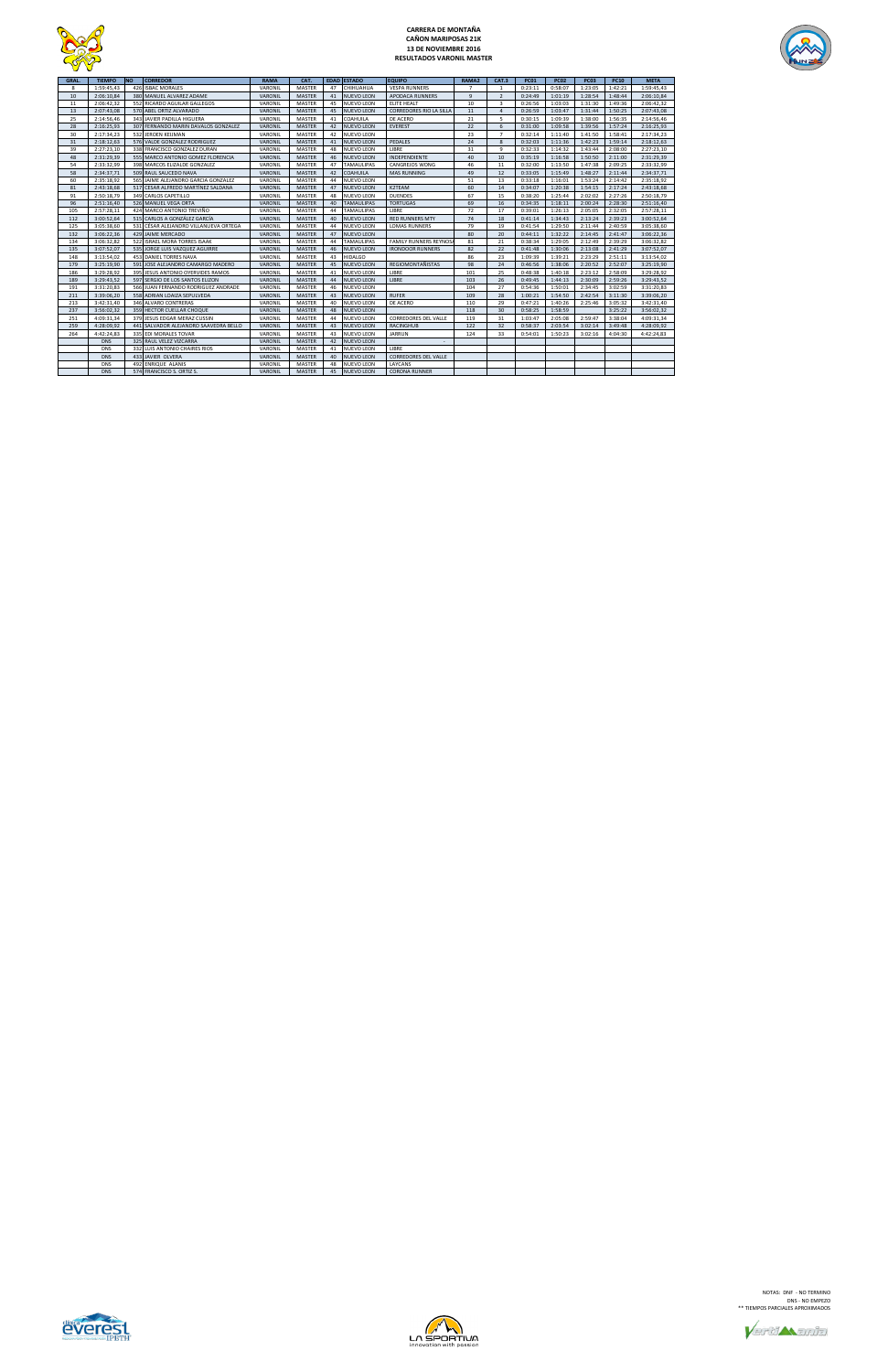

# **CARRERA DE MONTAÑA CAÑON MARIPOSAS 21K 13 DE NOVIEMBRE 2016 RESULTADOS VARONIL MASTER**



| <b>GRAL</b> | <b>TIEMPO</b> | <b>NO</b> | <b>CORREDOR</b>                       | <b>RAMA</b> | CAT.          |    | <b>EDAD ESTADO</b> | <b>EQUIPO</b>                  | RAMA2 | <b>CAT.3</b>           | <b>PC01</b> | <b>PC02</b> | <b>PC03</b> | <b>PC10</b> | <b>META</b> |
|-------------|---------------|-----------|---------------------------------------|-------------|---------------|----|--------------------|--------------------------------|-------|------------------------|-------------|-------------|-------------|-------------|-------------|
| 8           | 1:59:45,43    | 426       | <b>ISBAC MORALES</b>                  | VARONIL     | MASTER        | 47 | CHIHUAHUA          | <b>VESPA RUNNERS</b>           |       |                        | 0:23:11     | 0:58:07     | 1:23:05     | 1:42:21     | 1:59:45,43  |
| 10          | 2:06:10,84    |           | 380 MANUEL ALVAREZ ADAME              | VARONIL     | <b>MASTER</b> | 41 | <b>NUEVO LEON</b>  | APODACA RUNNERS                | 9     | $\overline{2}$         | 0:24:49     | 1:01:19     | 1:28:54     | 1:48:44     | 2:06:10,84  |
| 11          | 2:06:42.32    | 552       | RICARDO AGUILAR GALLEGOS              | VARONIL     | <b>MASTER</b> | 45 | NUEVO LEON         | <b>ELITE HEALT</b>             | 10    | $\overline{3}$         | 0:26:56     | 1:03:03     | 1:31:30     | 1:49:36     | 2:06:42,32  |
| 13          | 2:07:43,08    |           | 570 ABEL ORTIZ ALVARADO               | VARONIL     | <b>MASTER</b> | 45 | <b>NUEVO LEON</b>  | <b>CORREDORES RIO LA SILLA</b> | 11    | $\boldsymbol{\Lambda}$ | 0:26:59     | 1:03:47     | 1:31:44     | 1:50:25     | 2:07:43,08  |
| 25          | 2:14:56,46    |           | 343 JAVIER PADILLA HIGUERA            | VARONIL     | MASTER        | 41 | COAHUILA           | DE ACERO                       | 21    | 5                      | 0:30:15     | 1:09:39     | 1:38:00     | 1:56:35     | 2:14:56,46  |
| 28          | 2:16:25,93    |           | 307 FERNANDO MARIN DAVALOS GONZALEZ   | VARONIL     | <b>MASTER</b> | 42 | <b>NUEVO LEON</b>  | <b>EVEREST</b>                 | 22    | 6                      | 0:31:00     | 1:09:58     | 1:39:56     | 1:57:24     | 2:16:25,93  |
| 30          | 2:17:34,23    | 532       | <b>JEROEN KEIJMAN</b>                 | VARONIL     | MASTER        | 42 | NUEVO LEON         |                                | 23    |                        | 0:32:14     | 1:11:40     | 1:41:50     | 1:58:41     | 2:17:34,23  |
| 31          | 2:18:12,63    |           | 576 VALDE GONZALEZ RODRIGUEZ          | VARONIL     | <b>MASTER</b> | 41 | <b>NUEVO LEON</b>  | PEDALES                        | 24    | 8                      | 0:32:03     | 1:11:36     | 1:42:23     | 1:59:14     | 2:18:12,63  |
| 39          | 2:27:23,10    |           | 338 FRANCISCO GONZALEZ DURAN          | VARONIL     | <b>MASTER</b> | 48 | <b>NUEVO LEON</b>  | LIBRE                          | 31    | $\mathbf{q}$           | 0:32:33     | 1:14:32     | 1:43:44     | 2:08:00     | 2:27:23,10  |
| 48          | 2:31:29,39    |           | 555 MARCO ANTONIO GOMEZ FLORENCIA     | VARONIL     | <b>MASTER</b> | 46 | <b>NUEVO LEON</b>  | INDEPENDIENTE                  | 40    | 10                     | 0:35:19     | 1:16:58     | 1:50:50     | 2:11:00     | 2:31:29,39  |
| 54          | 2:33:32,99    |           | 398 MARCOS ELIZALDE GONZALEZ          | VARONIL     | MASTER        | 47 | <b>TAMAULIPAS</b>  | CANGREJOS WONG                 | 46    | 11                     | 0:32:00     | 1:13:50     | 1:47:38     | 2:09:25     | 2:33:32,99  |
| 58          | 2:34:37,71    |           | 509 RAUL SAUCEDO NAVA                 | VARONIL     | <b>MASTER</b> | 42 | COAHUILA           | <b>MAS RUNNING</b>             | 49    | 12                     | 0:33:05     | 1:15:49     | 1:48:27     | 2:11:44     | 2:34:37,71  |
| 60          | 2:35:18,92    |           | 565 JAIME ALEJANDRO GARCIA GONZALEZ   | VARONIL     | MASTER        | 44 | <b>NUEVO LEON</b>  |                                | 51    | 13                     | 0:33:18     | 1:16:01     | 1:53:24     | 2:14:42     | 2:35:18,92  |
| 81          | 2:43:18,68    |           | 517 CESAR ALFREDO MARTÍNEZ SALDANA    | VARONIL     | <b>MASTER</b> | 47 | <b>NUEVO LEON</b>  | K2TEAM                         | 60    | 14                     | 0:34:07     | 1:20:38     | 1:54:15     | 2:17:24     | 2:43:18,68  |
| 91          | 2:50:18,79    |           | 349 CARLOS CAPETILLO                  | VARONIL     | MASTER        | 48 | <b>NUEVO LEON</b>  | <b>DUENDES</b>                 | 67    | 15                     | 0:38:20     | 1:25:44     | 2:02:02     | 2:27:26     | 2:50:18,79  |
| 96          | 2:51:16,40    |           | 526 MANUEL VEGA ORTA                  | VARONIL     | <b>MASTER</b> | 40 | <b>TAMAULIPAS</b>  | <b>TORTUGAS</b>                | 69    | 16                     | 0:34:35     | 1:18:11     | 2:00:24     | 2:28:30     | 2:51:16,40  |
| 105         | 2:57:28,11    | 424       | MARCO ANTONIO TREVIÑO                 | VARONIL     | MASTER        | 44 | <b>TAMAULIPAS</b>  | <b>IIBRF</b>                   | 72    | 17                     | 0:39:01     | 1:26:13     | 2:05:05     | 2:32:05     | 2:57:28,11  |
| 112         | 3:00:52,64    |           | 515 CARLOS A GONZÁLEZ GARCÍA          | VARONIL     | <b>MASTER</b> | 40 | <b>NUEVO LEON</b>  | <b>RED RUNNERS MTY</b>         | 74    | 18                     | 0:41:14     | 1:34:43     | 2:13:24     | 2:39:23     | 3:00:52,64  |
| 125         | 3:05:38,60    | 531       | CÉSAR ALEJANDRO VILLANUEVA ORTEGA     | VARONIL     | MASTER        | 44 | <b>NUEVO LEON</b>  | <b>LOMAS RUNNERS</b>           | 79    | 19                     | 0:41:54     | 1:29:50     | 2:11:44     | 2:40:59     | 3:05:38,60  |
| 132         | 3:06:22,36    |           | 429 JAIME MERCADO                     | VARONIL     | <b>MASTER</b> | 47 | <b>NUEVO LEON</b>  |                                | 80    | 20                     | 0:44:11     | 1:32:22     | 2:14:45     | 2:41:47     | 3:06:22,36  |
| 134         | 3:06:32,82    | 522       | <b>ISRAEL MORA TORRES ISAAK</b>       | VARONIL     | MASTER        | 44 | TAMAULIPAS         | FAMILY RUNNERS REYNOS/         | 81    | 21                     | 0:38:34     | 1:29:05     | 2:12:49     | 2:39:29     | 3:06:32,82  |
| 135         | 3:07:52,07    |           | 535 JORGE LUIS VAZQUEZ AGUIRRE        | VARONIL     | MASTER        | 46 | <b>NUEVO LEON</b>  | <b>IRONDOOR RUNNERS</b>        | 82    | 22                     | 0:41:48     | 1:30:06     | 2:13:08     | 2:41:29     | 3:07:52,07  |
| 148         | 3:13:54.02    |           | 453 DANIEL TORRES NAVA                | VARONIL     | <b>MASTER</b> | 43 | <b>HIDALGO</b>     |                                | 86    | 23                     | 1:09:39     | 1:39:21     | 2:23:29     | 2:51:11     | 3:13:54,02  |
| 179         | 3:25:19.90    | 591       | JOSE ALEJANDRO CAMARGO MADERO         | VARONIL     | <b>MASTER</b> | 45 | <b>NUEVO LEON</b>  | REGIOMONTAÑISTAS               | 98    | 24                     | 0:46:56     | 1:38:06     | 2:20:52     | 2:52:07     | 3:25:19,90  |
| 186         | 3:29:28,92    |           | 395 JESUS ANTONIO OYERVIDES RAMOS     | VARONIL     | MASTER        | 41 | <b>NUEVO LEON</b>  | LIBRE                          | 101   | 25                     | 0:48:38     | 1:40:18     | 2:23:12     | 2:58:09     | 3:29:28,92  |
| 189         | 3:29:43.52    |           | 597 SERGIO DE LOS SANTOS ELIZON       | VARONIL     | <b>MASTER</b> | 44 | <b>NUEVO LEON</b>  | LIBRE                          | 103   | 26                     | 0:49:45     | 1:44:13     | 2:30:09     | 2:59:26     | 3:29:43,52  |
| 191         | 3:31:20,83    |           | 566 JUAN FERNANDO RODRIGUEZ ANDRADE   | VARONIL     | MASTER        | 46 | <b>NUEVO LEON</b>  |                                | 104   | 27                     | 0:54:36     | 1:50:01     | 2:34:45     | 3:02:59     | 3:31:20,83  |
| 211         | 3:39:06,20    |           | 558 ADRIAN LOAIZA SEPULVEDA           | VARONIL     | <b>MASTER</b> | 43 | <b>NUEVO LEON</b>  | <b>RUFER</b>                   | 109   | 28                     | 1:00:21     | 1:54:50     | 2:42:54     | 3:11:30     | 3:39:06,20  |
| 213         | 3:42:31.40    |           | 346 ALVARO CONTRERAS                  | VARONIL     | MASTER        | 40 | NUEVO LEON         | DE ACERO                       | 110   | 29                     | 0:47:21     | 1:40:26     | 2:25:46     | 3:05:32     | 3:42:31,40  |
| 237         | 3:56:02,32    |           | 359 HECTOR CUELLAR CHOQUE             | VARONIL     | <b>MASTER</b> | 48 | <b>NUEVO LEON</b>  |                                | 118   | 30                     | 0:58:25     | 1:58:59     |             | 3:25:22     | 3:56:02,32  |
| 251         | 4:09:31,34    | 379       | JESUS EDGAR MERAZ CUSSIN              | VARONIL     | MASTER        | 44 | <b>NUEVO LEON</b>  | CORREDORES DEL VALLE           | 119   | 31                     | 1:03:47     | 2:05:08     | 2:59:47     | 3:38:04     | 4:09:31,34  |
| 259         | 4:28:09.92    |           | 441 SALVADOR ALEJANDRO SAAVEDRA BELLO | VARONIL     | <b>MASTER</b> | 43 | <b>NUEVO LEON</b>  | <b>RACINGHUB</b>               | 122   | 32                     | 0:58:37     | 2:03:54     | 3:02:14     | 3:49:48     | 4:28:09.92  |
| 264         | 4:42:24,83    |           | 335 EDI MORALES TOVAR                 | VARONIL     | <b>MASTER</b> | 43 | NUEVO LEON         | <b>JARRUN</b>                  | 124   | 33                     | 0:54:01     | 1:50:23     | 3:02:16     | 4:04:30     | 4:42:24,83  |
|             | <b>DNS</b>    |           | 325 RAUL VELEZ VIZCARRA               | VARONIL     | <b>MASTER</b> | 42 | NUEVO LEON         |                                |       |                        |             |             |             |             |             |
|             | <b>DNS</b>    | 332       | LUIS ANTONIO CHAIRES RIOS             | VARONIL     | MASTER        | 41 | NUEVO LEON         | LIBRE                          |       |                        |             |             |             |             |             |
|             | <b>DNS</b>    |           | 433 JAVIER OLVERA                     | VARONIL     | <b>MASTER</b> | 40 | <b>NUEVO LEON</b>  | CORREDORES DEL VALLE           |       |                        |             |             |             |             |             |
|             | <b>DNS</b>    | 492       | <b>ENRIQUE ALANIS</b>                 | VARONIL     | MASTER        | 48 | NUEVO LEON         | LAYCANS                        |       |                        |             |             |             |             |             |
|             | <b>DNS</b>    |           | 574 FRANCISCO S. ORTIZ S.             | VARONIL     | <b>MASTER</b> | 45 | <b>NUEVO LEON</b>  | <b>CORONA RUNNER</b>           |       |                        |             |             |             |             |             |